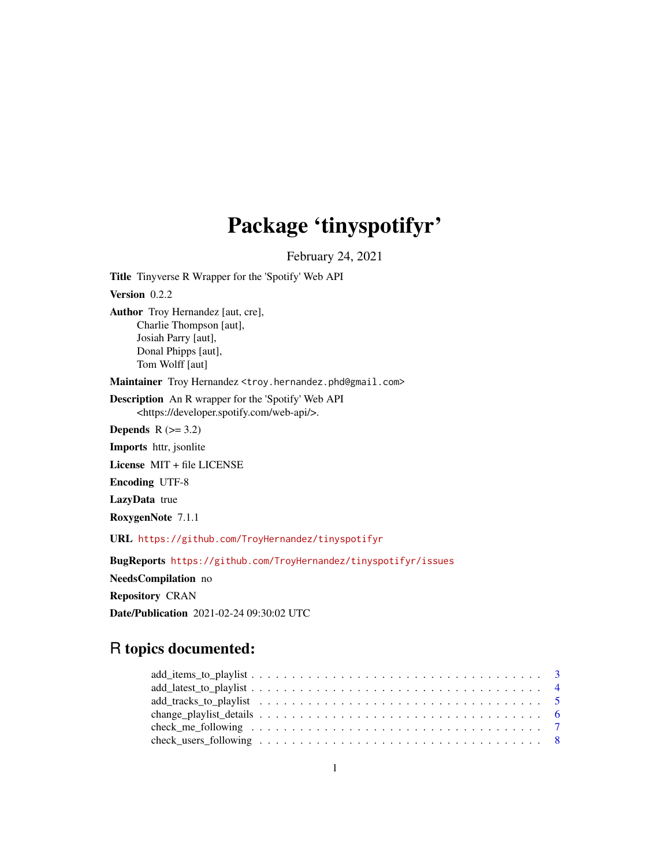# Package 'tinyspotifyr'

February 24, 2021

Title Tinyverse R Wrapper for the 'Spotify' Web API Version 0.2.2 Author Troy Hernandez [aut, cre], Charlie Thompson [aut], Josiah Parry [aut], Donal Phipps [aut], Tom Wolff [aut] Maintainer Troy Hernandez <troy.hernandez.phd@gmail.com> Description An R wrapper for the 'Spotify' Web API <https://developer.spotify.com/web-api/>. Depends  $R$  ( $>= 3.2$ ) Imports httr, jsonlite License MIT + file LICENSE Encoding UTF-8 LazyData true RoxygenNote 7.1.1 URL <https://github.com/TroyHernandez/tinyspotifyr>

BugReports <https://github.com/TroyHernandez/tinyspotifyr/issues>

NeedsCompilation no

Repository CRAN

Date/Publication 2021-02-24 09:30:02 UTC

# R topics documented:

| $add\_items_to\_playlist \ldots \ldots \ldots \ldots \ldots \ldots \ldots \ldots \ldots \ldots \ldots \ldots 3$ |  |
|-----------------------------------------------------------------------------------------------------------------|--|
|                                                                                                                 |  |
|                                                                                                                 |  |
|                                                                                                                 |  |
|                                                                                                                 |  |
|                                                                                                                 |  |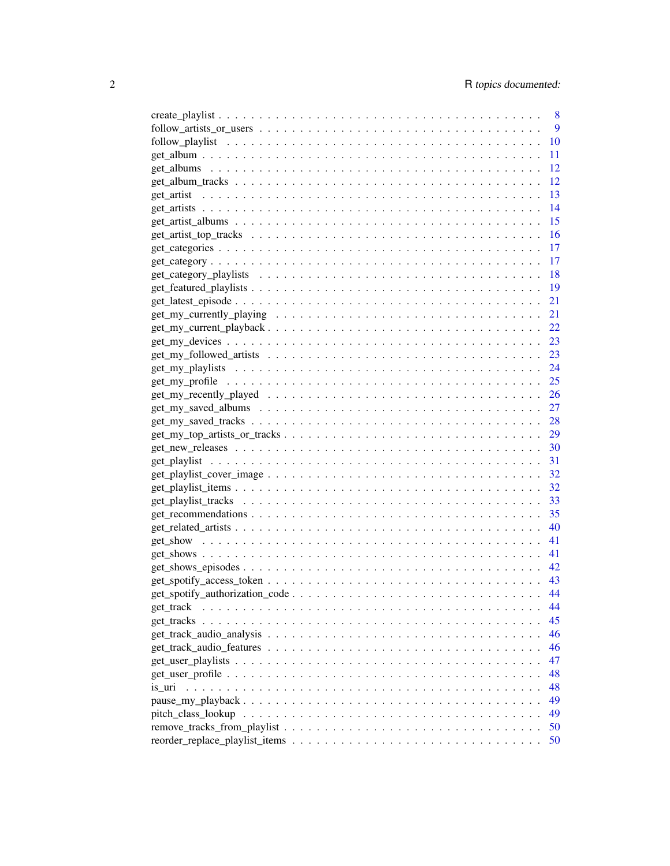|           | 8         |
|-----------|-----------|
|           | 9         |
|           | 10        |
|           | 11        |
|           | 12        |
|           | 12        |
|           | 13        |
|           | 14        |
|           | 15        |
|           | <b>16</b> |
|           | 17        |
|           | 17        |
|           | 18        |
|           | 19        |
|           | 21        |
|           | 21        |
|           |           |
|           |           |
|           |           |
|           |           |
|           |           |
|           |           |
|           |           |
|           |           |
|           |           |
|           |           |
|           |           |
|           |           |
|           |           |
|           |           |
|           |           |
|           |           |
|           |           |
|           |           |
|           |           |
|           |           |
|           |           |
|           |           |
| get_track | 44        |
|           | 45        |
|           | 46        |
|           | 46        |
|           | 47        |
|           | 48        |
| is uri    | 48        |
|           | 49        |
|           | 49        |
|           | 50        |
|           | 50        |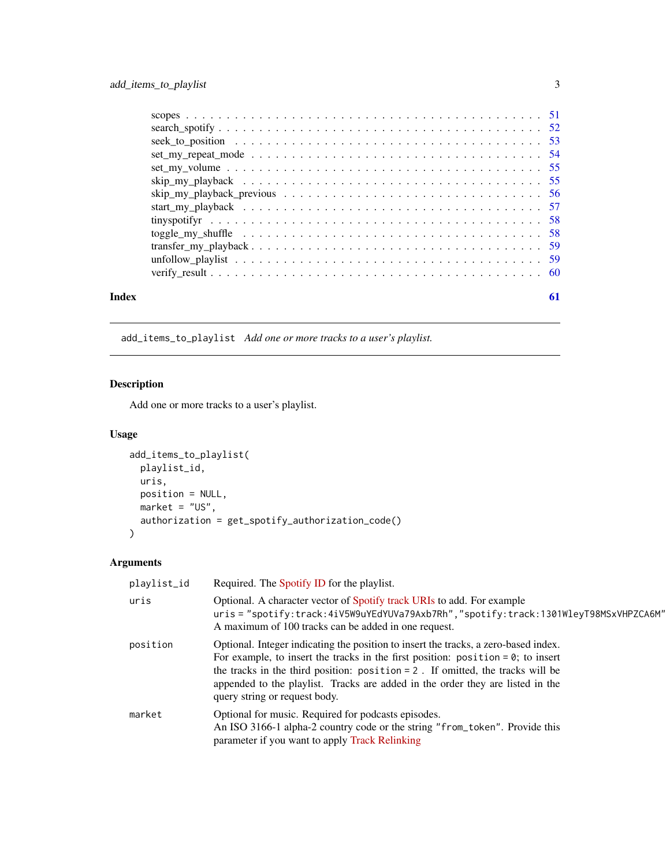<span id="page-2-0"></span>

| Index | 61 |
|-------|----|

add\_items\_to\_playlist *Add one or more tracks to a user's playlist.*

# Description

Add one or more tracks to a user's playlist.

# Usage

```
add_items_to_playlist(
 playlist_id,
 uris,
 position = NULL,
 market = "US",authorization = get_spotify_authorization_code()
)
```

| playlist_id | Required. The Spotify ID for the playlist.                                                                                                                                                                                                                                                                                                                                         |
|-------------|------------------------------------------------------------------------------------------------------------------------------------------------------------------------------------------------------------------------------------------------------------------------------------------------------------------------------------------------------------------------------------|
| uris        | Optional. A character vector of Spotify track URIs to add. For example<br>uris = "spotify:track:4iV5W9uYEdYUVa79Axb7Rh","spotify:track:1301WleyT98MSxVHPZCA6M"<br>A maximum of 100 tracks can be added in one request.                                                                                                                                                             |
| position    | Optional. Integer indicating the position to insert the tracks, a zero-based index.<br>For example, to insert the tracks in the first position: position = $0$ ; to insert<br>the tracks in the third position: $position = 2$ . If omitted, the tracks will be<br>appended to the playlist. Tracks are added in the order they are listed in the<br>query string or request body. |
| market      | Optional for music. Required for podcasts episodes.<br>An ISO 3166-1 alpha-2 country code or the string "from_token". Provide this<br>parameter if you want to apply Track Relinking                                                                                                                                                                                               |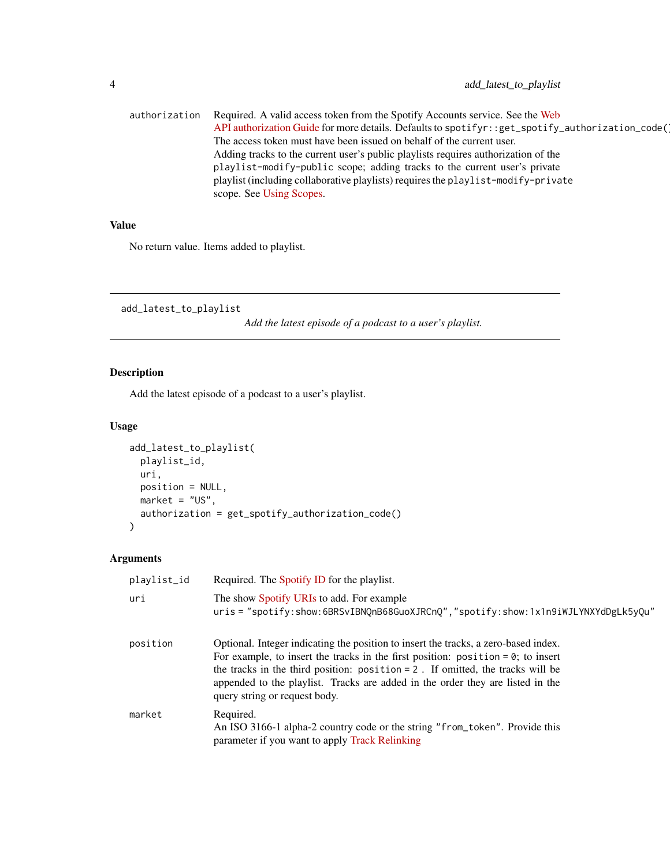<span id="page-3-0"></span>

|  | authorization Required. A valid access token from the Spotify Accounts service. See the Web       |
|--|---------------------------------------------------------------------------------------------------|
|  | API authorization Guide for more details. Defaults to spotifyr::get_spotify_authorization_code(1) |
|  | The access token must have been issued on behalf of the current user.                             |
|  | Adding tracks to the current user's public playlists requires authorization of the                |
|  | playlist-modify-public scope; adding tracks to the current user's private                         |
|  | playlist (including collaborative playlists) requires the playlist-modify-private                 |
|  | scope. See Using Scopes.                                                                          |

No return value. Items added to playlist.

add\_latest\_to\_playlist

*Add the latest episode of a podcast to a user's playlist.*

# Description

Add the latest episode of a podcast to a user's playlist.

# Usage

```
add_latest_to_playlist(
 playlist_id,
 uri,
 position = NULL,
 market = "US",authorization = get_spotify_authorization_code()
)
```

| playlist_id | Required. The Spotify ID for the playlist.                                                                                                                                                                                                                                                                                                                                         |
|-------------|------------------------------------------------------------------------------------------------------------------------------------------------------------------------------------------------------------------------------------------------------------------------------------------------------------------------------------------------------------------------------------|
| uri         | The show Spotify URIs to add. For example<br>uris = "spotify:show:6BRSvIBNQnB68GuoXJRCnQ","spotify:show:1x1n9iWJLYNXYdDgLk5yQu"                                                                                                                                                                                                                                                    |
| position    | Optional. Integer indicating the position to insert the tracks, a zero-based index.<br>For example, to insert the tracks in the first position: position = $0$ ; to insert<br>the tracks in the third position: $position = 2$ . If omitted, the tracks will be<br>appended to the playlist. Tracks are added in the order they are listed in the<br>query string or request body. |
| market      | Required.<br>An ISO 3166-1 alpha-2 country code or the string "from_token". Provide this<br>parameter if you want to apply Track Relinking                                                                                                                                                                                                                                         |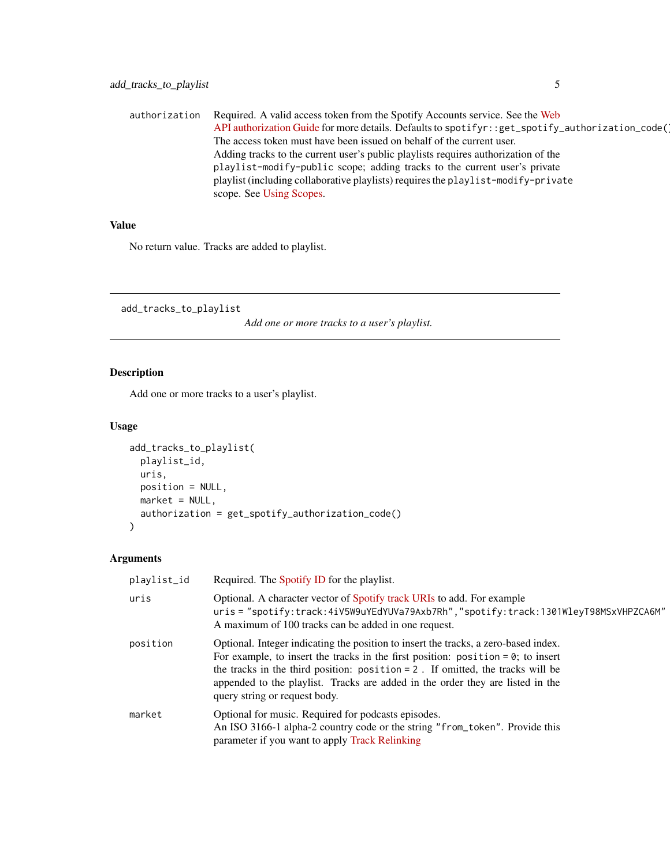<span id="page-4-0"></span>authorization Required. A valid access token from the Spotify Accounts service. See the [Web](https://developer.spotify.com/documentation/general/guides/authorization-guide/) [API authorization Guide](https://developer.spotify.com/documentation/general/guides/authorization-guide/) for more details. Defaults to spotifyr::get\_spotify\_authorization\_code( The access token must have been issued on behalf of the current user. Adding tracks to the current user's public playlists requires authorization of the playlist-modify-public scope; adding tracks to the current user's private playlist (including collaborative playlists) requires the playlist-modify-private scope. See [Using Scopes.](https://developer.spotify.com/documentation/general/guides/authorization-guide/#list-of-scopes)

# Value

No return value. Tracks are added to playlist.

add\_tracks\_to\_playlist

*Add one or more tracks to a user's playlist.*

# Description

Add one or more tracks to a user's playlist.

### Usage

```
add_tracks_to_playlist(
 playlist_id,
 uris,
 position = NULL,
 market = NULL,authorization = get_spotify_authorization_code()
)
```

| playlist_id | Required. The Spotify ID for the playlist.                                                                                                                                                                                                                                                                                                                                              |
|-------------|-----------------------------------------------------------------------------------------------------------------------------------------------------------------------------------------------------------------------------------------------------------------------------------------------------------------------------------------------------------------------------------------|
| uris        | Optional. A character vector of Spotify track URIs to add. For example<br>uris = "spotify:track:4iV5W9uYEdYUVa79Axb7Rh","spotify:track:1301WleyT98MSxVHPZCA6M"<br>A maximum of 100 tracks can be added in one request.                                                                                                                                                                  |
| position    | Optional. Integer indicating the position to insert the tracks, a zero-based index.<br>For example, to insert the tracks in the first position: position = $\theta$ ; to insert<br>the tracks in the third position: $position = 2$ . If omitted, the tracks will be<br>appended to the playlist. Tracks are added in the order they are listed in the<br>query string or request body. |
| market      | Optional for music. Required for podcasts episodes.<br>An ISO 3166-1 alpha-2 country code or the string "from_token". Provide this<br>parameter if you want to apply Track Relinking                                                                                                                                                                                                    |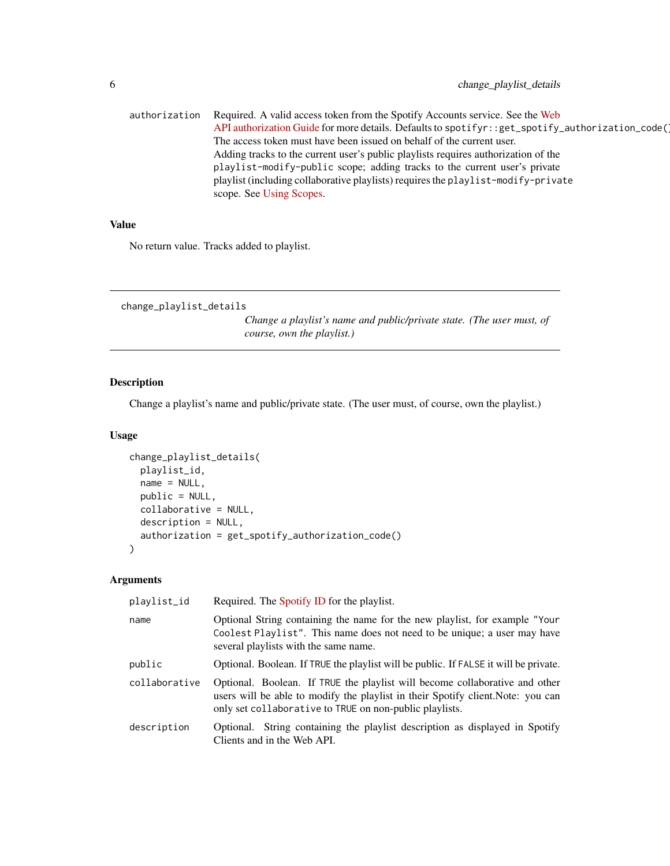<span id="page-5-0"></span>

|                                                                       | authorization Required. A valid access token from the Spotify Accounts service. See the Web       |  |  |
|-----------------------------------------------------------------------|---------------------------------------------------------------------------------------------------|--|--|
|                                                                       | API authorization Guide for more details. Defaults to spotifyr::get_spotify_authorization_code(1) |  |  |
| The access token must have been issued on behalf of the current user. |                                                                                                   |  |  |
|                                                                       | Adding tracks to the current user's public playlists requires authorization of the                |  |  |
|                                                                       | playlist-modify-public scope; adding tracks to the current user's private                         |  |  |
|                                                                       | playlist (including collaborative playlists) requires the playlist-modify-private                 |  |  |
|                                                                       | scope. See Using Scopes.                                                                          |  |  |

No return value. Tracks added to playlist.

change\_playlist\_details

*Change a playlist's name and public/private state. (The user must, of course, own the playlist.)*

# Description

Change a playlist's name and public/private state. (The user must, of course, own the playlist.)

# Usage

```
change_playlist_details(
 playlist_id,
 name = NULL,public = NULL,
  collaborative = NULL,
  description = NULL,
  authorization = get_spotify_authorization_code()
\mathcal{L}
```

| playlist_id   | Required. The Spotify ID for the playlist.                                                                                                                                                                                 |
|---------------|----------------------------------------------------------------------------------------------------------------------------------------------------------------------------------------------------------------------------|
| name          | Optional String containing the name for the new playlist, for example "Your<br>Coolest Playlist". This name does not need to be unique; a user may have<br>several playlists with the same name.                           |
| public        | Optional. Boolean. If TRUE the playlist will be public. If FALSE it will be private.                                                                                                                                       |
| collaborative | Optional. Boolean. If TRUE the playlist will become collaborative and other<br>users will be able to modify the playlist in their Spotify client. Note: you can<br>only set collaborative to TRUE on non-public playlists. |
| description   | Optional. String containing the playlist description as displayed in Spotify<br>Clients and in the Web API.                                                                                                                |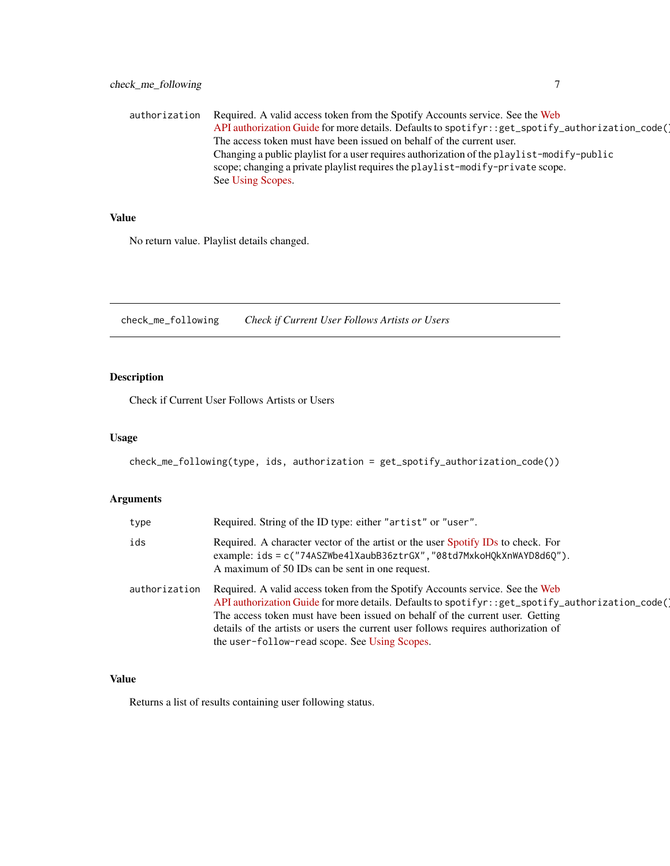<span id="page-6-0"></span>authorization Required. A valid access token from the Spotify Accounts service. See the [Web](https://developer.spotify.com/documentation/general/guides/authorization-guide/) [API authorization Guide](https://developer.spotify.com/documentation/general/guides/authorization-guide/) for more details. Defaults to spotifyr::get\_spotify\_authorization\_code( The access token must have been issued on behalf of the current user. Changing a public playlist for a user requires authorization of the playlist-modify-public scope; changing a private playlist requires the playlist-modify-private scope. See [Using Scopes.](https://developer.spotify.com/documentation/general/guides/authorization-guide/#list-of-scopes)

# Value

No return value. Playlist details changed.

check\_me\_following *Check if Current User Follows Artists or Users*

# Description

Check if Current User Follows Artists or Users

#### Usage

```
check_me_following(type, ids, authorization = get_spotify_authorization_code())
```
# Arguments

| type          | Required. String of the ID type: either "artist" or "user".                                                                                                                                                                                                                                                                                                                                              |
|---------------|----------------------------------------------------------------------------------------------------------------------------------------------------------------------------------------------------------------------------------------------------------------------------------------------------------------------------------------------------------------------------------------------------------|
| ids           | Required. A character vector of the artist or the user Spotify IDs to check. For<br>example: ids = c("74ASZWbe41XaubB36ztrGX", "08td7MxkoHQkXnWAYD8d6Q").<br>A maximum of 50 IDs can be sent in one request.                                                                                                                                                                                             |
| authorization | Required. A valid access token from the Spotify Accounts service. See the Web<br>API authorization Guide for more details. Defaults to spotifyr::get_spotify_authorization_code(<br>The access token must have been issued on behalf of the current user. Getting<br>details of the artists or users the current user follows requires authorization of<br>the user-follow-read scope. See Using Scopes. |

### Value

Returns a list of results containing user following status.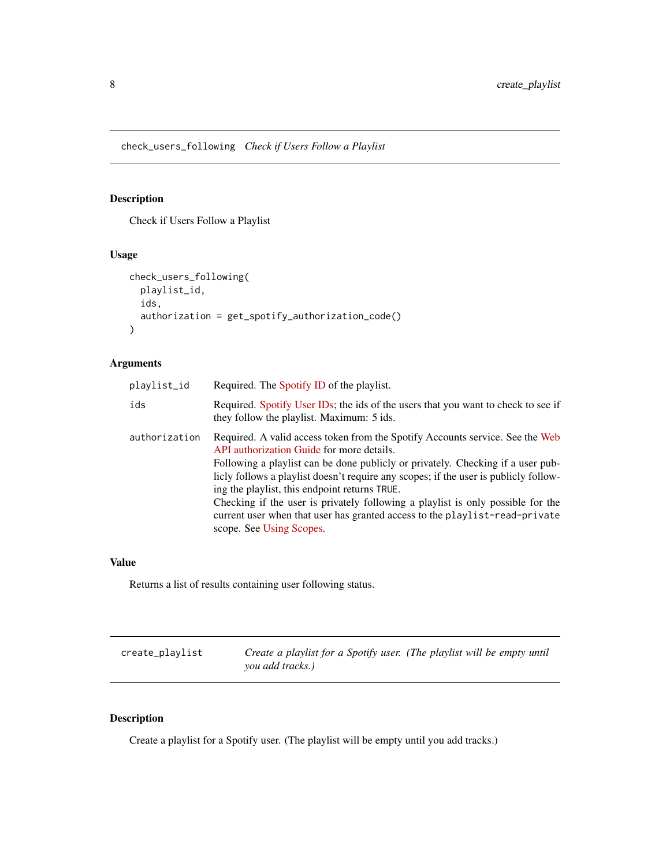<span id="page-7-0"></span>check\_users\_following *Check if Users Follow a Playlist*

# Description

Check if Users Follow a Playlist

# Usage

```
check_users_following(
  playlist_id,
  ids,
  authorization = get_spotify_authorization_code()
)
```
# Arguments

| playlist_id   | Required. The Spotify ID of the playlist.                                                                                                                                                                                                                                                                                                                                                                                                                                                                                                            |
|---------------|------------------------------------------------------------------------------------------------------------------------------------------------------------------------------------------------------------------------------------------------------------------------------------------------------------------------------------------------------------------------------------------------------------------------------------------------------------------------------------------------------------------------------------------------------|
| ids           | Required. Spotify User IDs; the ids of the users that you want to check to see if<br>they follow the playlist. Maximum: 5 ids.                                                                                                                                                                                                                                                                                                                                                                                                                       |
| authorization | Required. A valid access token from the Spotify Accounts service. See the Web<br>API authorization Guide for more details.<br>Following a playlist can be done publicly or privately. Checking if a user pub-<br>licly follows a playlist doesn't require any scopes; if the user is publicly follow-<br>ing the playlist, this endpoint returns TRUE.<br>Checking if the user is privately following a playlist is only possible for the<br>current user when that user has granted access to the playlist-read-private<br>scope. See Using Scopes. |

# Value

Returns a list of results containing user following status.

| create_playlist | Create a playlist for a Spotify user. (The playlist will be empty until |  |
|-----------------|-------------------------------------------------------------------------|--|
|                 | you add tracks.)                                                        |  |

# Description

Create a playlist for a Spotify user. (The playlist will be empty until you add tracks.)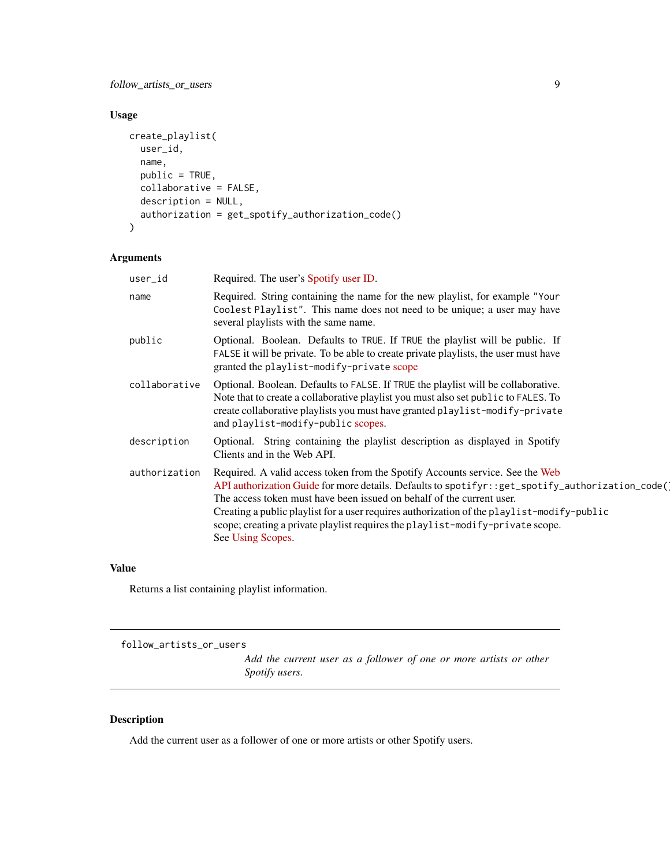<span id="page-8-0"></span>follow\_artists\_or\_users 9

# Usage

```
create_playlist(
 user_id,
 name,
 public = TRUE,collaborative = FALSE,
 description = NULL,
  authorization = get_spotify_authorization_code()
)
```
# Arguments

| user_id       | Required. The user's Spotify user ID.                                                                                                                                                                                                                                                                                                                                                                                                                             |
|---------------|-------------------------------------------------------------------------------------------------------------------------------------------------------------------------------------------------------------------------------------------------------------------------------------------------------------------------------------------------------------------------------------------------------------------------------------------------------------------|
| name          | Required. String containing the name for the new playlist, for example "Your<br>Coolest Playlist". This name does not need to be unique; a user may have<br>several playlists with the same name.                                                                                                                                                                                                                                                                 |
| public        | Optional. Boolean. Defaults to TRUE. If TRUE the playlist will be public. If<br>FALSE it will be private. To be able to create private playlists, the user must have<br>granted the playlist-modify-private scope                                                                                                                                                                                                                                                 |
| collaborative | Optional. Boolean. Defaults to FALSE. If TRUE the playlist will be collaborative.<br>Note that to create a collaborative playlist you must also set public to FALES. To<br>create collaborative playlists you must have granted playlist-modify-private<br>and playlist-modify-public scopes.                                                                                                                                                                     |
| description   | Optional. String containing the playlist description as displayed in Spotify<br>Clients and in the Web API.                                                                                                                                                                                                                                                                                                                                                       |
| authorization | Required. A valid access token from the Spotify Accounts service. See the Web<br>API authorization Guide for more details. Defaults to spotifyr: : get_spotify_authorization_code()<br>The access token must have been issued on behalf of the current user.<br>Creating a public playlist for a user requires authorization of the playlist-modify-public<br>scope; creating a private playlist requires the playlist-modify-private scope.<br>See Using Scopes. |

#### Value

Returns a list containing playlist information.

follow\_artists\_or\_users

*Add the current user as a follower of one or more artists or other Spotify users.*

# Description

Add the current user as a follower of one or more artists or other Spotify users.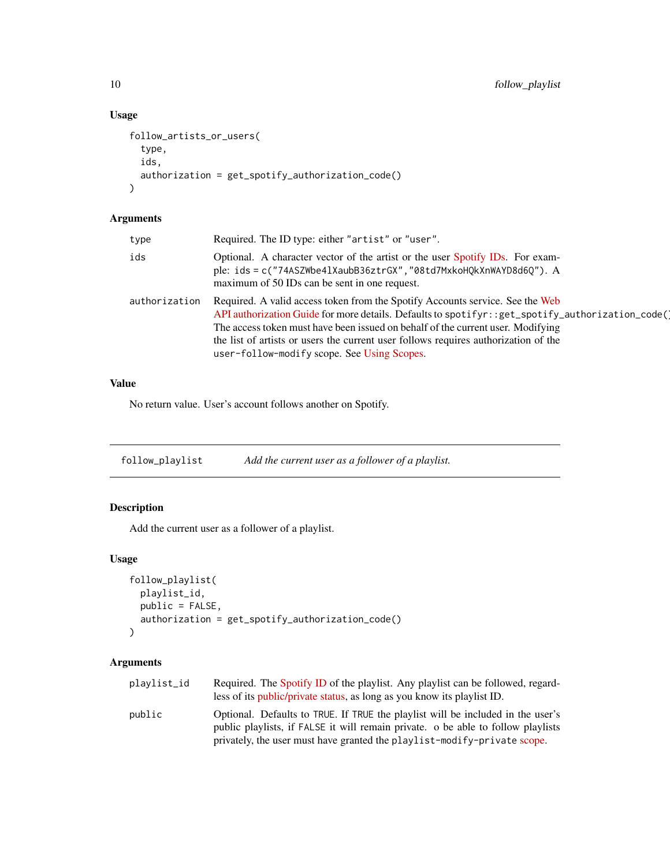### Usage

```
follow_artists_or_users(
  type,
  ids,
  authorization = get_spotify_authorization_code()
)
```
### Arguments

| type          | Required. The ID type: either "artist" or "user".                                                                                                                                                                                                                                                                                                                                                            |
|---------------|--------------------------------------------------------------------------------------------------------------------------------------------------------------------------------------------------------------------------------------------------------------------------------------------------------------------------------------------------------------------------------------------------------------|
| ids           | Optional. A character vector of the artist or the user Spotify IDs. For exam-<br>ple: ids = c("74ASZWbe41XaubB36ztrGX", "08td7MxkoHQkXnWAYD8d6Q"). A<br>maximum of 50 IDs can be sent in one request.                                                                                                                                                                                                        |
| authorization | Required. A valid access token from the Spotify Accounts service. See the Web<br>API authorization Guide for more details. Defaults to spotifyr: : get_spotify_authorization_code()<br>The access token must have been issued on behalf of the current user. Modifying<br>the list of artists or users the current user follows requires authorization of the<br>user-follow-modify scope. See Using Scopes. |

#### Value

No return value. User's account follows another on Spotify.

follow\_playlist *Add the current user as a follower of a playlist.*

# Description

Add the current user as a follower of a playlist.

# Usage

```
follow_playlist(
 playlist_id,
 public = FALSE,
 authorization = get_spotify_authorization_code()
)
```

| plavlist_id | Required. The Spotify ID of the playlist. Any playlist can be followed, regard-<br>less of its <i>public/private status</i> , as long as you know its <i>playlist ID</i> . |
|-------------|----------------------------------------------------------------------------------------------------------------------------------------------------------------------------|
| public      | Optional. Defaults to TRUE. If TRUE the playlist will be included in the user's<br>public playlists, if FALSE it will remain private. o be able to follow playlists        |
|             | privately, the user must have granted the playlist-modify-private scope.                                                                                                   |

<span id="page-9-0"></span>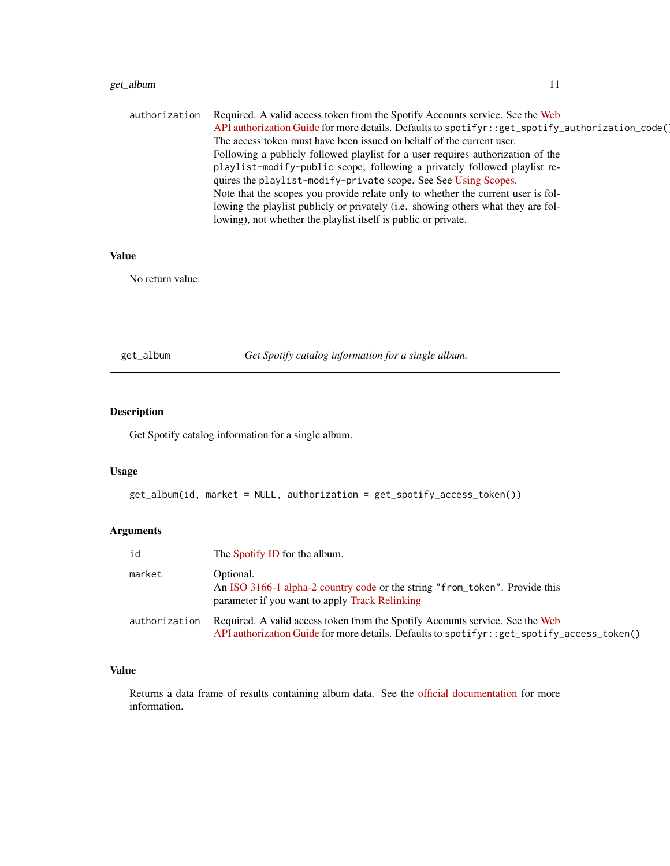# <span id="page-10-0"></span>get\_album 11

| authorization | Required. A valid access token from the Spotify Accounts service. See the Web                      |
|---------------|----------------------------------------------------------------------------------------------------|
|               | API authorization Guide for more details. Defaults to spotifyr: : get_spotify_authorization_code() |
|               | The access token must have been issued on behalf of the current user.                              |
|               | Following a publicly followed playlist for a user requires authorization of the                    |
|               | playlist-modify-public scope; following a privately followed playlist re-                          |
|               | quires the playlist-modify-private scope. See See Using Scopes.                                    |
|               | Note that the scopes you provide relate only to whether the current user is fol-                   |
|               | lowing the playlist publicly or privately (i.e. showing others what they are fol-                  |
|               | lowing), not whether the playlist itself is public or private.                                     |

# Value

No return value.

get\_album *Get Spotify catalog information for a single album.*

# Description

Get Spotify catalog information for a single album.

#### Usage

```
get_album(id, market = NULL, authorization = get_spotify_access_token())
```
# Arguments

| id            | The Spotify ID for the album.                                                                                                                                                     |
|---------------|-----------------------------------------------------------------------------------------------------------------------------------------------------------------------------------|
| market        | Optional.<br>An ISO 3166-1 alpha-2 country code or the string "from_token". Provide this<br>parameter if you want to apply Track Relinking                                        |
| authorization | Required. A valid access token from the Spotify Accounts service. See the Web<br>API authorization Guide for more details. Defaults to spotifyr: : $get\_spotify_access\_token()$ |

# Value

Returns a data frame of results containing album data. See the [official documentation](https://developer.spotify.com/documentation/web-api/reference/albums/get-album/) for more information.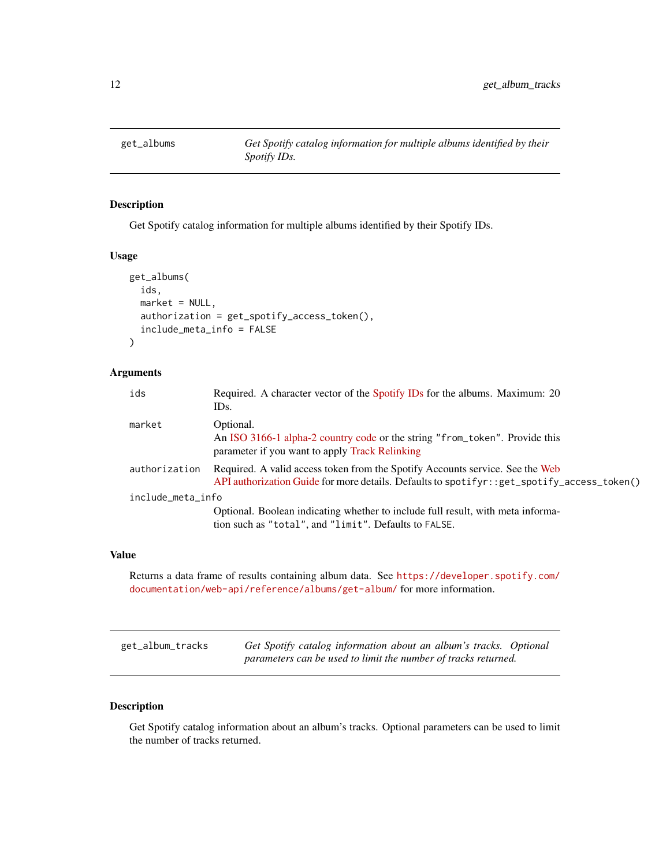<span id="page-11-0"></span>

# Description

Get Spotify catalog information for multiple albums identified by their Spotify IDs.

#### Usage

```
get_albums(
  ids,
 market = NULL,authorization = get_spotify_access_token(),
  include_meta_info = FALSE
)
```
# Arguments

|                   | ids           | Required. A character vector of the Spotify IDs for the albums. Maximum: 20<br>IDs.                                                                                           |
|-------------------|---------------|-------------------------------------------------------------------------------------------------------------------------------------------------------------------------------|
|                   | market        | Optional.<br>An ISO 3166-1 alpha-2 country code or the string "from_token". Provide this<br>parameter if you want to apply Track Relinking                                    |
|                   | authorization | Required. A valid access token from the Spotify Accounts service. See the Web<br>API authorization Guide for more details. Defaults to spotifyr: : get_spotify_access_token() |
| include_meta_info |               |                                                                                                                                                                               |
|                   |               | Optional. Boolean indicating whether to include full result, with meta informa-<br>tion such as "total", and "limit". Defaults to FALSE.                                      |

#### Value

Returns a data frame of results containing album data. See [https://developer.spotify.com/](https://developer.spotify.com/documentation/web-api/reference/albums/get-album/) [documentation/web-api/reference/albums/get-album/](https://developer.spotify.com/documentation/web-api/reference/albums/get-album/) for more information.

| get_album_tracks | Get Spotify catalog information about an album's tracks. Optional |
|------------------|-------------------------------------------------------------------|
|                  | parameters can be used to limit the number of tracks returned.    |

# Description

Get Spotify catalog information about an album's tracks. Optional parameters can be used to limit the number of tracks returned.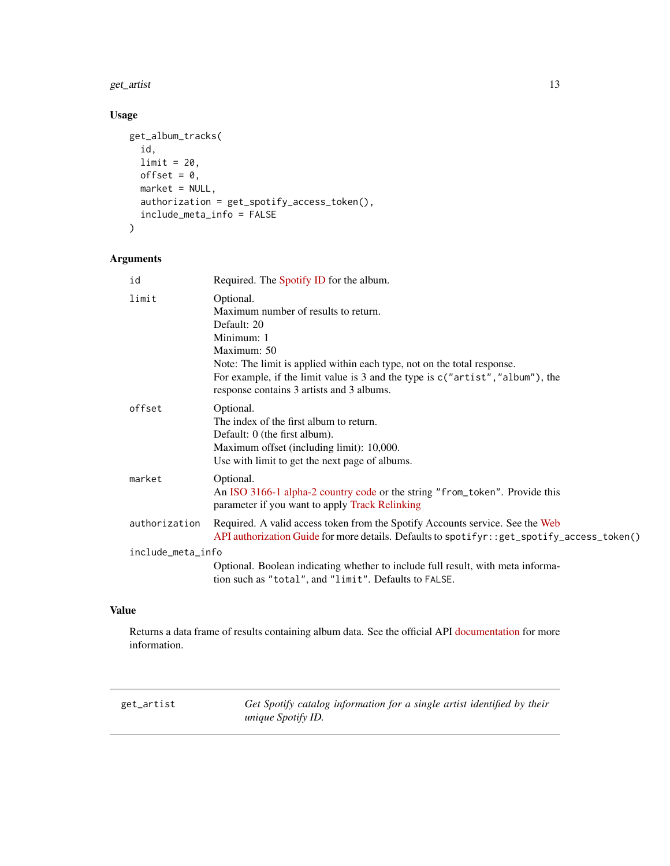#### <span id="page-12-0"></span>get\_artist 13

# Usage

```
get_album_tracks(
  id,
 limit = 20,
 offset = 0,
 market = NULL,
 authorization = get_spotify_access_token(),
 include_meta_info = FALSE
)
```
# Arguments

| id                | Required. The Spotify ID for the album.                                                                                                                                                                                                                                                                   |
|-------------------|-----------------------------------------------------------------------------------------------------------------------------------------------------------------------------------------------------------------------------------------------------------------------------------------------------------|
| limit             | Optional.<br>Maximum number of results to return.<br>Default: 20<br>Minimum: 1<br>Maximum: 50<br>Note: The limit is applied within each type, not on the total response.<br>For example, if the limit value is 3 and the type is $c("artist", "album"),$ the<br>response contains 3 artists and 3 albums. |
| offset            | Optional.<br>The index of the first album to return.<br>Default: 0 (the first album).<br>Maximum offset (including limit): 10,000.<br>Use with limit to get the next page of albums.                                                                                                                      |
| market            | Optional.<br>An ISO 3166-1 alpha-2 country code or the string "from_token". Provide this<br>parameter if you want to apply Track Relinking                                                                                                                                                                |
| authorization     | Required. A valid access token from the Spotify Accounts service. See the Web<br>API authorization Guide for more details. Defaults to spotifyr: : get_spotify_access_token()                                                                                                                             |
| include_meta_info |                                                                                                                                                                                                                                                                                                           |
|                   | Optional. Boolean indicating whether to include full result, with meta informa-<br>tion such as "total", and "limit". Defaults to FALSE.                                                                                                                                                                  |

# Value

Returns a data frame of results containing album data. See the official API [documentation](https://developer.spotify.com/documentation/web-api/reference/albums/get-several-albums/) for more information.

get\_artist *Get Spotify catalog information for a single artist identified by their unique Spotify ID.*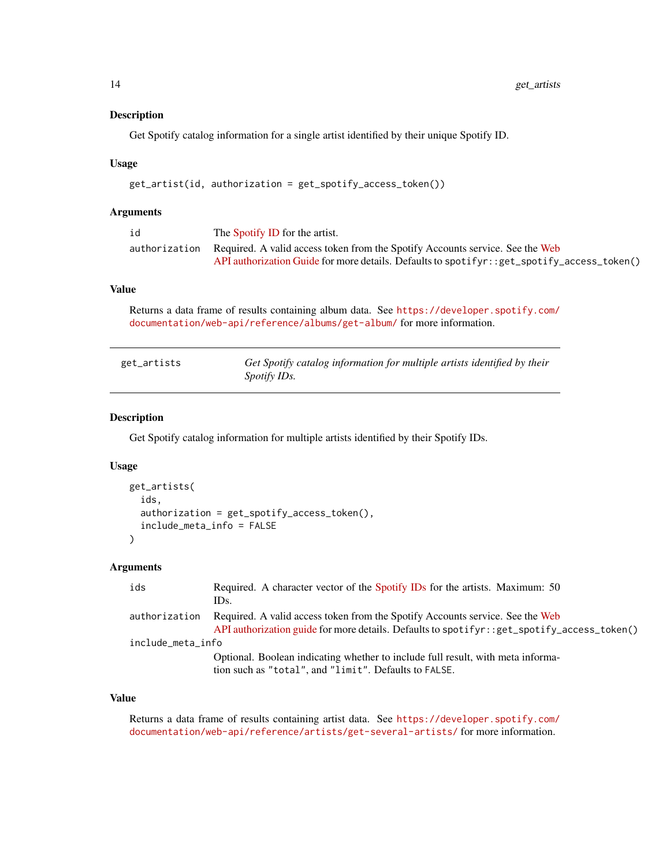### <span id="page-13-0"></span>Description

Get Spotify catalog information for a single artist identified by their unique Spotify ID.

#### Usage

```
get_artist(id, authorization = get_spotify_access_token())
```
### Arguments

| id | The Spotify ID for the artist.                                                               |
|----|----------------------------------------------------------------------------------------------|
|    | authorization Required. A valid access token from the Spotify Accounts service. See the Web  |
|    | API authorization Guide for more details. Defaults to spotifyr: : get_spotify_access_token() |

# Value

Returns a data frame of results containing album data. See [https://developer.spotify.com/](https://developer.spotify.com/documentation/web-api/reference/albums/get-album/) [documentation/web-api/reference/albums/get-album/](https://developer.spotify.com/documentation/web-api/reference/albums/get-album/) for more information.

| get_artists | Get Spotify catalog information for multiple artists identified by their |
|-------------|--------------------------------------------------------------------------|
|             | <i>Spotify IDs.</i>                                                      |

### Description

Get Spotify catalog information for multiple artists identified by their Spotify IDs.

#### Usage

```
get_artists(
  ids,
  authorization = get_spotify_access_token(),
  include_meta_info = FALSE
)
```
# Arguments

| ids               | Required. A character vector of the Spotify IDs for the artists. Maximum: 50                 |  |
|-------------------|----------------------------------------------------------------------------------------------|--|
|                   | IDs.                                                                                         |  |
| authorization     | Required. A valid access token from the Spotify Accounts service. See the Web                |  |
|                   | API authorization guide for more details. Defaults to spotifyr: : get_spotify_access_token() |  |
| include_meta_info |                                                                                              |  |
|                   | Optional. Boolean indicating whether to include full result, with meta informa-              |  |
|                   | tion such as "total", and "limit". Defaults to FALSE.                                        |  |

# Value

Returns a data frame of results containing artist data. See [https://developer.spotify.com/](https://developer.spotify.com/documentation/web-api/reference/artists/get-several-artists/) [documentation/web-api/reference/artists/get-several-artists/](https://developer.spotify.com/documentation/web-api/reference/artists/get-several-artists/) for more information.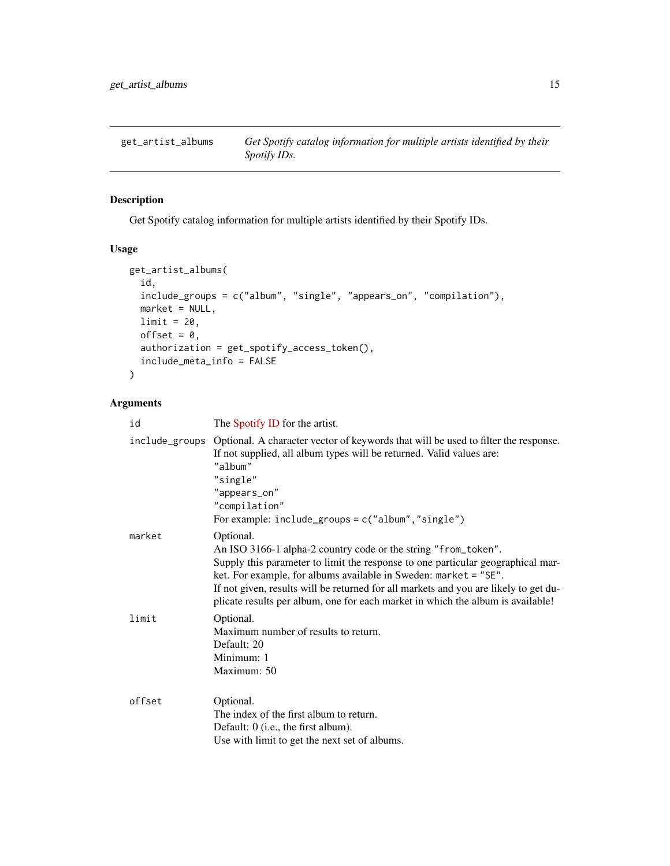<span id="page-14-0"></span>

# Description

Get Spotify catalog information for multiple artists identified by their Spotify IDs.

# Usage

```
get_artist_albums(
 id,
 include_groups = c("album", "single", "appears_on", "compilation"),
 market = NULL,limit = 20,offset = 0,authorization = get_spotify_access_token(),
  include_meta_info = FALSE
)
```

| id     | The Spotify ID for the artist.                                                                                                                                                                                                                                                                                                                                                                                |
|--------|---------------------------------------------------------------------------------------------------------------------------------------------------------------------------------------------------------------------------------------------------------------------------------------------------------------------------------------------------------------------------------------------------------------|
|        | include_groups Optional. A character vector of keywords that will be used to filter the response.<br>If not supplied, all album types will be returned. Valid values are:<br>"album"<br>"single"<br>"appears_on"<br>"compilation"<br>For example: $include\_groups = c("album", "single")$                                                                                                                    |
| market | Optional.<br>An ISO 3166-1 alpha-2 country code or the string "from_token".<br>Supply this parameter to limit the response to one particular geographical mar-<br>ket. For example, for albums available in Sweden: market = "SE".<br>If not given, results will be returned for all markets and you are likely to get du-<br>plicate results per album, one for each market in which the album is available! |
| limit  | Optional.<br>Maximum number of results to return.<br>Default: 20<br>Minimum: 1<br>Maximum: 50                                                                                                                                                                                                                                                                                                                 |
| offset | Optional.<br>The index of the first album to return.<br>Default: 0 (i.e., the first album).<br>Use with limit to get the next set of albums.                                                                                                                                                                                                                                                                  |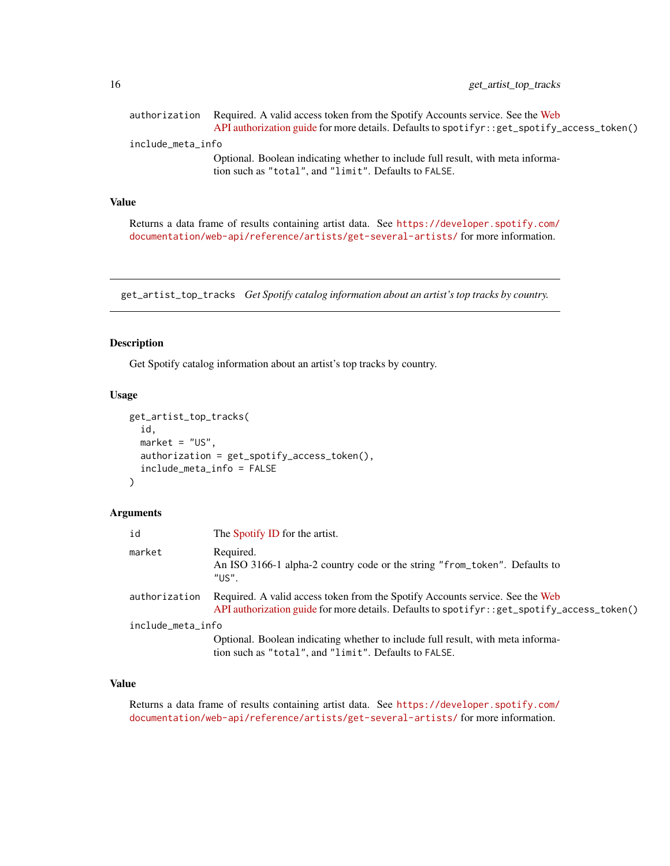<span id="page-15-0"></span>

| authorization     | Required. A valid access token from the Spotify Accounts service. See the Web<br>API authorization guide for more details. Defaults to spotify:: get_spotify_access_token() |  |
|-------------------|-----------------------------------------------------------------------------------------------------------------------------------------------------------------------------|--|
| include_meta_info |                                                                                                                                                                             |  |
|                   | Optional. Boolean indicating whether to include full result, with meta informa-<br>tion such as "total", and "limit". Defaults to FALSE.                                    |  |

Returns a data frame of results containing artist data. See [https://developer.spotify.com/](https://developer.spotify.com/documentation/web-api/reference/artists/get-several-artists/) [documentation/web-api/reference/artists/get-several-artists/](https://developer.spotify.com/documentation/web-api/reference/artists/get-several-artists/) for more information.

get\_artist\_top\_tracks *Get Spotify catalog information about an artist's top tracks by country.*

# Description

Get Spotify catalog information about an artist's top tracks by country.

#### Usage

```
get_artist_top_tracks(
  id,
 market = "US",authorization = get_spotify_access_token(),
  include_meta_info = FALSE
)
```
# Arguments

| id                | The Spotify ID for the artist.                                                                                                                                                |
|-------------------|-------------------------------------------------------------------------------------------------------------------------------------------------------------------------------|
| market            | Required.<br>An ISO 3166-1 alpha-2 country code or the string "from_token". Defaults to<br>"US".                                                                              |
| authorization     | Required. A valid access token from the Spotify Accounts service. See the Web<br>API authorization guide for more details. Defaults to spotifyr: : get_spotify_access_token() |
| include_meta_info |                                                                                                                                                                               |
|                   | Optional. Boolean indicating whether to include full result, with meta informa-<br>tion such as "total", and "limit". Defaults to FALSE.                                      |

# Value

Returns a data frame of results containing artist data. See [https://developer.spotify.com/](https://developer.spotify.com/documentation/web-api/reference/artists/get-several-artists/) [documentation/web-api/reference/artists/get-several-artists/](https://developer.spotify.com/documentation/web-api/reference/artists/get-several-artists/) for more information.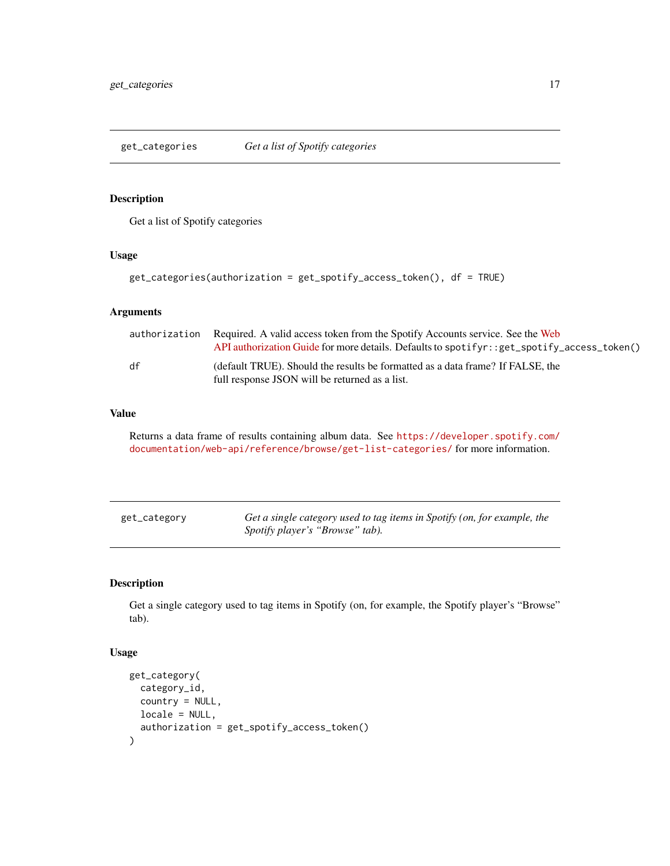<span id="page-16-0"></span>get\_categories *Get a list of Spotify categories*

### Description

Get a list of Spotify categories

#### Usage

```
get_categories(authorization = get_spotify_access_token(), df = TRUE)
```
#### Arguments

|    | authorization Required. A valid access token from the Spotify Accounts service. See the Web<br>API authorization Guide for more details. Defaults to spotifyr: : get_spotify_access_token() |
|----|---------------------------------------------------------------------------------------------------------------------------------------------------------------------------------------------|
| df | (default TRUE). Should the results be formatted as a data frame? If FALSE, the<br>full response JSON will be returned as a list.                                                            |

### Value

Returns a data frame of results containing album data. See [https://developer.spotify.com/](https://developer.spotify.com/documentation/web-api/reference/browse/get-list-categories/) [documentation/web-api/reference/browse/get-list-categories/](https://developer.spotify.com/documentation/web-api/reference/browse/get-list-categories/) for more information.

| get_category | Get a single category used to tag items in Spotify (on, for example, the |
|--------------|--------------------------------------------------------------------------|
|              | Spotify player's "Browse" tab).                                          |

# Description

Get a single category used to tag items in Spotify (on, for example, the Spotify player's "Browse" tab).

### Usage

```
get_category(
  category_id,
  country = NULL,
  locale = NULL,
  authorization = get_spotify_access_token()
\mathcal{E}
```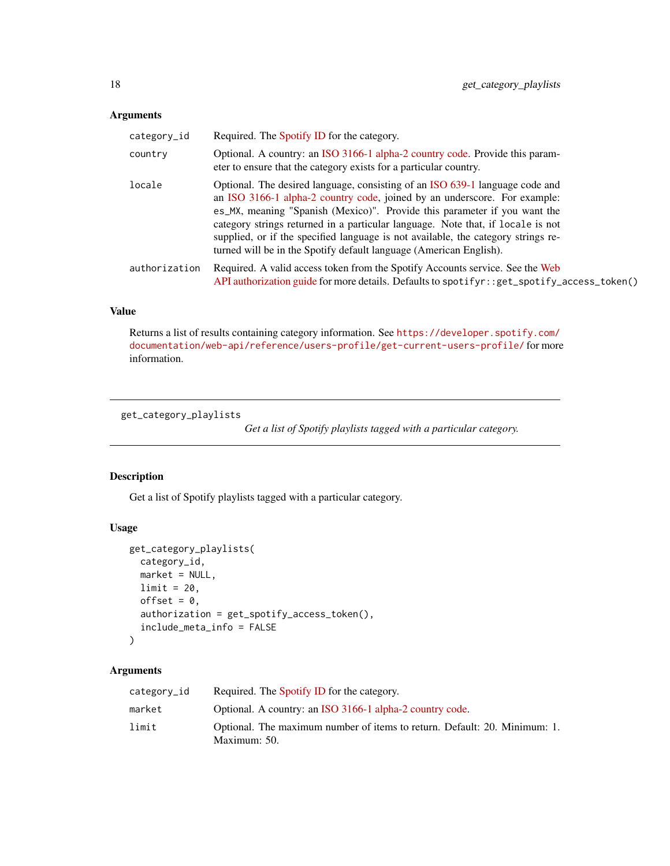### <span id="page-17-0"></span>Arguments

| category_id   | Required. The Spotify ID for the category.                                                                                                                                                                                                                                                                                                                                                                                                                                           |  |
|---------------|--------------------------------------------------------------------------------------------------------------------------------------------------------------------------------------------------------------------------------------------------------------------------------------------------------------------------------------------------------------------------------------------------------------------------------------------------------------------------------------|--|
| country       | Optional. A country: an ISO 3166-1 alpha-2 country code. Provide this param-<br>eter to ensure that the category exists for a particular country.                                                                                                                                                                                                                                                                                                                                    |  |
| locale        | Optional. The desired language, consisting of an ISO 639-1 language code and<br>an ISO 3166-1 alpha-2 country code, joined by an underscore. For example:<br>es_MX, meaning "Spanish (Mexico)". Provide this parameter if you want the<br>category strings returned in a particular language. Note that, if locale is not<br>supplied, or if the specified language is not available, the category strings re-<br>turned will be in the Spotify default language (American English). |  |
| authorization | Required. A valid access token from the Spotify Accounts service. See the Web<br>API authorization guide for more details. Defaults to spotifyr: : get_spotify_access_token()                                                                                                                                                                                                                                                                                                        |  |

# Value

Returns a list of results containing category information. See [https://developer.spotify.com/](https://developer.spotify.com/documentation/web-api/reference/users-profile/get-current-users-profile/) [documentation/web-api/reference/users-profile/get-current-users-profile/](https://developer.spotify.com/documentation/web-api/reference/users-profile/get-current-users-profile/) for more information.

get\_category\_playlists

*Get a list of Spotify playlists tagged with a particular category.*

### Description

Get a list of Spotify playlists tagged with a particular category.

#### Usage

```
get_category_playlists(
 category_id,
 market = NULL,
 limit = 20,offset = 0,
 authorization = get_spotify_access_token(),
  include_meta_info = FALSE
)
```

| category_id | Required. The Spotify ID for the category.                                                |
|-------------|-------------------------------------------------------------------------------------------|
| market      | Optional. A country: an ISO 3166-1 alpha-2 country code.                                  |
| limit       | Optional. The maximum number of items to return. Default: 20. Minimum: 1.<br>Maximum: 50. |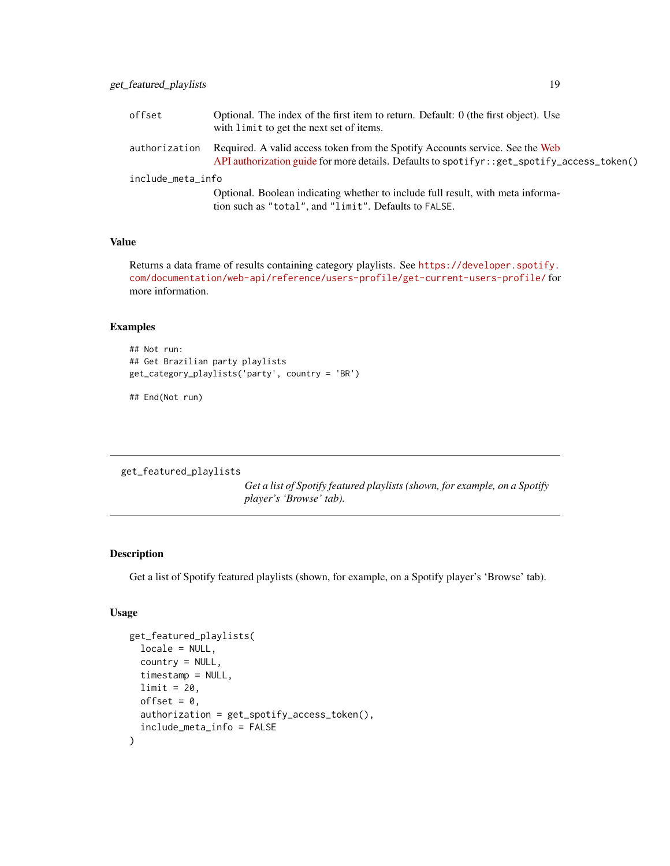<span id="page-18-0"></span>

| offset            | Optional. The index of the first item to return. Default: $0$ (the first object). Use<br>with limit to get the next set of items.                                             |  |
|-------------------|-------------------------------------------------------------------------------------------------------------------------------------------------------------------------------|--|
| authorization     | Required. A valid access token from the Spotify Accounts service. See the Web<br>API authorization guide for more details. Defaults to spotifyr: : get_spotify_access_token() |  |
| include_meta_info |                                                                                                                                                                               |  |
|                   | Optional. Boolean indicating whether to include full result, with meta informa-<br>tion such as "total", and "limit". Defaults to FALSE.                                      |  |

Returns a data frame of results containing category playlists. See [https://developer.spotify.](https://developer.spotify.com/documentation/web-api/reference/users-profile/get-current-users-profile/) [com/documentation/web-api/reference/users-profile/get-current-users-profile/](https://developer.spotify.com/documentation/web-api/reference/users-profile/get-current-users-profile/) for more information.

#### Examples

```
## Not run:
## Get Brazilian party playlists
get_category_playlists('party', country = 'BR')
```
## End(Not run)

get\_featured\_playlists

*Get a list of Spotify featured playlists (shown, for example, on a Spotify player's 'Browse' tab).*

# Description

Get a list of Spotify featured playlists (shown, for example, on a Spotify player's 'Browse' tab).

# Usage

```
get_featured_playlists(
  locale = NULL,country = NULL,
  timestamp = NULL,
  limit = 20,offset = 0.
  authorization = get_spotify_access_token(),
  include_meta_info = FALSE
\mathcal{E}
```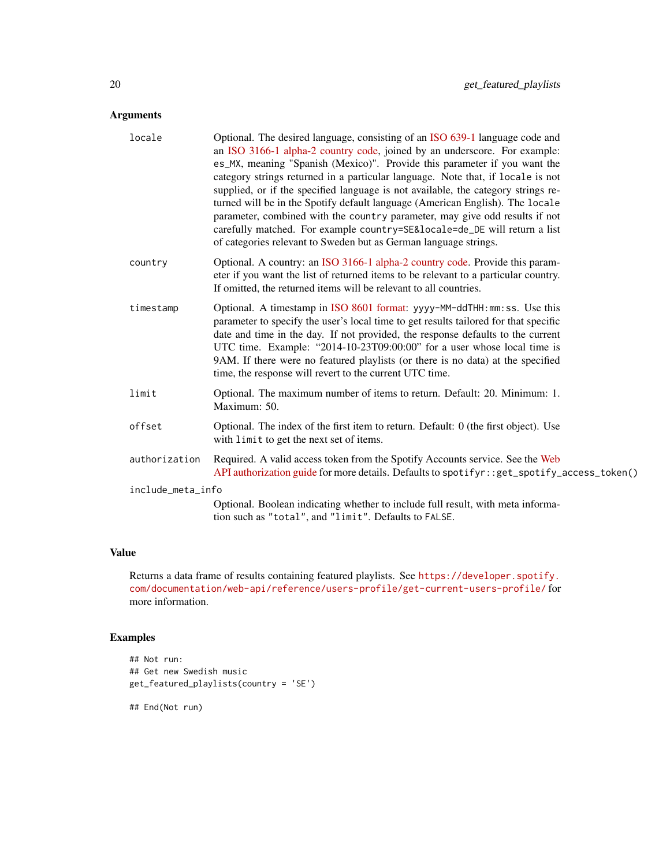# Arguments

| locale            | Optional. The desired language, consisting of an ISO 639-1 language code and<br>an ISO 3166-1 alpha-2 country code, joined by an underscore. For example:<br>es_MX, meaning "Spanish (Mexico)". Provide this parameter if you want the<br>category strings returned in a particular language. Note that, if locale is not<br>supplied, or if the specified language is not available, the category strings re-<br>turned will be in the Spotify default language (American English). The locale<br>parameter, combined with the country parameter, may give odd results if not<br>carefully matched. For example country=SE&locale=de_DE will return a list<br>of categories relevant to Sweden but as German language strings. |
|-------------------|---------------------------------------------------------------------------------------------------------------------------------------------------------------------------------------------------------------------------------------------------------------------------------------------------------------------------------------------------------------------------------------------------------------------------------------------------------------------------------------------------------------------------------------------------------------------------------------------------------------------------------------------------------------------------------------------------------------------------------|
| country           | Optional. A country: an ISO 3166-1 alpha-2 country code. Provide this param-<br>eter if you want the list of returned items to be relevant to a particular country.<br>If omitted, the returned items will be relevant to all countries.                                                                                                                                                                                                                                                                                                                                                                                                                                                                                        |
| timestamp         | Optional. A timestamp in ISO 8601 format: yyyy-MM-ddTHH:mm:ss. Use this<br>parameter to specify the user's local time to get results tailored for that specific<br>date and time in the day. If not provided, the response defaults to the current<br>UTC time. Example: "2014-10-23T09:00:00" for a user whose local time is<br>9AM. If there were no featured playlists (or there is no data) at the specified<br>time, the response will revert to the current UTC time.                                                                                                                                                                                                                                                     |
| limit             | Optional. The maximum number of items to return. Default: 20. Minimum: 1.<br>Maximum: 50.                                                                                                                                                                                                                                                                                                                                                                                                                                                                                                                                                                                                                                       |
| offset            | Optional. The index of the first item to return. Default: 0 (the first object). Use<br>with limit to get the next set of items.                                                                                                                                                                                                                                                                                                                                                                                                                                                                                                                                                                                                 |
| authorization     | Required. A valid access token from the Spotify Accounts service. See the Web<br>API authorization guide for more details. Defaults to spotifyr::get_spotify_access_token()                                                                                                                                                                                                                                                                                                                                                                                                                                                                                                                                                     |
| include_meta_info |                                                                                                                                                                                                                                                                                                                                                                                                                                                                                                                                                                                                                                                                                                                                 |
|                   | Optional. Boolean indicating whether to include full result, with meta informa-<br>tion such as "total", and "limit". Defaults to FALSE.                                                                                                                                                                                                                                                                                                                                                                                                                                                                                                                                                                                        |

#### Value

Returns a data frame of results containing featured playlists. See [https://developer.spotify.](https://developer.spotify.com/documentation/web-api/reference/users-profile/get-current-users-profile/) [com/documentation/web-api/reference/users-profile/get-current-users-profile/](https://developer.spotify.com/documentation/web-api/reference/users-profile/get-current-users-profile/) for more information.

# Examples

```
## Not run:
## Get new Swedish music
get_featured_playlists(country = 'SE')
```
## End(Not run)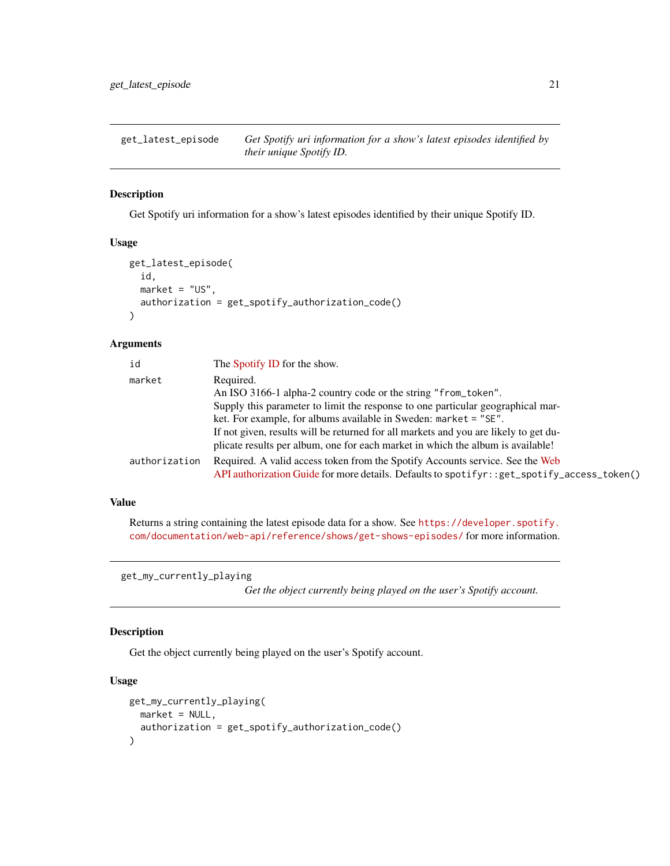<span id="page-20-0"></span>get\_latest\_episode *Get Spotify uri information for a show's latest episodes identified by their unique Spotify ID.*

### Description

Get Spotify uri information for a show's latest episodes identified by their unique Spotify ID.

#### Usage

```
get_latest_episode(
  id,
 market = "US",authorization = get_spotify_authorization_code()
\lambda
```
### Arguments

| id            | The Spotify ID for the show.                                                                                                                                                                                                                                                                                                   |
|---------------|--------------------------------------------------------------------------------------------------------------------------------------------------------------------------------------------------------------------------------------------------------------------------------------------------------------------------------|
| market        | Required.<br>An ISO 3166-1 alpha-2 country code or the string "from_token".                                                                                                                                                                                                                                                    |
|               | Supply this parameter to limit the response to one particular geographical mar-<br>ket. For example, for albums available in Sweden: market = "SE".<br>If not given, results will be returned for all markets and you are likely to get du-<br>plicate results per album, one for each market in which the album is available! |
| authorization | Required. A valid access token from the Spotify Accounts service. See the Web<br>API authorization Guide for more details. Defaults to spotifyr: : get_spotify_access_token()                                                                                                                                                  |

#### Value

Returns a string containing the latest episode data for a show. See [https://developer.spotify.](https://developer.spotify.com/documentation/web-api/reference/shows/get-shows-episodes/) [com/documentation/web-api/reference/shows/get-shows-episodes/](https://developer.spotify.com/documentation/web-api/reference/shows/get-shows-episodes/) for more information.

get\_my\_currently\_playing

*Get the object currently being played on the user's Spotify account.*

# Description

Get the object currently being played on the user's Spotify account.

### Usage

```
get_my_currently_playing(
  market = NULL,authorization = get_spotify_authorization_code()
\mathcal{E}
```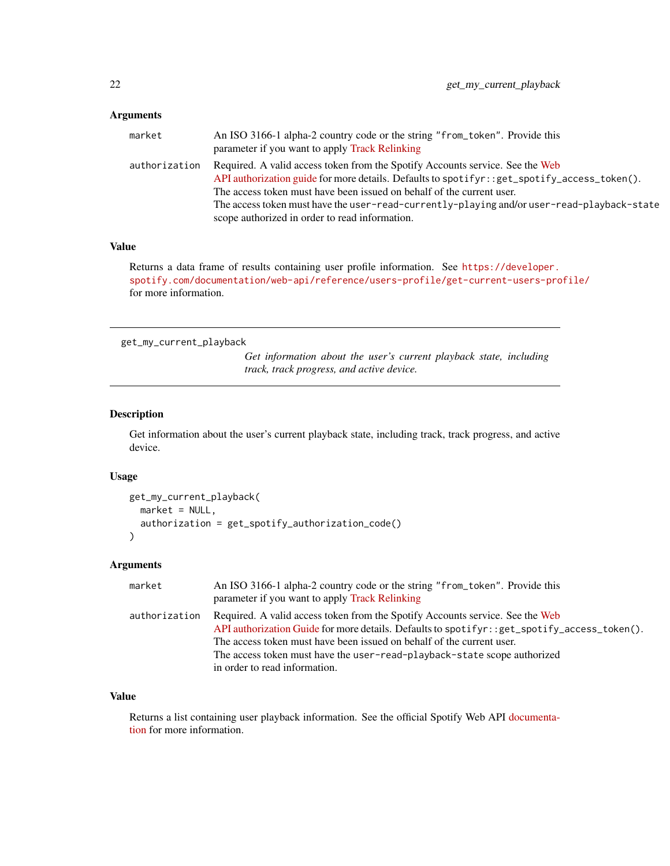# <span id="page-21-0"></span>Arguments

| market        | An ISO 3166-1 alpha-2 country code or the string "from_token". Provide this                 |
|---------------|---------------------------------------------------------------------------------------------|
|               | parameter if you want to apply Track Relinking                                              |
| authorization | Required. A valid access token from the Spotify Accounts service. See the Web               |
|               | API authorization guide for more details. Defaults to spotifyr::get_spotify_access_token(). |
|               | The access token must have been issued on behalf of the current user.                       |
|               | The access token must have the user-read-currently-playing and/or user-read-playback-state  |
|               | scope authorized in order to read information.                                              |

# Value

Returns a data frame of results containing user profile information. See [https://developer.](https://developer.spotify.com/documentation/web-api/reference/users-profile/get-current-users-profile/) [spotify.com/documentation/web-api/reference/users-profile/get-current-users-profile/](https://developer.spotify.com/documentation/web-api/reference/users-profile/get-current-users-profile/) for more information.

get\_my\_current\_playback

*Get information about the user's current playback state, including track, track progress, and active device.*

# Description

Get information about the user's current playback state, including track, track progress, and active device.

#### Usage

```
get_my_current_playback(
  market = NULL,authorization = get_spotify_authorization_code()
\mathcal{E}
```
### Arguments

| market        | An ISO 3166-1 alpha-2 country code or the string "from_token". Provide this<br>parameter if you want to apply Track Relinking                                                                                                                                                                                                                                        |
|---------------|----------------------------------------------------------------------------------------------------------------------------------------------------------------------------------------------------------------------------------------------------------------------------------------------------------------------------------------------------------------------|
| authorization | Required. A valid access token from the Spotify Accounts service. See the Web<br>API authorization Guide for more details. Defaults to spotifyr: : get_spotify_access_token().<br>The access token must have been issued on behalf of the current user.<br>The access token must have the user-read-playback-state scope authorized<br>in order to read information. |

### Value

Returns a list containing user playback information. See the official Spotify Web API [documenta](https://developer.spotify.com/documentation/web-api/reference/player/get-information-about-the-users-current-playback/)[tion](https://developer.spotify.com/documentation/web-api/reference/player/get-information-about-the-users-current-playback/) for more information.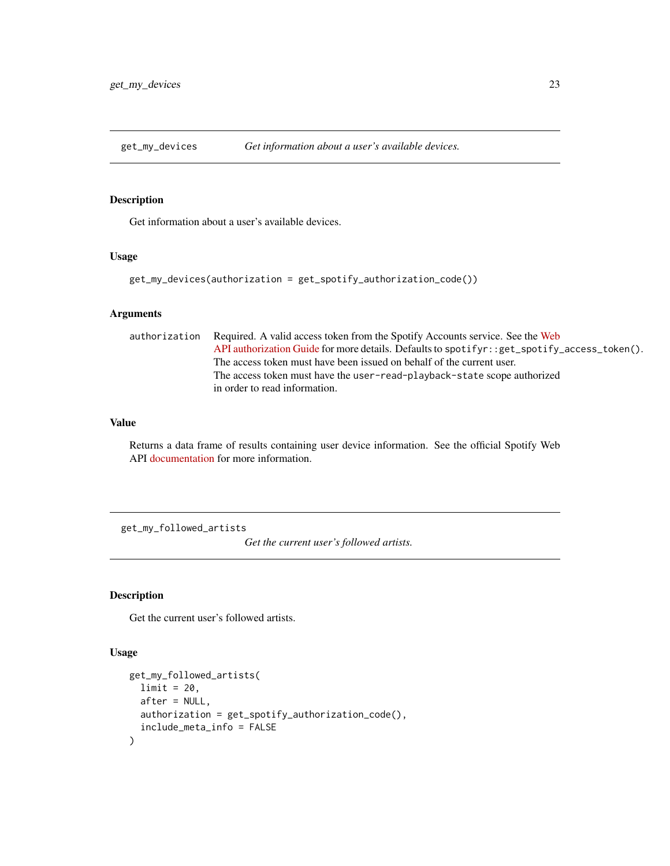<span id="page-22-0"></span>

# Description

Get information about a user's available devices.

#### Usage

```
get_my_devices(authorization = get_spotify_authorization_code())
```
### Arguments

```
authorization Required. A valid access token from the Spotify Accounts service. See the Web
                  API authorization Guide for more details. Defaults to spotifyr::get_spotify_access_token().
                  The access token must have been issued on behalf of the current user.
                  The access token must have the user-read-playback-state scope authorized
                  in order to read information.
```
# Value

Returns a data frame of results containing user device information. See the official Spotify Web API [documentation](https://developer.spotify.com/documentation/web-api/reference/player/get-a-users-available-devices/) for more information.

get\_my\_followed\_artists

*Get the current user's followed artists.*

### Description

Get the current user's followed artists.

#### Usage

```
get_my_followed_artists(
 limit = 20,after = NULL,
 authorization = get_spotify_authorization_code(),
  include_meta_info = FALSE
)
```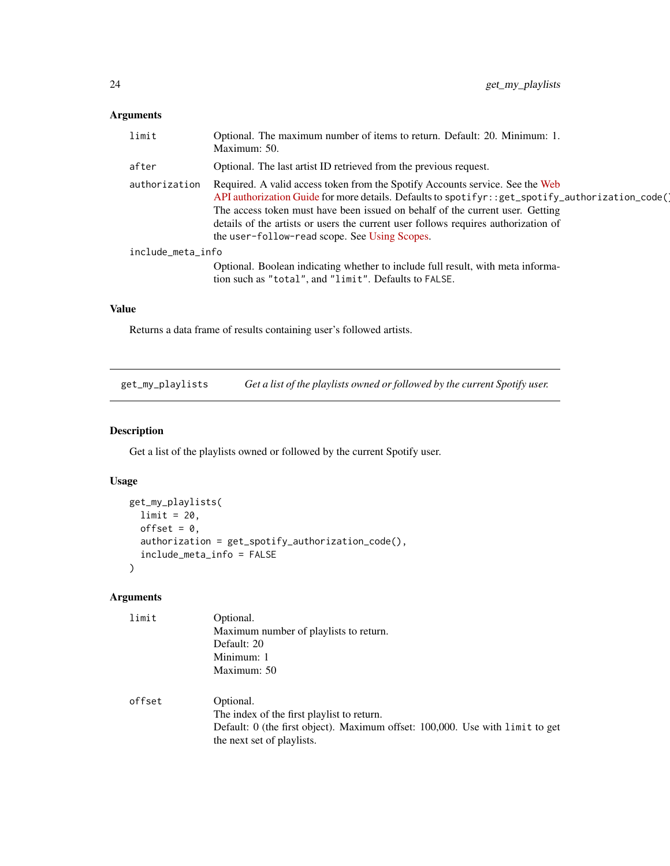# <span id="page-23-0"></span>Arguments

| limit             | Optional. The maximum number of items to return. Default: 20. Minimum: 1.<br>Maximum: 50.                                                                                                                                                                                                                                                                                                                   |
|-------------------|-------------------------------------------------------------------------------------------------------------------------------------------------------------------------------------------------------------------------------------------------------------------------------------------------------------------------------------------------------------------------------------------------------------|
| after             | Optional. The last artist ID retrieved from the previous request.                                                                                                                                                                                                                                                                                                                                           |
| authorization     | Required. A valid access token from the Spotify Accounts service. See the Web<br>API authorization Guide for more details. Defaults to spotifyr: : get_spotify_authorization_code()<br>The access token must have been issued on behalf of the current user. Getting<br>details of the artists or users the current user follows requires authorization of<br>the user-follow-read scope. See Using Scopes. |
| include_meta_info |                                                                                                                                                                                                                                                                                                                                                                                                             |
|                   | Optional. Boolean indicating whether to include full result, with meta informa-<br>tion such as "total", and "limit". Defaults to FALSE.                                                                                                                                                                                                                                                                    |

# Value

Returns a data frame of results containing user's followed artists.

get\_my\_playlists *Get a list of the playlists owned or followed by the current Spotify user.*

# Description

Get a list of the playlists owned or followed by the current Spotify user.

# Usage

```
get_my_playlists(
  limit = 20,offset = 0,
  authorization = get_spotify_authorization_code(),
  include_meta_info = FALSE
\mathcal{L}
```

| limit  | Optional.                                                                     |
|--------|-------------------------------------------------------------------------------|
|        | Maximum number of playlists to return.                                        |
|        | Default: 20                                                                   |
|        | Minimum: 1                                                                    |
|        | Maximum: 50                                                                   |
|        |                                                                               |
| offset | Optional.                                                                     |
|        | The index of the first playlist to return.                                    |
|        | Default: 0 (the first object). Maximum offset: 100,000. Use with limit to get |
|        | the next set of playlists.                                                    |
|        |                                                                               |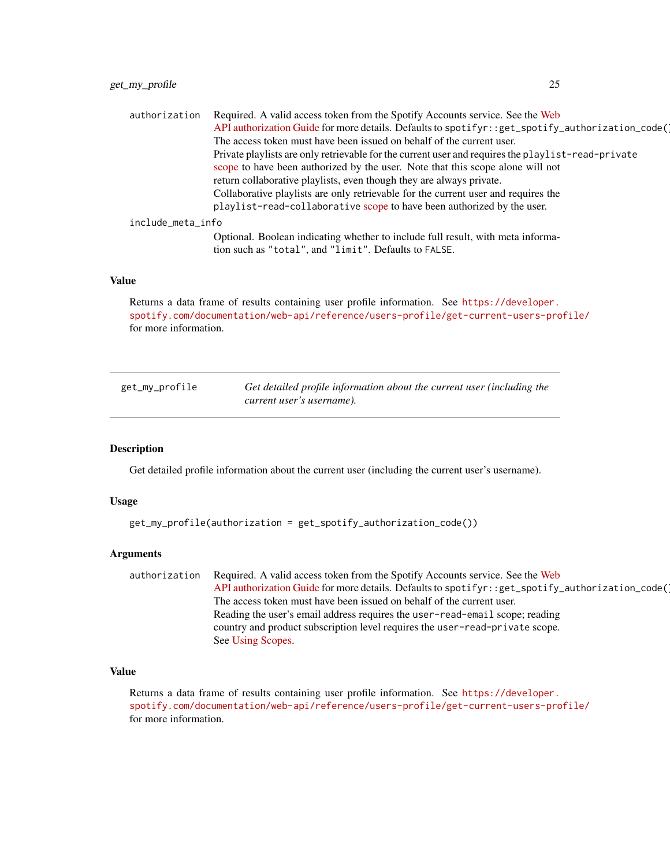<span id="page-24-0"></span>

| authorization     | Required. A valid access token from the Spotify Accounts service. See the Web                                                            |  |
|-------------------|------------------------------------------------------------------------------------------------------------------------------------------|--|
|                   | API authorization Guide for more details. Defaults to spotifyr:: get_spotify_authorization_code()                                        |  |
|                   | The access token must have been issued on behalf of the current user.                                                                    |  |
|                   | Private playlists are only retrievable for the current user and requires the playlist-read-private                                       |  |
|                   | scope to have been authorized by the user. Note that this scope alone will not                                                           |  |
|                   | return collaborative playlists, even though they are always private.                                                                     |  |
|                   | Collaborative playlists are only retrievable for the current user and requires the                                                       |  |
|                   | playlist-read-collaborative scope to have been authorized by the user.                                                                   |  |
| include_meta_info |                                                                                                                                          |  |
|                   | Optional. Boolean indicating whether to include full result, with meta informa-<br>tion such as "total", and "limit". Defaults to FALSE. |  |

Returns a data frame of results containing user profile information. See [https://developer.](https://developer.spotify.com/documentation/web-api/reference/users-profile/get-current-users-profile/) [spotify.com/documentation/web-api/reference/users-profile/get-current-users-profile/](https://developer.spotify.com/documentation/web-api/reference/users-profile/get-current-users-profile/) for more information.

get\_my\_profile *Get detailed profile information about the current user (including the current user's username).*

#### Description

Get detailed profile information about the current user (including the current user's username).

#### Usage

```
get_my_profile(authorization = get_spotify_authorization_code())
```
#### Arguments

authorization Required. A valid access token from the Spotify Accounts service. See the [Web](https://developer.spotify.com/documentation/general/guides/authorization-guide/) [API authorization Guide](https://developer.spotify.com/documentation/general/guides/authorization-guide/) for more details. Defaults to spotifyr::get\_spotify\_authorization\_code( The access token must have been issued on behalf of the current user. Reading the user's email address requires the user-read-email scope; reading country and product subscription level requires the user-read-private scope. See [Using Scopes.](https://developer.spotify.com/documentation/general/guides/authorization-guide/#list-of-scopes)

# Value

Returns a data frame of results containing user profile information. See [https://developer.](https://developer.spotify.com/documentation/web-api/reference/users-profile/get-current-users-profile/) [spotify.com/documentation/web-api/reference/users-profile/get-current-users-profile/](https://developer.spotify.com/documentation/web-api/reference/users-profile/get-current-users-profile/) for more information.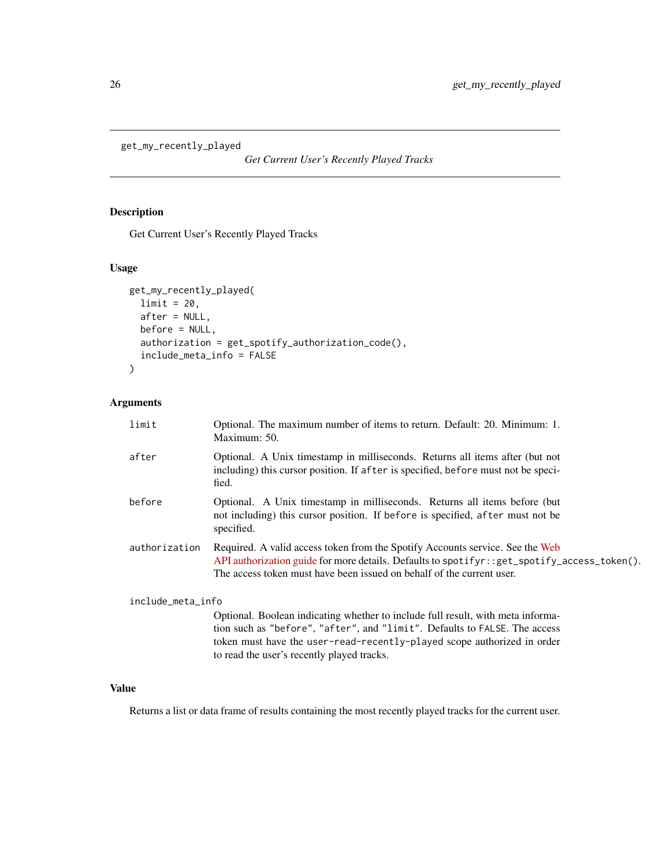<span id="page-25-0"></span>get\_my\_recently\_played

*Get Current User's Recently Played Tracks*

### Description

Get Current User's Recently Played Tracks

# Usage

```
get_my_recently_played(
 limit = 20,
 after = NULL,
 before = NULL,
 authorization = get_spotify_authorization_code(),
 include_meta_info = FALSE
)
```
# Arguments

| limit             | Optional. The maximum number of items to return. Default: 20. Minimum: 1.<br>Maximum: 50.                                                                                                                                                               |
|-------------------|---------------------------------------------------------------------------------------------------------------------------------------------------------------------------------------------------------------------------------------------------------|
| after             | Optional. A Unix timestamp in milliseconds. Returns all items after (but not<br>including) this cursor position. If after is specified, before must not be speci-<br>fied.                                                                              |
| before            | Optional. A Unix timestamp in milliseconds. Returns all items before (but<br>not including) this cursor position. If before is specified, after must not be<br>specified.                                                                               |
| authorization     | Required. A valid access token from the Spotify Accounts service. See the Web<br>API authorization guide for more details. Defaults to spotifyr: : get_spotify_access_token().<br>The access token must have been issued on behalf of the current user. |
| include_meta_info |                                                                                                                                                                                                                                                         |
|                   | Optional. Boolean indicating whether to include full result, with meta informa-<br>tion such as "before", "after", and "limit". Defaults to FALSE. The access                                                                                           |

token must have the user-read-recently-played scope authorized in order

#### Value

Returns a list or data frame of results containing the most recently played tracks for the current user.

to read the user's recently played tracks.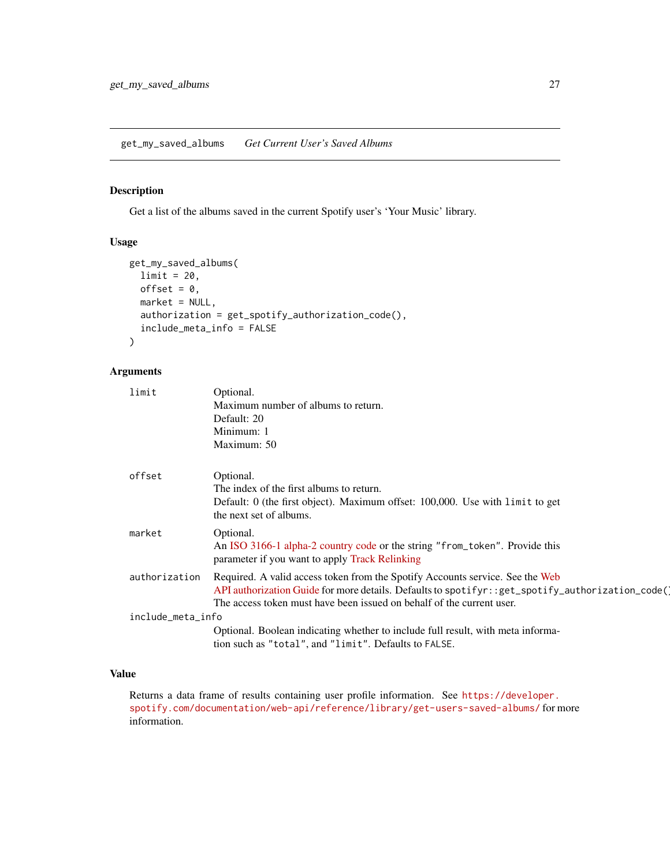<span id="page-26-0"></span>get\_my\_saved\_albums *Get Current User's Saved Albums*

# Description

Get a list of the albums saved in the current Spotify user's 'Your Music' library.

# Usage

```
get_my_saved_albums(
  limit = 20,offset = 0,
 market = NULL,
  authorization = get_spotify_authorization_code(),
  include_meta_info = FALSE
)
```
# Arguments

| limit             | Optional.                                                                                          |
|-------------------|----------------------------------------------------------------------------------------------------|
|                   | Maximum number of albums to return.                                                                |
|                   | Default: 20                                                                                        |
|                   | Minimum: 1                                                                                         |
|                   | Maximum: 50                                                                                        |
| offset            | Optional.                                                                                          |
|                   | The index of the first albums to return.                                                           |
|                   | Default: 0 (the first object). Maximum offset: 100,000. Use with limit to get                      |
|                   | the next set of albums.                                                                            |
| market            | Optional.                                                                                          |
|                   | An ISO 3166-1 alpha-2 country code or the string "from_token". Provide this                        |
|                   | parameter if you want to apply Track Relinking                                                     |
| authorization     | Required. A valid access token from the Spotify Accounts service. See the Web                      |
|                   | API authorization Guide for more details. Defaults to spotifyr: : get_spotify_authorization_code() |
|                   | The access token must have been issued on behalf of the current user.                              |
| include_meta_info |                                                                                                    |
|                   | Optional. Boolean indicating whether to include full result, with meta informa-                    |
|                   | tion such as "total", and "limit". Defaults to FALSE.                                              |
|                   |                                                                                                    |

# Value

Returns a data frame of results containing user profile information. See [https://developer.](https://developer.spotify.com/documentation/web-api/reference/library/get-users-saved-albums/) [spotify.com/documentation/web-api/reference/library/get-users-saved-albums/](https://developer.spotify.com/documentation/web-api/reference/library/get-users-saved-albums/) for more information.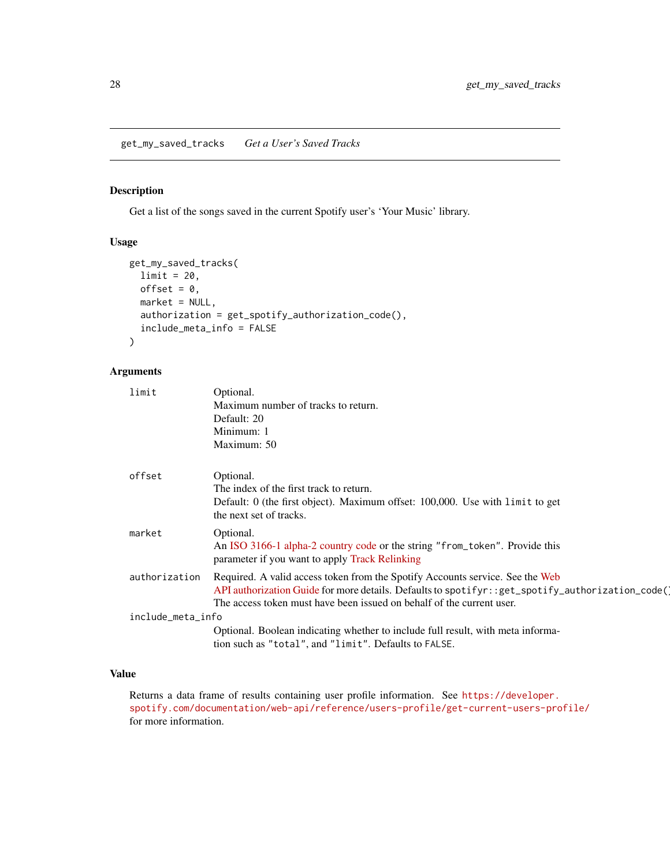<span id="page-27-0"></span>get\_my\_saved\_tracks *Get a User's Saved Tracks*

# Description

Get a list of the songs saved in the current Spotify user's 'Your Music' library.

# Usage

```
get_my_saved_tracks(
 limit = 20,offset = 0,
 market = NULL,
  authorization = get_spotify_authorization_code(),
  include_meta_info = FALSE
)
```
# Arguments

| limit             | Optional.                                                                                          |
|-------------------|----------------------------------------------------------------------------------------------------|
|                   | Maximum number of tracks to return.                                                                |
|                   | Default: 20                                                                                        |
|                   | Minimum: 1                                                                                         |
|                   | Maximum: 50                                                                                        |
| offset            | Optional.                                                                                          |
|                   | The index of the first track to return.                                                            |
|                   | Default: 0 (the first object). Maximum offset: 100,000. Use with limit to get                      |
|                   | the next set of tracks.                                                                            |
| market            | Optional.                                                                                          |
|                   | An ISO 3166-1 alpha-2 country code or the string "from_token". Provide this                        |
|                   | parameter if you want to apply Track Relinking                                                     |
| authorization     | Required. A valid access token from the Spotify Accounts service. See the Web                      |
|                   | API authorization Guide for more details. Defaults to spotifyr: : get_spotify_authorization_code() |
|                   | The access token must have been issued on behalf of the current user.                              |
| include_meta_info |                                                                                                    |
|                   | Optional. Boolean indicating whether to include full result, with meta informa-                    |
|                   | tion such as "total", and "limit". Defaults to FALSE.                                              |
|                   |                                                                                                    |

# Value

Returns a data frame of results containing user profile information. See [https://developer.](https://developer.spotify.com/documentation/web-api/reference/users-profile/get-current-users-profile/) [spotify.com/documentation/web-api/reference/users-profile/get-current-users-profile/](https://developer.spotify.com/documentation/web-api/reference/users-profile/get-current-users-profile/) for more information.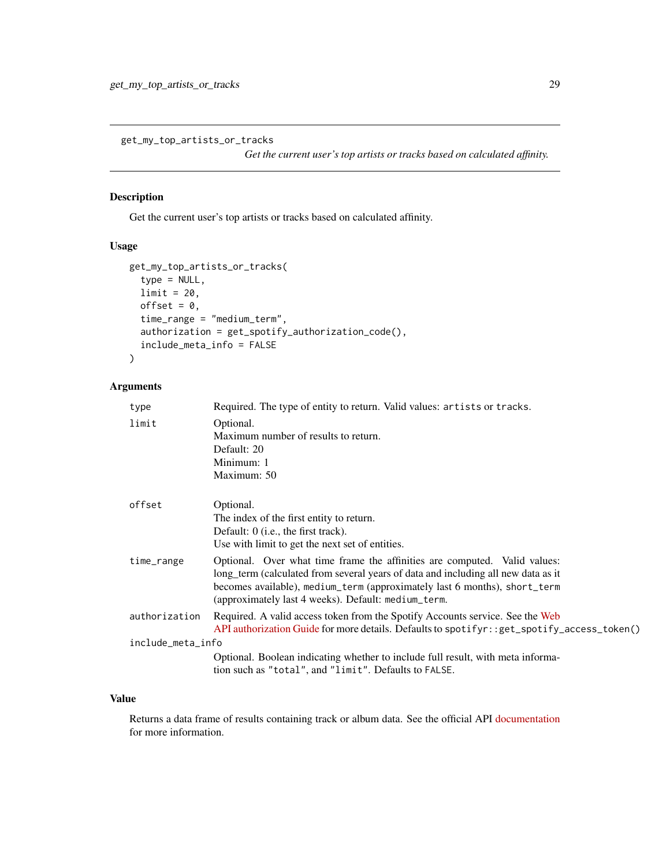<span id="page-28-0"></span>get\_my\_top\_artists\_or\_tracks

*Get the current user's top artists or tracks based on calculated affinity.*

# Description

Get the current user's top artists or tracks based on calculated affinity.

### Usage

```
get_my_top_artists_or_tracks(
  type = NULL,limit = 20,offset = 0,
  time_range = "medium_term",
  authorization = get_spotify_authorization_code(),
  include_meta_info = FALSE
)
```
### Arguments

| type              | Required. The type of entity to return. Valid values: artists or tracks.                                                                                                                                                                                                                           |
|-------------------|----------------------------------------------------------------------------------------------------------------------------------------------------------------------------------------------------------------------------------------------------------------------------------------------------|
| limit             | Optional.<br>Maximum number of results to return.<br>Default: 20<br>Minimum: 1<br>Maximum: 50                                                                                                                                                                                                      |
| offset            | Optional.<br>The index of the first entity to return.<br>Default: $0$ (i.e., the first track).<br>Use with limit to get the next set of entities.                                                                                                                                                  |
| time_range        | Optional. Over what time frame the affinities are computed. Valid values:<br>long term (calculated from several years of data and including all new data as it<br>becomes available), medium_term (approximately last 6 months), short_term<br>(approximately last 4 weeks). Default: medium_term. |
| authorization     | Required. A valid access token from the Spotify Accounts service. See the Web<br>API authorization Guide for more details. Defaults to spotifyr: : get_spotify_access_token()                                                                                                                      |
| include_meta_info |                                                                                                                                                                                                                                                                                                    |
|                   | Optional. Boolean indicating whether to include full result, with meta informa-<br>tion such as "total", and "limit". Defaults to FALSE.                                                                                                                                                           |

# Value

Returns a data frame of results containing track or album data. See the official API [documentation](https://developer.spotify.com/documentation/web-api/reference/personalization/get-users-top-artists-and-tracks/) for more information.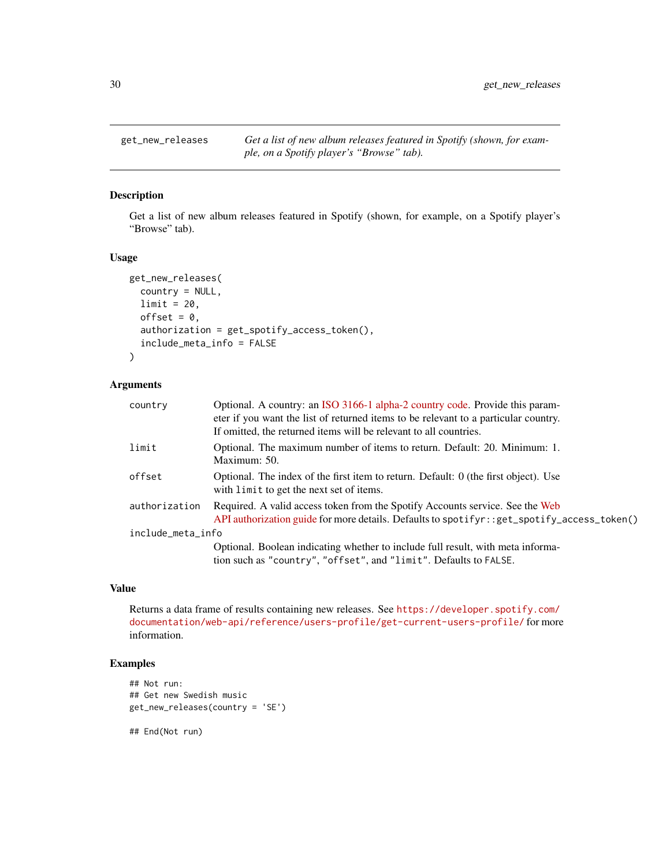<span id="page-29-0"></span>

### Description

Get a list of new album releases featured in Spotify (shown, for example, on a Spotify player's "Browse" tab).

# Usage

```
get_new_releases(
  country = NULL,
  limit = 20,
  offset = 0,
  authorization = get_spotify_access_token(),
  include_meta_info = FALSE
)
```
# Arguments

| country           | Optional. A country: an ISO 3166-1 alpha-2 country code. Provide this param-<br>eter if you want the list of returned items to be relevant to a particular country.<br>If omitted, the returned items will be relevant to all countries. |  |
|-------------------|------------------------------------------------------------------------------------------------------------------------------------------------------------------------------------------------------------------------------------------|--|
| limit             | Optional. The maximum number of items to return. Default: 20. Minimum: 1.<br>Maximum: 50.                                                                                                                                                |  |
| offset            | Optional. The index of the first item to return. Default: 0 (the first object). Use<br>with limit to get the next set of items.                                                                                                          |  |
| authorization     | Required. A valid access token from the Spotify Accounts service. See the Web<br>API authorization guide for more details. Defaults to spotifyr: : get_spotify_access_token()                                                            |  |
| include_meta_info |                                                                                                                                                                                                                                          |  |
|                   | Optional. Boolean indicating whether to include full result, with meta informa-<br>tion such as "country", "offset", and "limit". Defaults to FALSE.                                                                                     |  |

### Value

Returns a data frame of results containing new releases. See [https://developer.spotify.com/](https://developer.spotify.com/documentation/web-api/reference/users-profile/get-current-users-profile/) [documentation/web-api/reference/users-profile/get-current-users-profile/](https://developer.spotify.com/documentation/web-api/reference/users-profile/get-current-users-profile/) for more information.

### Examples

```
## Not run:
## Get new Swedish music
get_new_releases(country = 'SE')
```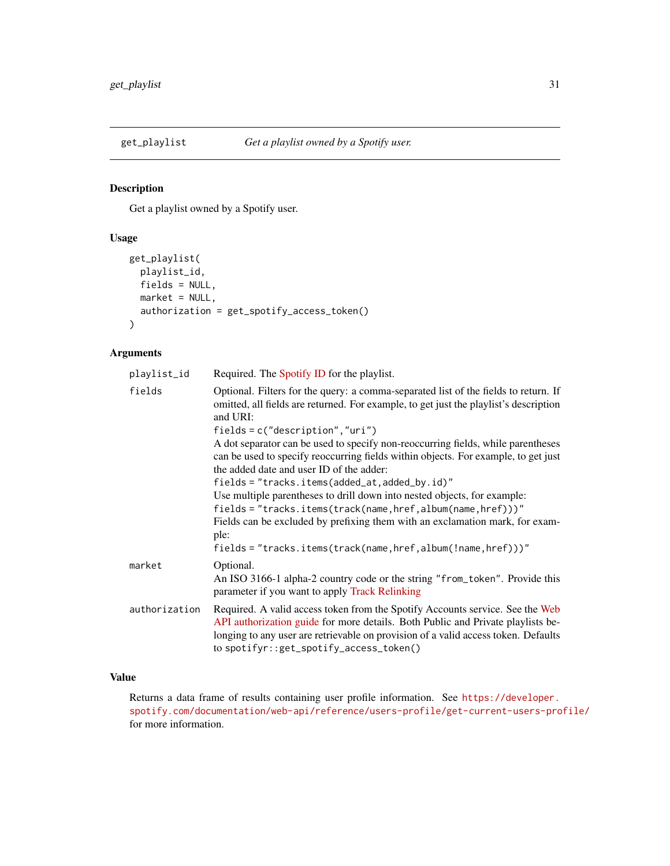<span id="page-30-0"></span>

# Description

Get a playlist owned by a Spotify user.

# Usage

```
get_playlist(
 playlist_id,
 fields = NULL,
 market = NULL,
 authorization = get_spotify_access_token()
)
```
# Arguments

| Required. The Spotify ID for the playlist.                                                                                                                                                                                                                                                        |
|---------------------------------------------------------------------------------------------------------------------------------------------------------------------------------------------------------------------------------------------------------------------------------------------------|
| Optional. Filters for the query: a comma-separated list of the fields to return. If<br>omitted, all fields are returned. For example, to get just the playlist's description<br>and URI:                                                                                                          |
| $fields = c("description", "uri")$                                                                                                                                                                                                                                                                |
| A dot separator can be used to specify non-reoccurring fields, while parentheses<br>can be used to specify reoccurring fields within objects. For example, to get just<br>the added date and user ID of the adder:                                                                                |
| fields = "tracks.items(added_at,added_by.id)"                                                                                                                                                                                                                                                     |
| Use multiple parentheses to drill down into nested objects, for example:                                                                                                                                                                                                                          |
| fields = "tracks.items(track(name,href,album(name,href)))"                                                                                                                                                                                                                                        |
| Fields can be excluded by prefixing them with an exclamation mark, for exam-<br>ple:                                                                                                                                                                                                              |
| $fields = "tracks.items(train, href, album(!name, href))"$                                                                                                                                                                                                                                        |
| Optional.                                                                                                                                                                                                                                                                                         |
| An ISO 3166-1 alpha-2 country code or the string "from_token". Provide this<br>parameter if you want to apply Track Relinking                                                                                                                                                                     |
| Required. A valid access token from the Spotify Accounts service. See the Web<br>API authorization guide for more details. Both Public and Private playlists be-<br>longing to any user are retrievable on provision of a valid access token. Defaults<br>to spotifyr::get_spotify_access_token() |
|                                                                                                                                                                                                                                                                                                   |

# Value

Returns a data frame of results containing user profile information. See [https://developer.](https://developer.spotify.com/documentation/web-api/reference/users-profile/get-current-users-profile/) [spotify.com/documentation/web-api/reference/users-profile/get-current-users-profile/](https://developer.spotify.com/documentation/web-api/reference/users-profile/get-current-users-profile/) for more information.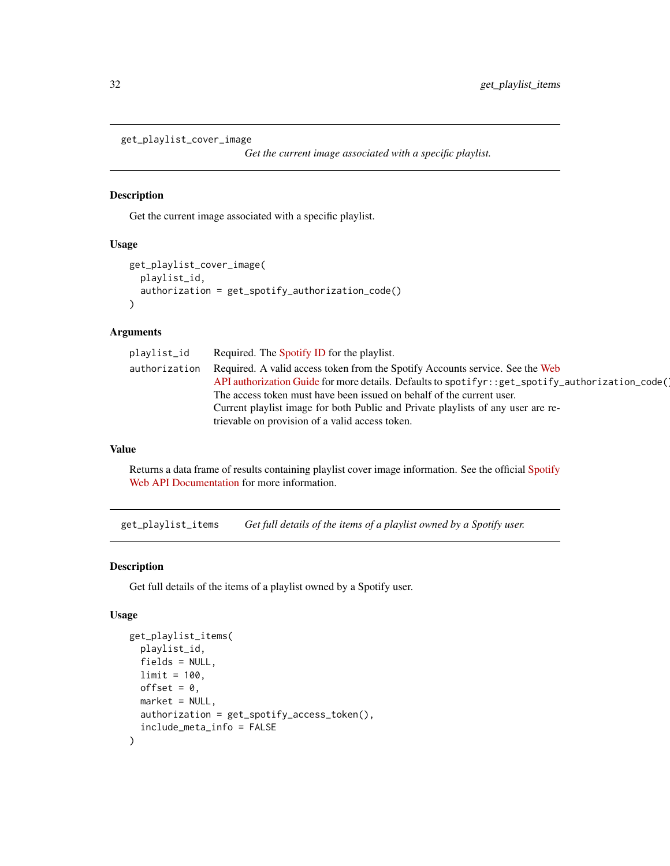```
get_playlist_cover_image
```
*Get the current image associated with a specific playlist.*

### Description

Get the current image associated with a specific playlist.

# Usage

```
get_playlist_cover_image(
 playlist_id,
  authorization = get_spotify_authorization_code()
)
```
# Arguments

| playlist_id   | Required. The Spotify ID for the playlist.                                                      |
|---------------|-------------------------------------------------------------------------------------------------|
| authorization | Required. A valid access token from the Spotify Accounts service. See the Web                   |
|               | API authorization Guide for more details. Defaults to spotifyr::get_spotify_authorization_code( |
|               | The access token must have been issued on behalf of the current user.                           |
|               | Current playlist image for both Public and Private playlists of any user are re-                |
|               | trievable on provision of a valid access token.                                                 |

### Value

Returns a data frame of results containing playlist cover image information. See the official [Spotify](https://developer.spotify.com/documentation/web-api/reference/playlists/get-playlist-cover/) [Web API Documentation](https://developer.spotify.com/documentation/web-api/reference/playlists/get-playlist-cover/) for more information.

get\_playlist\_items *Get full details of the items of a playlist owned by a Spotify user.*

# Description

Get full details of the items of a playlist owned by a Spotify user.

# Usage

```
get_playlist_items(
  playlist_id,
  fields = NULL,
  limit = 100.
  offset = 0,
 market = NULL,authorization = get_spotify_access_token(),
  include_meta_info = FALSE
\mathcal{E}
```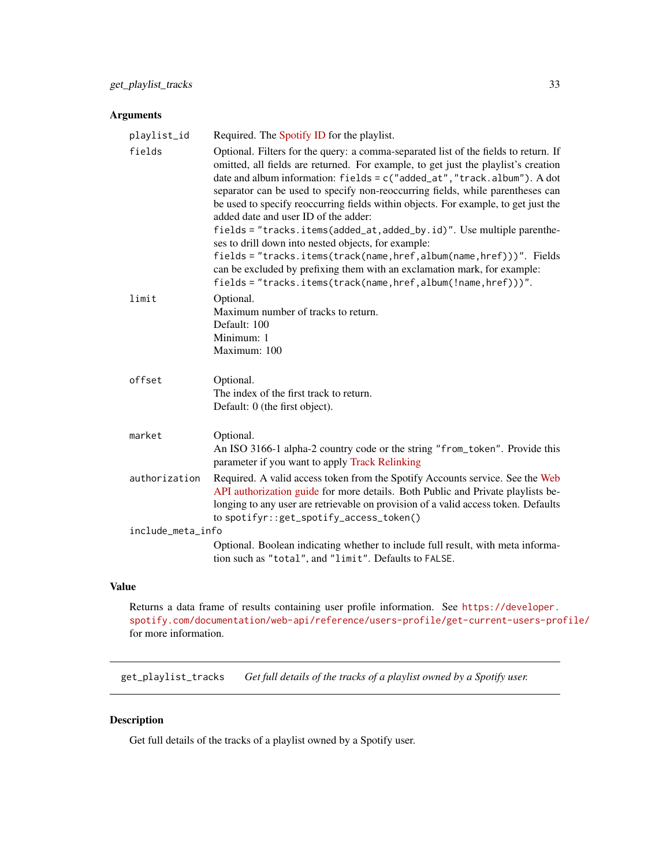# <span id="page-32-0"></span>Arguments

| playlist_id       | Required. The Spotify ID for the playlist.                                                                                                                                                                                                                                                                                                                                                                                                                                                                                                     |
|-------------------|------------------------------------------------------------------------------------------------------------------------------------------------------------------------------------------------------------------------------------------------------------------------------------------------------------------------------------------------------------------------------------------------------------------------------------------------------------------------------------------------------------------------------------------------|
| fields            | Optional. Filters for the query: a comma-separated list of the fields to return. If<br>omitted, all fields are returned. For example, to get just the playlist's creation<br>date and album information: fields = c("added_at", "track.album"). A dot<br>separator can be used to specify non-reoccurring fields, while parentheses can<br>be used to specify reoccurring fields within objects. For example, to get just the<br>added date and user ID of the adder:<br>fields = "tracks.items(added_at,added_by.id)". Use multiple parenthe- |
|                   | ses to drill down into nested objects, for example:<br>fields = "tracks.items(track(name,href,album(name,href)))". Fields<br>can be excluded by prefixing them with an exclamation mark, for example:<br>fields = "tracks.items(track(name,href,album(!name,href)))".                                                                                                                                                                                                                                                                          |
| limit             | Optional.<br>Maximum number of tracks to return.<br>Default: 100<br>Minimum: 1<br>Maximum: 100                                                                                                                                                                                                                                                                                                                                                                                                                                                 |
| offset            | Optional.<br>The index of the first track to return.<br>Default: 0 (the first object).                                                                                                                                                                                                                                                                                                                                                                                                                                                         |
| market            | Optional.<br>An ISO 3166-1 alpha-2 country code or the string "from_token". Provide this<br>parameter if you want to apply Track Relinking                                                                                                                                                                                                                                                                                                                                                                                                     |
| authorization     | Required. A valid access token from the Spotify Accounts service. See the Web<br>API authorization guide for more details. Both Public and Private playlists be-<br>longing to any user are retrievable on provision of a valid access token. Defaults<br>to spotifyr::get_spotify_access_token()                                                                                                                                                                                                                                              |
| include_meta_info |                                                                                                                                                                                                                                                                                                                                                                                                                                                                                                                                                |
|                   | Optional. Boolean indicating whether to include full result, with meta informa-<br>tion such as "total", and "limit". Defaults to FALSE.                                                                                                                                                                                                                                                                                                                                                                                                       |

### Value

Returns a data frame of results containing user profile information. See [https://developer.](https://developer.spotify.com/documentation/web-api/reference/users-profile/get-current-users-profile/) [spotify.com/documentation/web-api/reference/users-profile/get-current-users-profile/](https://developer.spotify.com/documentation/web-api/reference/users-profile/get-current-users-profile/) for more information.

get\_playlist\_tracks *Get full details of the tracks of a playlist owned by a Spotify user.*

# Description

Get full details of the tracks of a playlist owned by a Spotify user.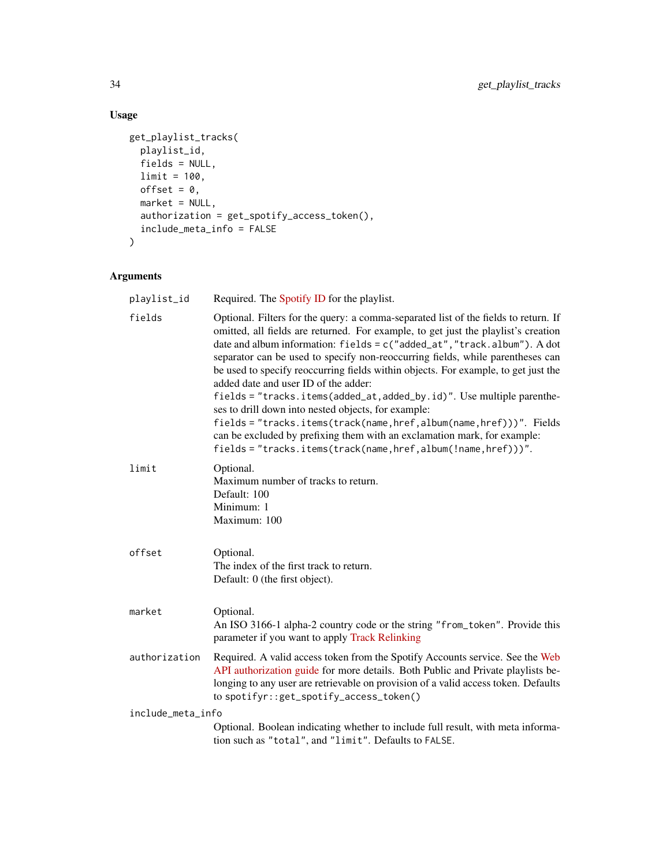# Usage

```
get_playlist_tracks(
  playlist_id,
  fields = NULL,
  limit = 100,
  offset = 0,
  market = NULL,
  authorization = get_spotify_access_token(),
  include_meta_info = FALSE
\mathcal{L}
```

| playlist_id       | Required. The Spotify ID for the playlist.                                                                                                                                                                                                                                                                                                                                                                                                                                                                                                                                                                                                                                                                                                                                                                              |
|-------------------|-------------------------------------------------------------------------------------------------------------------------------------------------------------------------------------------------------------------------------------------------------------------------------------------------------------------------------------------------------------------------------------------------------------------------------------------------------------------------------------------------------------------------------------------------------------------------------------------------------------------------------------------------------------------------------------------------------------------------------------------------------------------------------------------------------------------------|
| fields            | Optional. Filters for the query: a comma-separated list of the fields to return. If<br>omitted, all fields are returned. For example, to get just the playlist's creation<br>date and album information: fields = c("added_at", "track.album"). A dot<br>separator can be used to specify non-reoccurring fields, while parentheses can<br>be used to specify reoccurring fields within objects. For example, to get just the<br>added date and user ID of the adder:<br>fields = "tracks.items(added_at,added_by.id)". Use multiple parenthe-<br>ses to drill down into nested objects, for example:<br>fields = "tracks.items(track(name,href,album(name,href)))". Fields<br>can be excluded by prefixing them with an exclamation mark, for example:<br>fields = "tracks.items(track(name,href,album(!name,href)))". |
| limit             | Optional.<br>Maximum number of tracks to return.<br>Default: 100<br>Minimum: 1<br>Maximum: 100                                                                                                                                                                                                                                                                                                                                                                                                                                                                                                                                                                                                                                                                                                                          |
| offset            | Optional.<br>The index of the first track to return.<br>Default: 0 (the first object).                                                                                                                                                                                                                                                                                                                                                                                                                                                                                                                                                                                                                                                                                                                                  |
| market            | Optional.<br>An ISO 3166-1 alpha-2 country code or the string "from_token". Provide this<br>parameter if you want to apply Track Relinking                                                                                                                                                                                                                                                                                                                                                                                                                                                                                                                                                                                                                                                                              |
| authorization     | Required. A valid access token from the Spotify Accounts service. See the Web<br>API authorization guide for more details. Both Public and Private playlists be-<br>longing to any user are retrievable on provision of a valid access token. Defaults<br>to spotifyr::get_spotify_access_token()                                                                                                                                                                                                                                                                                                                                                                                                                                                                                                                       |
| include_meta_info |                                                                                                                                                                                                                                                                                                                                                                                                                                                                                                                                                                                                                                                                                                                                                                                                                         |
|                   | Optional. Boolean indicating whether to include full result, with meta informa-<br>tion such as "total", and "limit". Defaults to FALSE.                                                                                                                                                                                                                                                                                                                                                                                                                                                                                                                                                                                                                                                                                |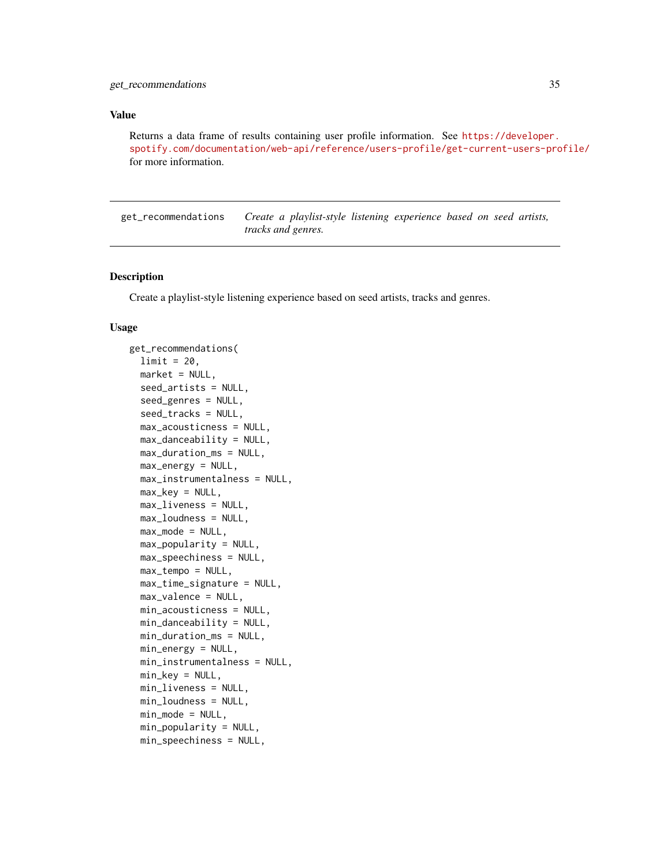<span id="page-34-0"></span>Returns a data frame of results containing user profile information. See [https://developer.](https://developer.spotify.com/documentation/web-api/reference/users-profile/get-current-users-profile/) [spotify.com/documentation/web-api/reference/users-profile/get-current-users-profile/](https://developer.spotify.com/documentation/web-api/reference/users-profile/get-current-users-profile/) for more information.

get\_recommendations *Create a playlist-style listening experience based on seed artists, tracks and genres.*

#### Description

Create a playlist-style listening experience based on seed artists, tracks and genres.

#### Usage

```
get_recommendations(
  limit = 20,market = NULL,
  seed_artists = NULL,
  seed_genres = NULL,
  seed_tracks = NULL,
  max_acousticness = NULL,
 max_danceability = NULL,
 max_duration_ms = NULL,
 max_energy = NULL,
 max_instrumentalness = NULL,
 max\_key = NULL,max_liveness = NULL,
 max_loudness = NULL,
 max_model = NULL,max_popularity = NULL,
 max_speechiness = NULL,
 max_tempo = NULL,
 max_time_signature = NULL,
 max_valence = NULL,
 min_acousticness = NULL,
 min_danceability = NULL,
 min_duration_ms = NULL,
  min_energy = NULL,
 min_instrumentalness = NULL,
 min\_key = NULL,
 min_liveness = NULL,
 min_loudness = NULL,
 min\_mode = NULL,min_popularity = NULL,
 min_speechiness = NULL,
```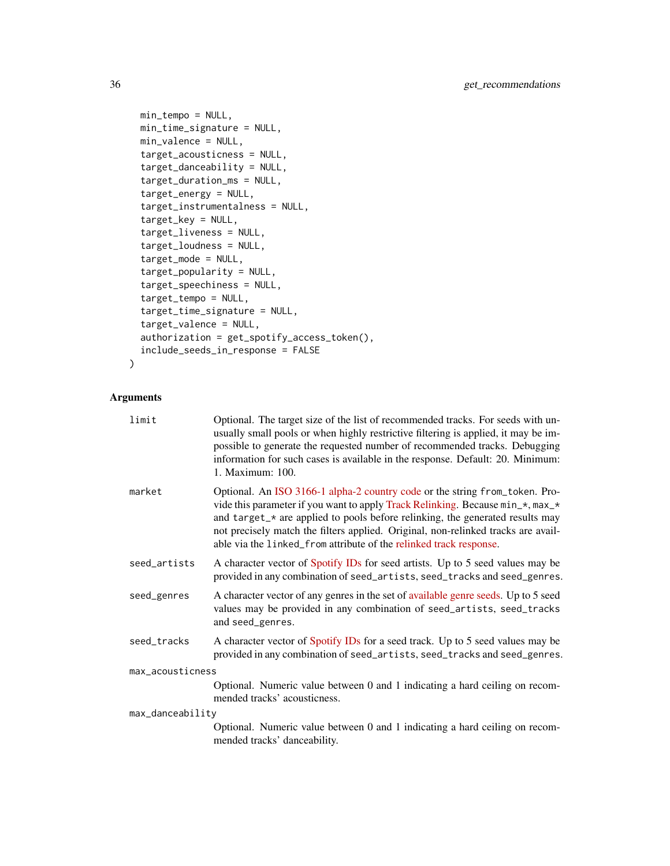```
min_tempo = NULL,
 min_time_signature = NULL,
 min_valence = NULL,
 target_acousticness = NULL,
  target_danceability = NULL,
  target_duration_ms = NULL,
  target_energy = NULL,
  target_instrumentalness = NULL,
  target_key = NULL,
  target_liveness = NULL,
  target_loudness = NULL,
  target_mode = NULL,
  target_popularity = NULL,
  target_speechiness = NULL,
  target_tempo = NULL,
  target_time_signature = NULL,
  target_valence = NULL,
  authorization = get_spotify_access_token(),
  include_seeds_in_response = FALSE
\mathcal{L}
```

| limit            | Optional. The target size of the list of recommended tracks. For seeds with un-<br>usually small pools or when highly restrictive filtering is applied, it may be im-<br>possible to generate the requested number of recommended tracks. Debugging<br>information for such cases is available in the response. Default: 20. Minimum:<br>1. Maximum: 100.                                                 |  |
|------------------|-----------------------------------------------------------------------------------------------------------------------------------------------------------------------------------------------------------------------------------------------------------------------------------------------------------------------------------------------------------------------------------------------------------|--|
| market           | Optional. An ISO 3166-1 alpha-2 country code or the string from_token. Pro-<br>vide this parameter if you want to apply Track Relinking. Because min_*, max_*<br>and target_* are applied to pools before relinking, the generated results may<br>not precisely match the filters applied. Original, non-relinked tracks are avail-<br>able via the linked_from attribute of the relinked track response. |  |
| seed_artists     | A character vector of Spotify IDs for seed artists. Up to 5 seed values may be<br>provided in any combination of seed_artists, seed_tracks and seed_genres.                                                                                                                                                                                                                                               |  |
| seed_genres      | A character vector of any genres in the set of available genre seeds. Up to 5 seed<br>values may be provided in any combination of seed_artists, seed_tracks<br>and seed_genres.                                                                                                                                                                                                                          |  |
| seed_tracks      | A character vector of Spotify IDs for a seed track. Up to 5 seed values may be<br>provided in any combination of seed_artists, seed_tracks and seed_genres.                                                                                                                                                                                                                                               |  |
| max_acousticness |                                                                                                                                                                                                                                                                                                                                                                                                           |  |
|                  | Optional. Numeric value between 0 and 1 indicating a hard ceiling on recom-<br>mended tracks' acousticness.                                                                                                                                                                                                                                                                                               |  |
| max_danceability |                                                                                                                                                                                                                                                                                                                                                                                                           |  |
|                  | Optional. Numeric value between 0 and 1 indicating a hard ceiling on recom-<br>mended tracks' danceability.                                                                                                                                                                                                                                                                                               |  |
|                  |                                                                                                                                                                                                                                                                                                                                                                                                           |  |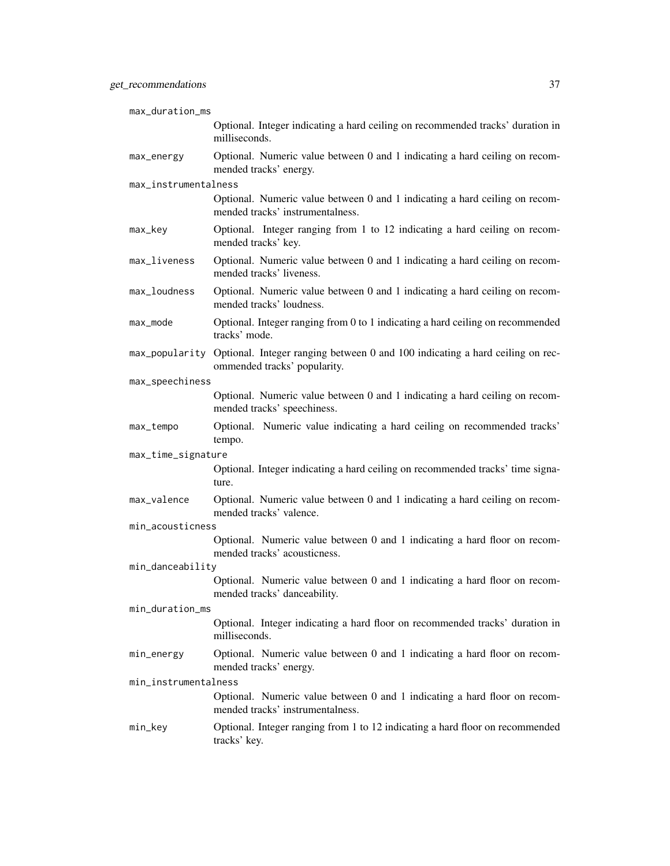| max_duration_ms      |                                                                                                                              |
|----------------------|------------------------------------------------------------------------------------------------------------------------------|
|                      | Optional. Integer indicating a hard ceiling on recommended tracks' duration in<br>milliseconds.                              |
| max_energy           | Optional. Numeric value between 0 and 1 indicating a hard ceiling on recom-<br>mended tracks' energy.                        |
| max_instrumentalness |                                                                                                                              |
|                      | Optional. Numeric value between 0 and 1 indicating a hard ceiling on recom-<br>mended tracks' instrumentalness.              |
| max_key              | Optional. Integer ranging from 1 to 12 indicating a hard ceiling on recom-<br>mended tracks' key.                            |
| max_liveness         | Optional. Numeric value between 0 and 1 indicating a hard ceiling on recom-<br>mended tracks' liveness.                      |
| max_loudness         | Optional. Numeric value between 0 and 1 indicating a hard ceiling on recom-<br>mended tracks' loudness.                      |
| max_mode             | Optional. Integer ranging from 0 to 1 indicating a hard ceiling on recommended<br>tracks' mode.                              |
|                      | max_popularity Optional. Integer ranging between 0 and 100 indicating a hard ceiling on rec-<br>ommended tracks' popularity. |
| max_speechiness      |                                                                                                                              |
|                      | Optional. Numeric value between 0 and 1 indicating a hard ceiling on recom-<br>mended tracks' speechiness.                   |
| max_tempo            | Optional. Numeric value indicating a hard ceiling on recommended tracks'<br>tempo.                                           |
| max_time_signature   |                                                                                                                              |
|                      | Optional. Integer indicating a hard ceiling on recommended tracks' time signa-<br>ture.                                      |
| max_valence          | Optional. Numeric value between 0 and 1 indicating a hard ceiling on recom-<br>mended tracks' valence.                       |
| min_acousticness     |                                                                                                                              |
|                      | Optional. Numeric value between 0 and 1 indicating a hard floor on recom-<br>mended tracks' acousticness.                    |
| min_danceability     |                                                                                                                              |
|                      | Optional. Numeric value between 0 and 1 indicating a hard floor on recom-<br>mended tracks' danceability.                    |
| min_duration_ms      |                                                                                                                              |
|                      | Optional. Integer indicating a hard floor on recommended tracks' duration in<br>milliseconds.                                |
| min_energy           | Optional. Numeric value between 0 and 1 indicating a hard floor on recom-<br>mended tracks' energy.                          |
| min_instrumentalness |                                                                                                                              |
|                      | Optional. Numeric value between 0 and 1 indicating a hard floor on recom-<br>mended tracks' instrumentalness.                |
| min_key              | Optional. Integer ranging from 1 to 12 indicating a hard floor on recommended<br>tracks' key.                                |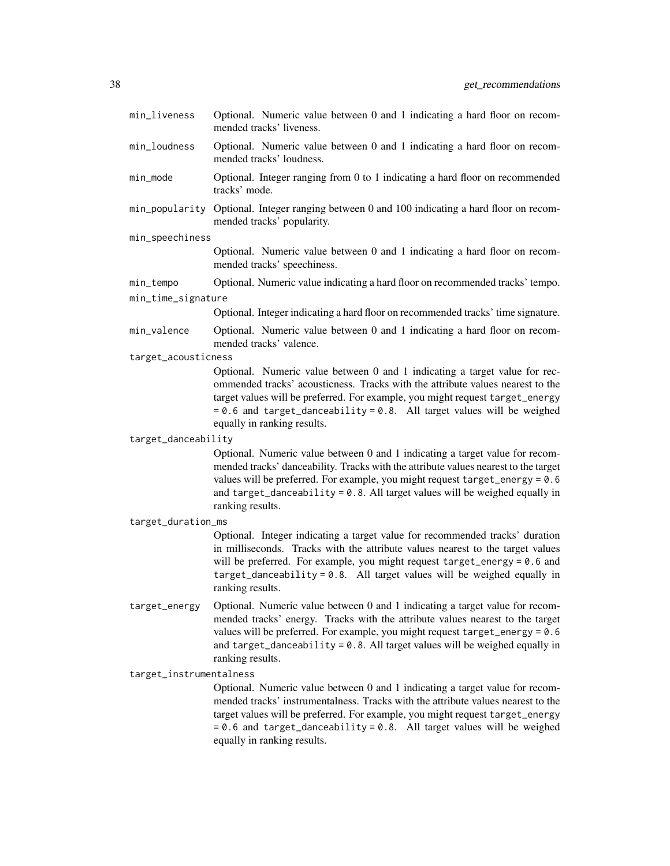- min\_liveness Optional. Numeric value between 0 and 1 indicating a hard floor on recommended tracks' liveness.
- min\_loudness Optional. Numeric value between 0 and 1 indicating a hard floor on recommended tracks' loudness.
- min\_mode Optional. Integer ranging from 0 to 1 indicating a hard floor on recommended tracks' mode.
- min\_popularity Optional. Integer ranging between 0 and 100 indicating a hard floor on recommended tracks' popularity.

#### min\_speechiness

Optional. Numeric value between 0 and 1 indicating a hard floor on recommended tracks' speechiness.

min\_tempo Optional. Numeric value indicating a hard floor on recommended tracks' tempo.

#### min\_time\_signature

Optional. Integer indicating a hard floor on recommended tracks' time signature.

- min\_valence Optional. Numeric value between 0 and 1 indicating a hard floor on recommended tracks' valence.
- target\_acousticness

Optional. Numeric value between 0 and 1 indicating a target value for recommended tracks' acousticness. Tracks with the attribute values nearest to the target values will be preferred. For example, you might request target\_energy = 0.6 and target\_danceability = 0.8. All target values will be weighed equally in ranking results.

#### target\_danceability

Optional. Numeric value between 0 and 1 indicating a target value for recommended tracks' danceability. Tracks with the attribute values nearest to the target values will be preferred. For example, you might request target\_energy = 0.6 and target\_danceability = 0.8. All target values will be weighed equally in ranking results.

target\_duration\_ms

Optional. Integer indicating a target value for recommended tracks' duration in milliseconds. Tracks with the attribute values nearest to the target values will be preferred. For example, you might request target\_energy = 0.6 and target\_danceability = 0.8. All target values will be weighed equally in ranking results.

target\_energy Optional. Numeric value between 0 and 1 indicating a target value for recommended tracks' energy. Tracks with the attribute values nearest to the target values will be preferred. For example, you might request target\_energy = 0.6 and target\_danceability = 0.8. All target values will be weighed equally in ranking results.

#### target\_instrumentalness

Optional. Numeric value between 0 and 1 indicating a target value for recommended tracks' instrumentalness. Tracks with the attribute values nearest to the target values will be preferred. For example, you might request target\_energy = 0.6 and target\_danceability = 0.8. All target values will be weighed equally in ranking results.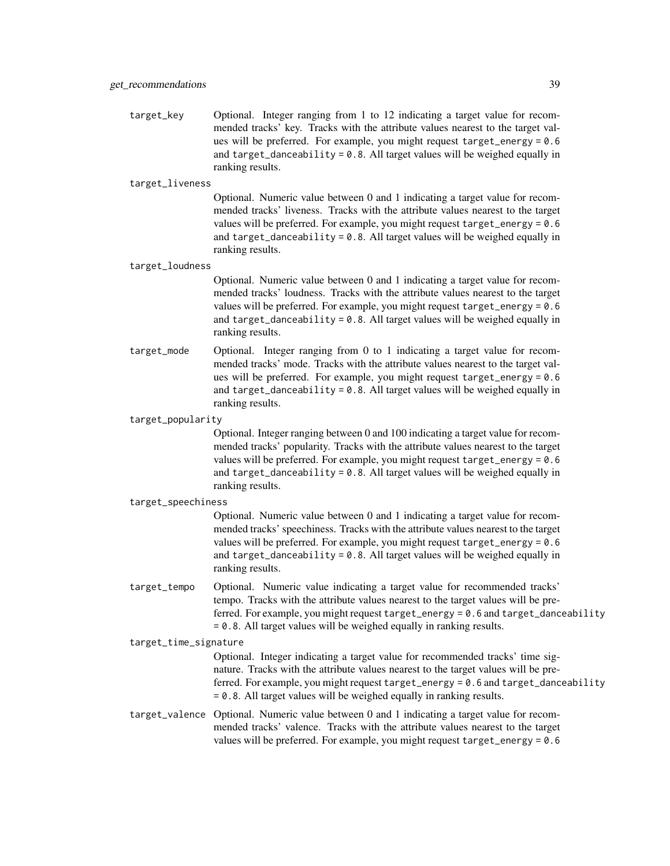target\_key Optional. Integer ranging from 1 to 12 indicating a target value for recommended tracks' key. Tracks with the attribute values nearest to the target values will be preferred. For example, you might request target\_energy = 0.6 and target\_danceability =  $0.8$ . All target values will be weighed equally in ranking results.

#### target\_liveness

Optional. Numeric value between 0 and 1 indicating a target value for recommended tracks' liveness. Tracks with the attribute values nearest to the target values will be preferred. For example, you might request  $target_{energy} = 0.6$ and target\_danceability =  $0.8$ . All target values will be weighed equally in ranking results.

#### target\_loudness

Optional. Numeric value between 0 and 1 indicating a target value for recommended tracks' loudness. Tracks with the attribute values nearest to the target values will be preferred. For example, you might request target\_energy = 0.6 and target\_danceability =  $0.8$ . All target values will be weighed equally in ranking results.

target\_mode Optional. Integer ranging from 0 to 1 indicating a target value for recommended tracks' mode. Tracks with the attribute values nearest to the target values will be preferred. For example, you might request target\_energy = 0.6 and target\_danceability = 0.8. All target values will be weighed equally in ranking results.

#### target\_popularity

Optional. Integer ranging between 0 and 100 indicating a target value for recommended tracks' popularity. Tracks with the attribute values nearest to the target values will be preferred. For example, you might request target\_energy = 0.6 and target\_danceability = 0.8. All target values will be weighed equally in ranking results.

#### target\_speechiness

Optional. Numeric value between 0 and 1 indicating a target value for recommended tracks' speechiness. Tracks with the attribute values nearest to the target values will be preferred. For example, you might request  $target_{energy} = 0.6$ and target\_danceability =  $0.8$ . All target values will be weighed equally in ranking results.

target\_tempo Optional. Numeric value indicating a target value for recommended tracks' tempo. Tracks with the attribute values nearest to the target values will be preferred. For example, you might request target\_energy = 0.6 and target\_danceability = 0.8. All target values will be weighed equally in ranking results.

#### target\_time\_signature

Optional. Integer indicating a target value for recommended tracks' time signature. Tracks with the attribute values nearest to the target values will be preferred. For example, you might request target\_energy = 0.6 and target\_danceability = 0.8. All target values will be weighed equally in ranking results.

# target\_valence Optional. Numeric value between 0 and 1 indicating a target value for recommended tracks' valence. Tracks with the attribute values nearest to the target values will be preferred. For example, you might request target\_energy = 0.6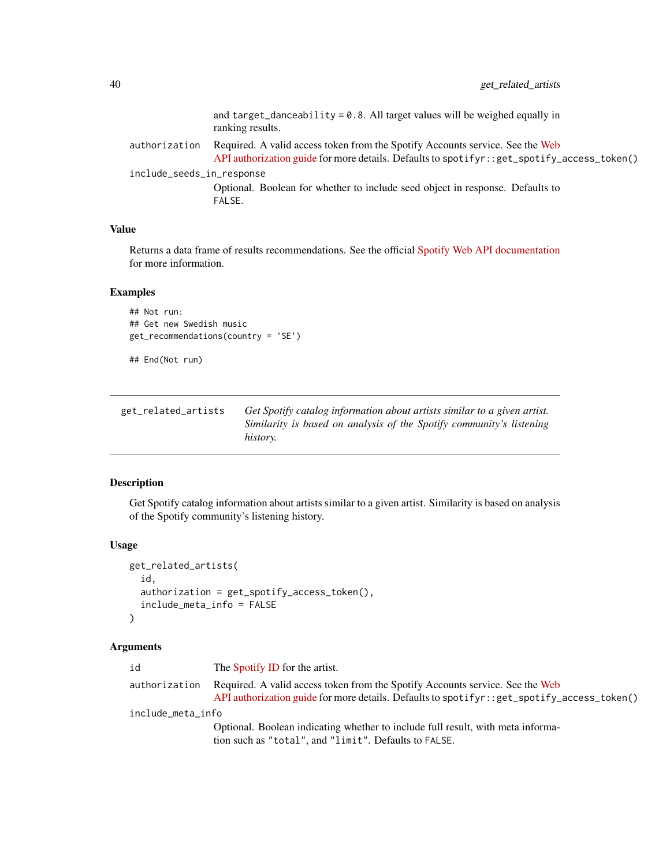<span id="page-39-0"></span>

| Required. A valid access token from the Spotify Accounts service. See the Web<br>authorization |  |
|------------------------------------------------------------------------------------------------|--|
| API authorization guide for more details. Defaults to spotifyr: : get_spotify_access_token()   |  |
| include_seeds_in_response                                                                      |  |
| Optional. Boolean for whether to include seed object in response. Defaults to<br>FALSE.        |  |

Returns a data frame of results recommendations. See the official [Spotify Web API documentation](https://developer.spotify.com/documentation/web-api/reference/browse/get-recommendations/) for more information.

### Examples

```
## Not run:
## Get new Swedish music
get_recommendations(country = 'SE')
```
## End(Not run)

get\_related\_artists *Get Spotify catalog information about artists similar to a given artist. Similarity is based on analysis of the Spotify community's listening history.*

# Description

Get Spotify catalog information about artists similar to a given artist. Similarity is based on analysis of the Spotify community's listening history.

#### Usage

```
get_related_artists(
  id,
  authorization = get_spotify_access_token(),
  include_meta_info = FALSE
)
```

| id                | The Spotify ID for the artist.                                                                                                                                                |
|-------------------|-------------------------------------------------------------------------------------------------------------------------------------------------------------------------------|
| authorization     | Required. A valid access token from the Spotify Accounts service. See the Web<br>API authorization guide for more details. Defaults to spotifyr: : get_spotify_access_token() |
| include_meta_info |                                                                                                                                                                               |
|                   | Optional. Boolean indicating whether to include full result, with meta informa-                                                                                               |
|                   | tion such as "total", and "limit". Defaults to FALSE.                                                                                                                         |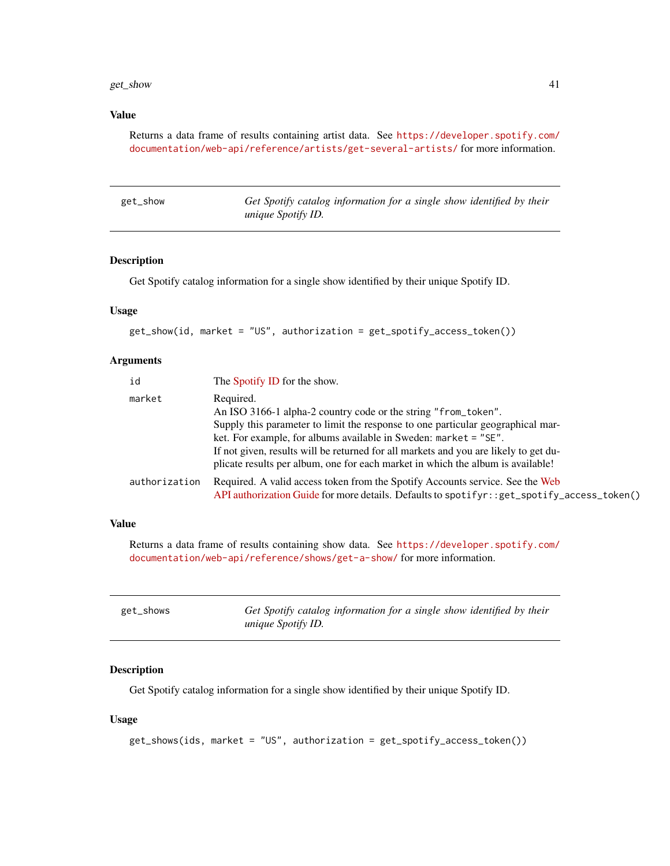```
Returns a data frame of results containing artist data. See https://developer.spotify.com/
documentation/web-api/reference/artists/get-several-artists/ for more information.
```

| get_show | Get Spotify catalog information for a single show identified by their |  |  |  |  |
|----------|-----------------------------------------------------------------------|--|--|--|--|
|          | <i>unique Spotify ID.</i>                                             |  |  |  |  |

### Description

Get Spotify catalog information for a single show identified by their unique Spotify ID.

# Usage

```
get_show(id, market = "US", authorization = get_spotify_access_token())
```
### Arguments

| id            | The Spotify ID for the show.                                                                                                                                                                                                                                                                                                                                                                                  |
|---------------|---------------------------------------------------------------------------------------------------------------------------------------------------------------------------------------------------------------------------------------------------------------------------------------------------------------------------------------------------------------------------------------------------------------|
| market        | Required.<br>An ISO 3166-1 alpha-2 country code or the string "from_token".<br>Supply this parameter to limit the response to one particular geographical mar-<br>ket. For example, for albums available in Sweden: market = "SE".<br>If not given, results will be returned for all markets and you are likely to get du-<br>plicate results per album, one for each market in which the album is available! |
| authorization | Required. A valid access token from the Spotify Accounts service. See the Web<br>API authorization Guide for more details. Defaults to spotifyr: : get_spotify_access_token()                                                                                                                                                                                                                                 |

### Value

Returns a data frame of results containing show data. See [https://developer.spotify.com/](https://developer.spotify.com/documentation/web-api/reference/shows/get-a-show/) [documentation/web-api/reference/shows/get-a-show/](https://developer.spotify.com/documentation/web-api/reference/shows/get-a-show/) for more information.

| get_shows | Get Spotify catalog information for a single show identified by their |
|-----------|-----------------------------------------------------------------------|
|           | <i>unique Spotify ID.</i>                                             |

# Description

Get Spotify catalog information for a single show identified by their unique Spotify ID.

#### Usage

```
get_shows(ids, market = "US", authorization = get_spotify_access_token())
```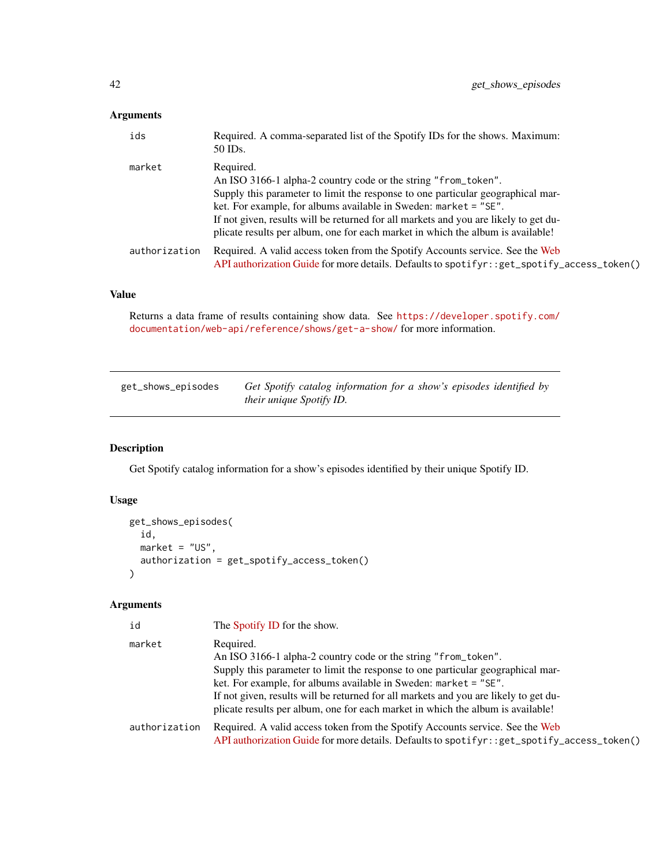# <span id="page-41-0"></span>Arguments

| ids           | Required. A comma-separated list of the Spotify IDs for the shows. Maximum:<br>50 IDs.                                                                                                                                                                                                                                                                                                                        |
|---------------|---------------------------------------------------------------------------------------------------------------------------------------------------------------------------------------------------------------------------------------------------------------------------------------------------------------------------------------------------------------------------------------------------------------|
| market        | Required.<br>An ISO 3166-1 alpha-2 country code or the string "from_token".<br>Supply this parameter to limit the response to one particular geographical mar-<br>ket. For example, for albums available in Sweden: market = "SE".<br>If not given, results will be returned for all markets and you are likely to get du-<br>plicate results per album, one for each market in which the album is available! |
| authorization | Required. A valid access token from the Spotify Accounts service. See the Web<br>API authorization Guide for more details. Defaults to spotifyr: : get_spotify_access_token()                                                                                                                                                                                                                                 |

# Value

Returns a data frame of results containing show data. See [https://developer.spotify.com/](https://developer.spotify.com/documentation/web-api/reference/shows/get-a-show/) [documentation/web-api/reference/shows/get-a-show/](https://developer.spotify.com/documentation/web-api/reference/shows/get-a-show/) for more information.

| get_shows_episodes | Get Spotify catalog information for a show's episodes identified by |
|--------------------|---------------------------------------------------------------------|
|                    | <i>their unique Spotify ID.</i>                                     |

# Description

Get Spotify catalog information for a show's episodes identified by their unique Spotify ID.

### Usage

```
get_shows_episodes(
 id,
 market = "US",authorization = get_spotify_access_token()
)
```

| id            | The Spotify ID for the show.                                                                 |
|---------------|----------------------------------------------------------------------------------------------|
| market        | Required.                                                                                    |
|               | An ISO 3166-1 alpha-2 country code or the string "from_token".                               |
|               | Supply this parameter to limit the response to one particular geographical mar-              |
|               | ket. For example, for albums available in Sweden: $m$ arket = "SE".                          |
|               | If not given, results will be returned for all markets and you are likely to get du-         |
|               | plicate results per album, one for each market in which the album is available!              |
| authorization | Required. A valid access token from the Spotify Accounts service. See the Web                |
|               | API authorization Guide for more details. Defaults to spotifyr: : get_spotify_access_token() |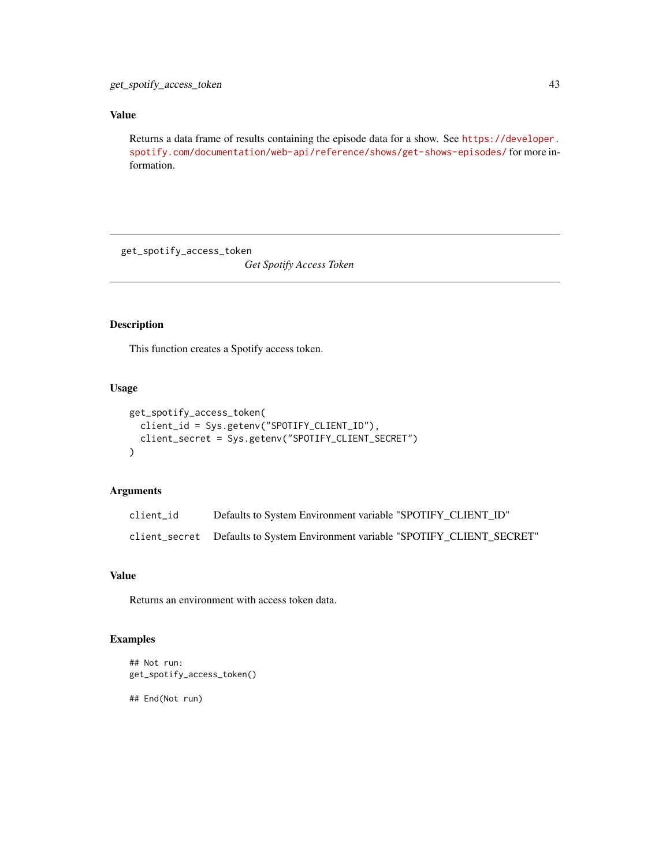<span id="page-42-0"></span>Returns a data frame of results containing the episode data for a show. See [https://developer.](https://developer.spotify.com/documentation/web-api/reference/shows/get-shows-episodes/) [spotify.com/documentation/web-api/reference/shows/get-shows-episodes/](https://developer.spotify.com/documentation/web-api/reference/shows/get-shows-episodes/) for more information.

get\_spotify\_access\_token

*Get Spotify Access Token*

# Description

This function creates a Spotify access token.

### Usage

```
get_spotify_access_token(
 client_id = Sys.getenv("SPOTIFY_CLIENT_ID"),
 client_secret = Sys.getenv("SPOTIFY_CLIENT_SECRET")
)
```
#### Arguments

| client id | Defaults to System Environment variable "SPOTIFY CLIENT ID"                   |
|-----------|-------------------------------------------------------------------------------|
|           | client_secret Defaults to System Environment variable "SPOTIFY CLIENT SECRET" |

# Value

Returns an environment with access token data.

### Examples

```
## Not run:
get_spotify_access_token()
```
## End(Not run)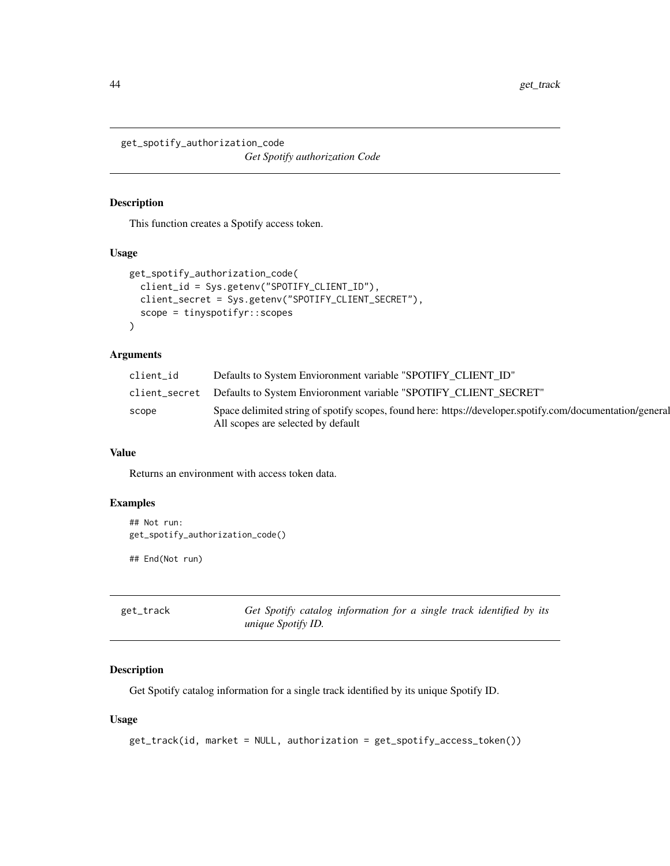<span id="page-43-0"></span>get\_spotify\_authorization\_code *Get Spotify authorization Code*

#### Description

This function creates a Spotify access token.

#### Usage

```
get_spotify_authorization_code(
 client_id = Sys.getenv("SPOTIFY_CLIENT_ID"),
 client_secret = Sys.getenv("SPOTIFY_CLIENT_SECRET"),
 scope = tinyspotifyr::scopes
)
```
# Arguments

| client id | Defaults to System Envioronment variable "SPOTIFY CLIENT ID"                                              |
|-----------|-----------------------------------------------------------------------------------------------------------|
|           | client_secret Defaults to System Envioronment variable "SPOTIFY CLIENT SECRET"                            |
| scope     | Space delimited string of spotify scopes, found here: https://developer.spotify.com/documentation/general |
|           | All scopes are selected by default                                                                        |

#### Value

Returns an environment with access token data.

#### Examples

```
## Not run:
get_spotify_authorization_code()
```
## End(Not run)

Get Spotify catalog information for a single track identified by its *unique Spotify ID.*

# Description

Get Spotify catalog information for a single track identified by its unique Spotify ID.

#### Usage

get\_track(id, market = NULL, authorization = get\_spotify\_access\_token())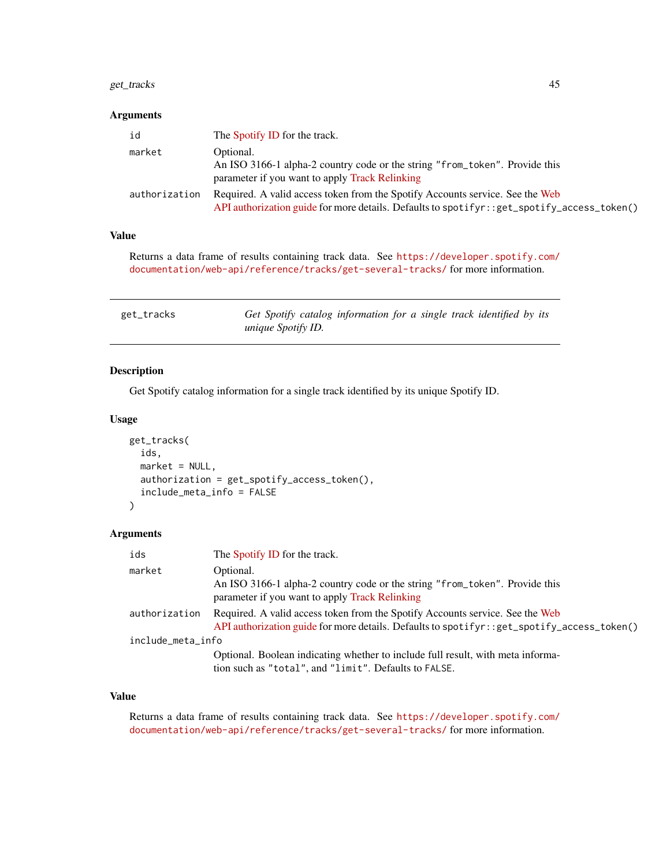# <span id="page-44-0"></span>get\_tracks 45

### Arguments

| id            | The Spotify ID for the track.                                                                                                                                                 |
|---------------|-------------------------------------------------------------------------------------------------------------------------------------------------------------------------------|
| market        | Optional.                                                                                                                                                                     |
|               | An ISO 3166-1 alpha-2 country code or the string "from_token". Provide this<br>parameter if you want to apply Track Relinking                                                 |
| authorization | Required. A valid access token from the Spotify Accounts service. See the Web<br>API authorization guide for more details. Defaults to spotifyr: : get_spotify_access_token() |

# Value

Returns a data frame of results containing track data. See [https://developer.spotify.com/](https://developer.spotify.com/documentation/web-api/reference/tracks/get-several-tracks/) [documentation/web-api/reference/tracks/get-several-tracks/](https://developer.spotify.com/documentation/web-api/reference/tracks/get-several-tracks/) for more information.

| get_tracks | Get Spotify catalog information for a single track identified by its |  |
|------------|----------------------------------------------------------------------|--|
|            | <i>unique Spotify ID.</i>                                            |  |

# Description

Get Spotify catalog information for a single track identified by its unique Spotify ID.

#### Usage

```
get_tracks(
  ids,
 market = NULL,
  authorization = get_spotify_access_token(),
  include_meta_info = FALSE
)
```
#### Arguments

| ids               | The Spotify ID for the track.                                                                                                                                                 |  |
|-------------------|-------------------------------------------------------------------------------------------------------------------------------------------------------------------------------|--|
| market            | Optional.<br>An ISO 3166-1 alpha-2 country code or the string "from_token". Provide this<br>parameter if you want to apply Track Relinking                                    |  |
| authorization     | Required. A valid access token from the Spotify Accounts service. See the Web<br>API authorization guide for more details. Defaults to spotifyr: : get_spotify_access_token() |  |
| include_meta_info |                                                                                                                                                                               |  |
|                   | Optional. Boolean indicating whether to include full result, with meta informa-<br>tion such as "total", and "limit". Defaults to FALSE.                                      |  |

# Value

Returns a data frame of results containing track data. See [https://developer.spotify.com/](https://developer.spotify.com/documentation/web-api/reference/tracks/get-several-tracks/) [documentation/web-api/reference/tracks/get-several-tracks/](https://developer.spotify.com/documentation/web-api/reference/tracks/get-several-tracks/) for more information.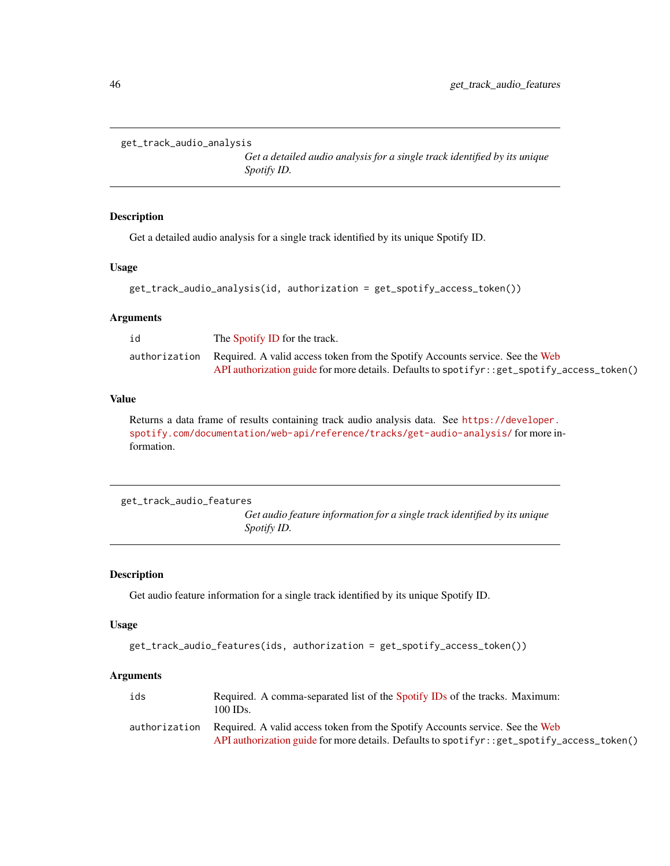```
get_track_audio_analysis
```
*Get a detailed audio analysis for a single track identified by its unique Spotify ID.*

### Description

Get a detailed audio analysis for a single track identified by its unique Spotify ID.

# Usage

```
get_track_audio_analysis(id, authorization = get_spotify_access_token())
```
# Arguments

| id            | The Spotify ID for the track.                                                              |
|---------------|--------------------------------------------------------------------------------------------|
| authorization | Required. A valid access token from the Spotify Accounts service. See the Web              |
|               | API authorization guide for more details. Defaults to spotifyr::get_spotify_access_token() |

### Value

Returns a data frame of results containing track audio analysis data. See [https://developer.](https://developer.spotify.com/documentation/web-api/reference/tracks/get-audio-analysis/) [spotify.com/documentation/web-api/reference/tracks/get-audio-analysis/](https://developer.spotify.com/documentation/web-api/reference/tracks/get-audio-analysis/) for more information.

```
get_track_audio_features
```
*Get audio feature information for a single track identified by its unique Spotify ID.*

#### Description

Get audio feature information for a single track identified by its unique Spotify ID.

### Usage

```
get_track_audio_features(ids, authorization = get_spotify_access_token())
```

| ids           | Required. A comma-separated list of the Spotify IDs of the tracks. Maximum:<br>100 IDs.      |
|---------------|----------------------------------------------------------------------------------------------|
| authorization | Required. A valid access token from the Spotify Accounts service. See the Web                |
|               | API authorization guide for more details. Defaults to spotifyr: : get_spotify_access_token() |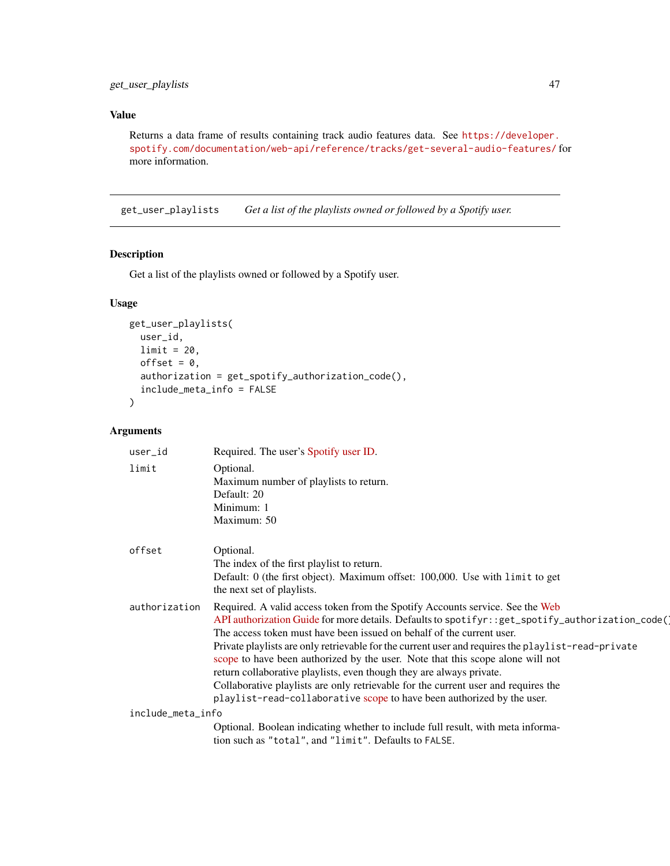<span id="page-46-0"></span>Returns a data frame of results containing track audio features data. See [https://developer.](https://developer.spotify.com/documentation/web-api/reference/tracks/get-several-audio-features/) [spotify.com/documentation/web-api/reference/tracks/get-several-audio-features/](https://developer.spotify.com/documentation/web-api/reference/tracks/get-several-audio-features/) for more information.

get\_user\_playlists *Get a list of the playlists owned or followed by a Spotify user.*

# Description

Get a list of the playlists owned or followed by a Spotify user.

# Usage

```
get_user_playlists(
 user_id,
 limit = 20,offset = 0,
 authorization = get_spotify_authorization_code(),
  include_meta_info = FALSE
)
```

| user_id           | Required. The user's Spotify user ID.                                                                                                                                                                                                                                                                                                                                                                                                                                                                                                                                                                                                                                                      |
|-------------------|--------------------------------------------------------------------------------------------------------------------------------------------------------------------------------------------------------------------------------------------------------------------------------------------------------------------------------------------------------------------------------------------------------------------------------------------------------------------------------------------------------------------------------------------------------------------------------------------------------------------------------------------------------------------------------------------|
| limit             | Optional.<br>Maximum number of playlists to return.<br>Default: 20<br>Minimum: 1<br>Maximum: 50                                                                                                                                                                                                                                                                                                                                                                                                                                                                                                                                                                                            |
| offset            | Optional.<br>The index of the first playlist to return.<br>Default: 0 (the first object). Maximum offset: 100,000. Use with limit to get<br>the next set of playlists.                                                                                                                                                                                                                                                                                                                                                                                                                                                                                                                     |
| authorization     | Required. A valid access token from the Spotify Accounts service. See the Web<br>API authorization Guide for more details. Defaults to spotifyr::get_spotify_authorization_code()<br>The access token must have been issued on behalf of the current user.<br>Private playlists are only retrievable for the current user and requires the playlist-read-private<br>scope to have been authorized by the user. Note that this scope alone will not<br>return collaborative playlists, even though they are always private.<br>Collaborative playlists are only retrievable for the current user and requires the<br>playlist-read-collaborative scope to have been authorized by the user. |
| include_meta_info |                                                                                                                                                                                                                                                                                                                                                                                                                                                                                                                                                                                                                                                                                            |
|                   | Optional. Boolean indicating whether to include full result, with meta informa-<br>tion such as "total", and "limit". Defaults to FALSE.                                                                                                                                                                                                                                                                                                                                                                                                                                                                                                                                                   |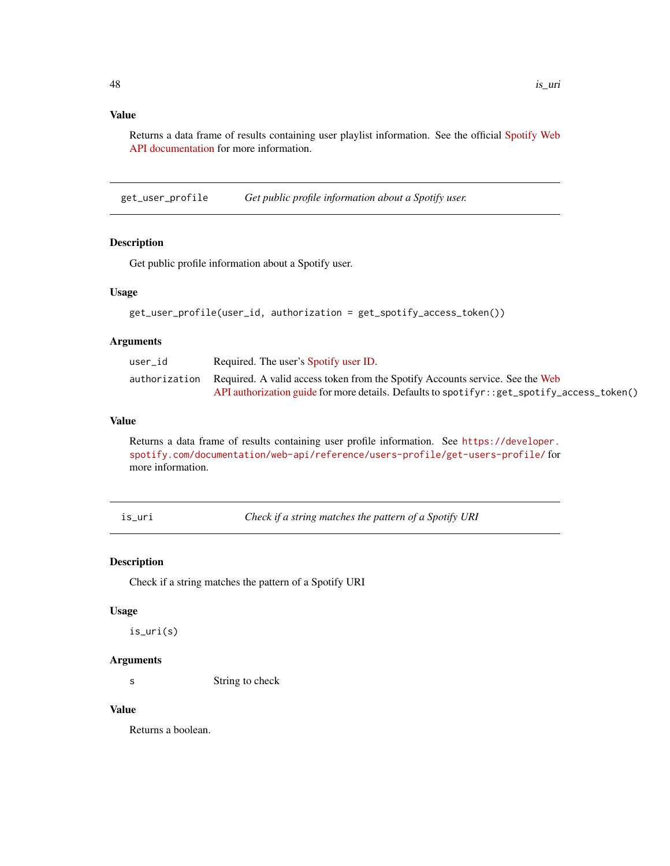<span id="page-47-0"></span>Returns a data frame of results containing user playlist information. See the official [Spotify Web](https://developer.spotify.com/documentation/web-api/reference/playlists/get-list-users-playlists/) [API documentation](https://developer.spotify.com/documentation/web-api/reference/playlists/get-list-users-playlists/) for more information.

get\_user\_profile *Get public profile information about a Spotify user.*

### Description

Get public profile information about a Spotify user.

#### Usage

```
get_user_profile(user_id, authorization = get_spotify_access_token())
```
### Arguments

| user id | Required. The user's Spotify user ID.                                                                                                                                                       |
|---------|---------------------------------------------------------------------------------------------------------------------------------------------------------------------------------------------|
|         | authorization Required. A valid access token from the Spotify Accounts service. See the Web<br>API authorization guide for more details. Defaults to spotifyr: : get_spotify_access_token() |
|         |                                                                                                                                                                                             |

### Value

Returns a data frame of results containing user profile information. See [https://developer.](https://developer.spotify.com/documentation/web-api/reference/users-profile/get-users-profile/) [spotify.com/documentation/web-api/reference/users-profile/get-users-profile/](https://developer.spotify.com/documentation/web-api/reference/users-profile/get-users-profile/) for more information.

is\_uri *Check if a string matches the pattern of a Spotify URI*

#### Description

Check if a string matches the pattern of a Spotify URI

### Usage

is\_uri(s)

# Arguments

s String to check

# Value

Returns a boolean.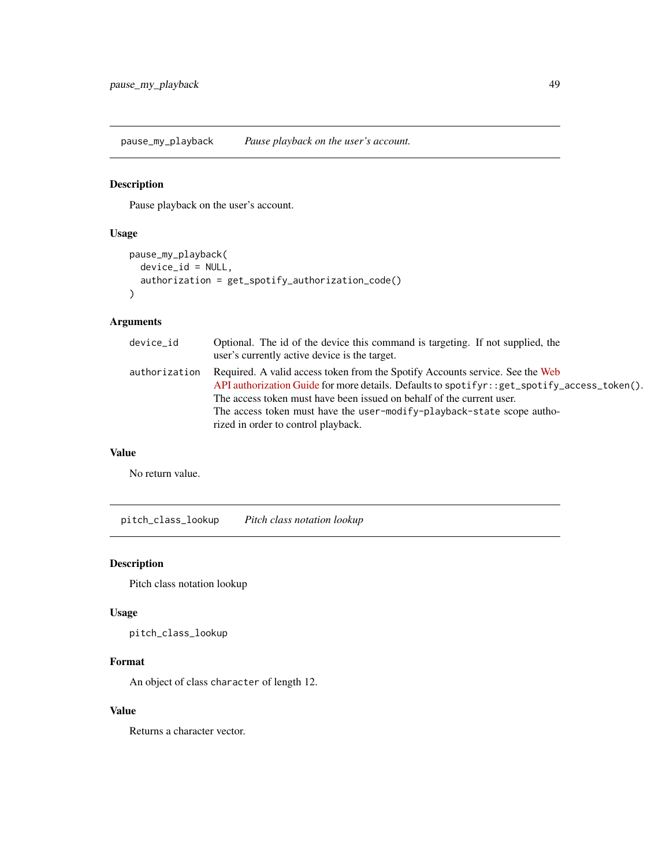<span id="page-48-0"></span>pause\_my\_playback *Pause playback on the user's account.*

# Description

Pause playback on the user's account.

# Usage

```
pause_my_playback(
  device_id = NULL,
  authorization = get_spotify_authorization_code()
\mathcal{L}
```
# Arguments

| device_id     | Optional. The id of the device this command is targeting. If not supplied, the<br>user's currently active device is the target.                                                                                                                                                                                                                                          |
|---------------|--------------------------------------------------------------------------------------------------------------------------------------------------------------------------------------------------------------------------------------------------------------------------------------------------------------------------------------------------------------------------|
| authorization | Required. A valid access token from the Spotify Accounts service. See the Web<br>API authorization Guide for more details. Defaults to spotifyr: : get_spotify_access_token().<br>The access token must have been issued on behalf of the current user.<br>The access token must have the user-modify-playback-state scope autho-<br>rized in order to control playback. |

#### Value

No return value.

pitch\_class\_lookup *Pitch class notation lookup*

# Description

Pitch class notation lookup

# Usage

pitch\_class\_lookup

### Format

An object of class character of length 12.

### Value

Returns a character vector.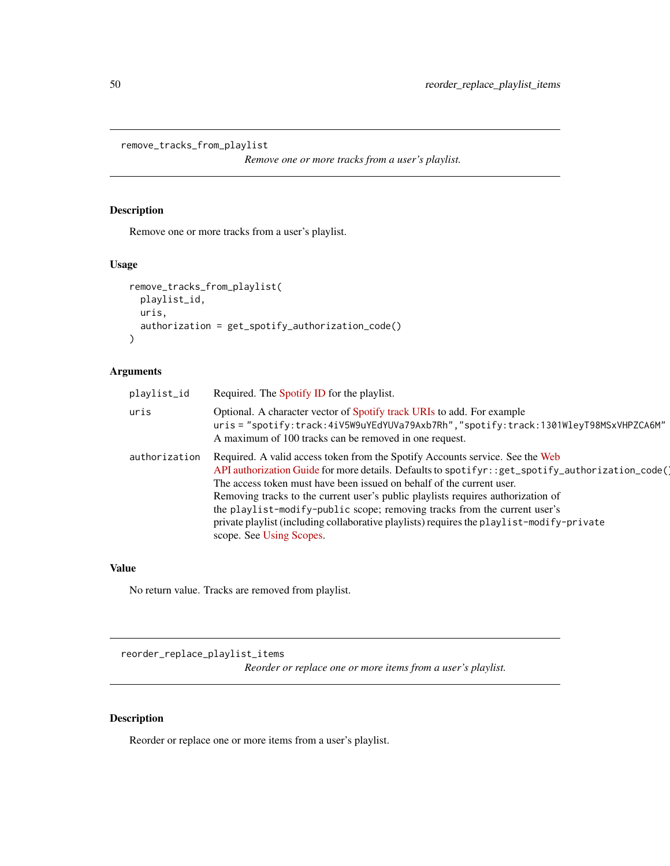```
remove_tracks_from_playlist
```
*Remove one or more tracks from a user's playlist.*

### Description

Remove one or more tracks from a user's playlist.

# Usage

```
remove_tracks_from_playlist(
  playlist_id,
  uris,
  authorization = get_spotify_authorization_code()
\mathcal{L}
```
# Arguments

| playlist_id   | Required. The Spotify ID for the playlist.                                                                                                                                                                                                                                                                                                                                                                                                                                                                                                           |
|---------------|------------------------------------------------------------------------------------------------------------------------------------------------------------------------------------------------------------------------------------------------------------------------------------------------------------------------------------------------------------------------------------------------------------------------------------------------------------------------------------------------------------------------------------------------------|
| uris          | Optional. A character vector of Spotify track URIs to add. For example<br>uris = "spotify:track:4iV5W9uYEdYUVa79Axb7Rh","spotify:track:1301WleyT98MSxVHPZCA6M"<br>A maximum of 100 tracks can be removed in one request.                                                                                                                                                                                                                                                                                                                             |
| authorization | Required. A valid access token from the Spotify Accounts service. See the Web<br>API authorization Guide for more details. Defaults to spotifyr::get_spotify_authorization_code()<br>The access token must have been issued on behalf of the current user.<br>Removing tracks to the current user's public playlists requires authorization of<br>the playlist-modify-public scope; removing tracks from the current user's<br>private playlist (including collaborative playlists) requires the playlist-modify-private<br>scope. See Using Scopes. |

#### Value

No return value. Tracks are removed from playlist.

reorder\_replace\_playlist\_items *Reorder or replace one or more items from a user's playlist.*

# Description

Reorder or replace one or more items from a user's playlist.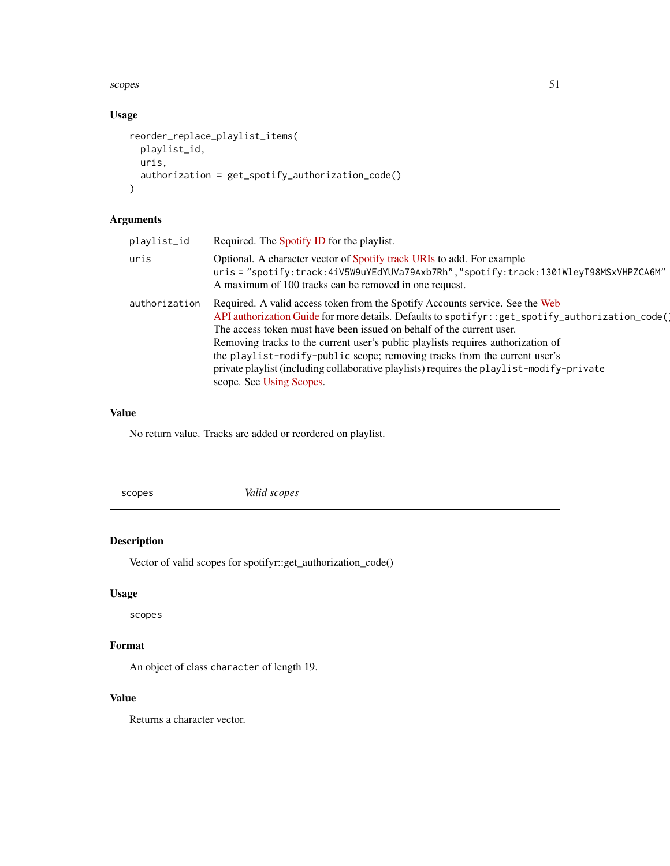<span id="page-50-0"></span>scopes 51

# Usage

```
reorder_replace_playlist_items(
 playlist_id,
 uris,
  authorization = get_spotify_authorization_code()
)
```
# Arguments

| playlist_id   | Required. The Spotify ID for the playlist.                                                                                                                                                                                                                                                                                                                                                                                                                                                                                                             |
|---------------|--------------------------------------------------------------------------------------------------------------------------------------------------------------------------------------------------------------------------------------------------------------------------------------------------------------------------------------------------------------------------------------------------------------------------------------------------------------------------------------------------------------------------------------------------------|
| uris          | Optional. A character vector of Spotify track URIs to add. For example<br>uris = "spotify:track:4iV5W9uYEdYUVa79Axb7Rh","spotify:track:1301WleyT98MSxVHPZCA6M"<br>A maximum of 100 tracks can be removed in one request.                                                                                                                                                                                                                                                                                                                               |
| authorization | Required. A valid access token from the Spotify Accounts service. See the Web<br>API authorization Guide for more details. Defaults to spotifyr: : get_spotify_authorization_code()<br>The access token must have been issued on behalf of the current user.<br>Removing tracks to the current user's public playlists requires authorization of<br>the playlist-modify-public scope; removing tracks from the current user's<br>private playlist (including collaborative playlists) requires the playlist-modify-private<br>scope. See Using Scopes. |

# Value

No return value. Tracks are added or reordered on playlist.

scopes *Valid scopes*

# Description

Vector of valid scopes for spotifyr::get\_authorization\_code()

# Usage

scopes

# Format

An object of class character of length 19.

# Value

Returns a character vector.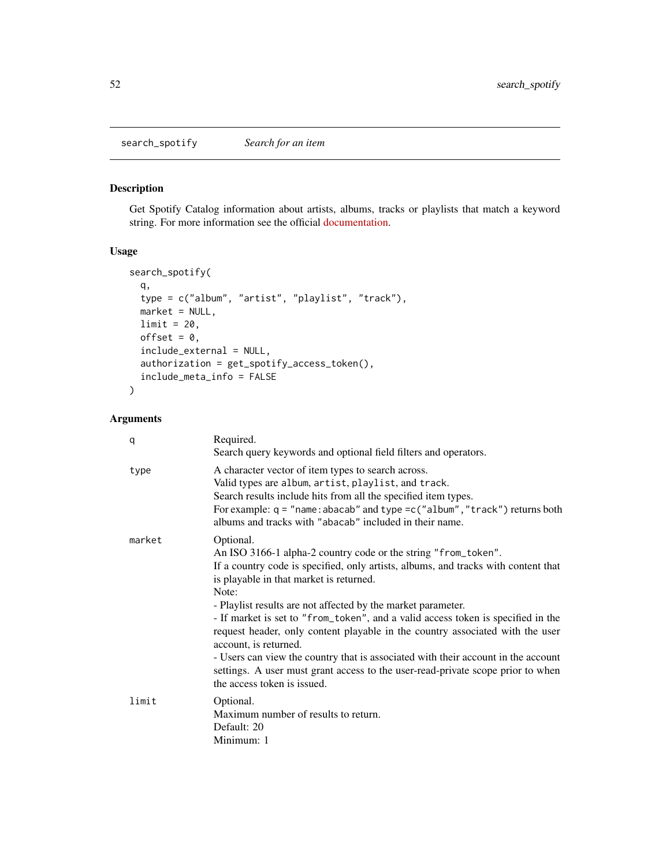<span id="page-51-0"></span>search\_spotify *Search for an item*

# Description

Get Spotify Catalog information about artists, albums, tracks or playlists that match a keyword string. For more information see the official [documentation.](https://developer.spotify.com/documentation/web-api/reference/#category-search)

# Usage

```
search_spotify(
 q,
 type = c("album", "artist", "playlist", "track"),
 market = NULL,
 limit = 20,
 offset = 0,
 include_external = NULL,
  authorization = get_spotify_access_token(),
 include_meta_info = FALSE
)
```

| q      | Required.<br>Search query keywords and optional field filters and operators.                                                                                                                                                                                                                                                                                                                                                       |
|--------|------------------------------------------------------------------------------------------------------------------------------------------------------------------------------------------------------------------------------------------------------------------------------------------------------------------------------------------------------------------------------------------------------------------------------------|
| type   | A character vector of item types to search across.<br>Valid types are album, artist, playlist, and track.<br>Search results include hits from all the specified item types.<br>For example: $q = "name:abacab"$ and type = $c("album", "track")$ returns both<br>albums and tracks with "abacab" included in their name.                                                                                                           |
| market | Optional.<br>An ISO 3166-1 alpha-2 country code or the string "from_token".<br>If a country code is specified, only artists, albums, and tracks with content that<br>is playable in that market is returned.<br>Note:                                                                                                                                                                                                              |
|        | - Playlist results are not affected by the market parameter.<br>- If market is set to "from_token", and a valid access token is specified in the<br>request header, only content playable in the country associated with the user<br>account, is returned.<br>- Users can view the country that is associated with their account in the account<br>settings. A user must grant access to the user-read-private scope prior to when |
|        | the access token is issued.                                                                                                                                                                                                                                                                                                                                                                                                        |
| limit  | Optional.<br>Maximum number of results to return.<br>Default: 20<br>Minimum: 1                                                                                                                                                                                                                                                                                                                                                     |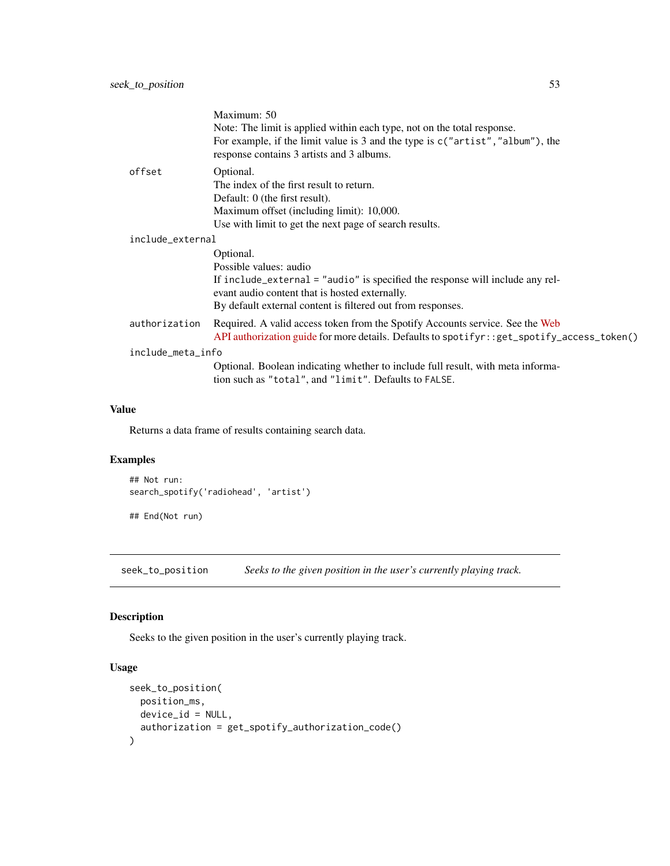<span id="page-52-0"></span>

|                   | Maximum: 50<br>Note: The limit is applied within each type, not on the total response.<br>For example, if the limit value is 3 and the type is $c("artist", "album"),$ the<br>response contains 3 artists and 3 albums.               |
|-------------------|---------------------------------------------------------------------------------------------------------------------------------------------------------------------------------------------------------------------------------------|
| offset            | Optional.<br>The index of the first result to return.<br>Default: 0 (the first result).<br>Maximum offset (including limit): 10,000.<br>Use with limit to get the next page of search results.                                        |
| include_external  | Optional.<br>Possible values: audio<br>If include_external = "audio" is specified the response will include any rel-<br>evant audio content that is hosted externally.<br>By default external content is filtered out from responses. |
| authorization     | Required. A valid access token from the Spotify Accounts service. See the Web<br>API authorization guide for more details. Defaults to spotifyr::get_spotify_access_token()                                                           |
| include_meta_info | Optional. Boolean indicating whether to include full result, with meta informa-<br>tion such as "total", and "limit". Defaults to FALSE.                                                                                              |

Returns a data frame of results containing search data.

# Examples

```
## Not run:
search_spotify('radiohead', 'artist')
```
## End(Not run)

seek\_to\_position *Seeks to the given position in the user's currently playing track.*

# Description

Seeks to the given position in the user's currently playing track.

# Usage

```
seek_to_position(
 position_ms,
 device_id = NULL,
 authorization = get_spotify_authorization_code()
)
```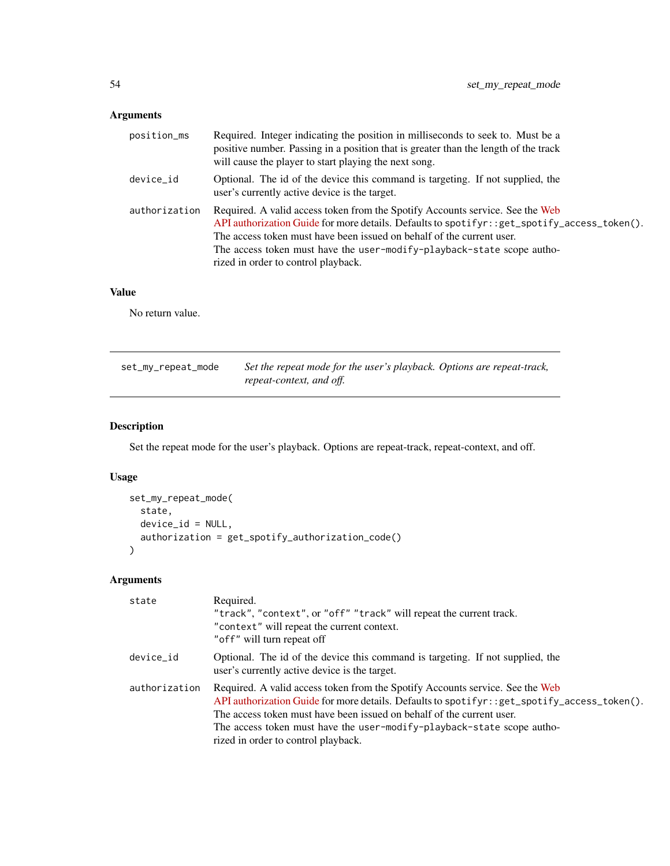# <span id="page-53-0"></span>Arguments

| position_ms   | Required. Integer indicating the position in milliseconds to seek to. Must be a<br>positive number. Passing in a position that is greater than the length of the track<br>will cause the player to start playing the next song.                                                                                                                                          |
|---------------|--------------------------------------------------------------------------------------------------------------------------------------------------------------------------------------------------------------------------------------------------------------------------------------------------------------------------------------------------------------------------|
| device_id     | Optional. The id of the device this command is targeting. If not supplied, the<br>user's currently active device is the target.                                                                                                                                                                                                                                          |
| authorization | Required. A valid access token from the Spotify Accounts service. See the Web<br>API authorization Guide for more details. Defaults to spotifyr: : get_spotify_access_token().<br>The access token must have been issued on behalf of the current user.<br>The access token must have the user-modify-playback-state scope autho-<br>rized in order to control playback. |

# Value

No return value.

| set_my_repeat_mode | Set the repeat mode for the user's playback. Options are repeat-track, |
|--------------------|------------------------------------------------------------------------|
|                    | repeat-context, and off.                                               |

# Description

Set the repeat mode for the user's playback. Options are repeat-track, repeat-context, and off.

# Usage

```
set_my_repeat_mode(
  state,
  device_id = NULL,
  authorization = get_spotify_authorization_code()
\mathcal{L}
```

| state         | Required.<br>"track", "context", or "off" "track" will repeat the current track.<br>"context" will repeat the current context.<br>"off" will turn repeat off                                                                                                                                                                                                             |
|---------------|--------------------------------------------------------------------------------------------------------------------------------------------------------------------------------------------------------------------------------------------------------------------------------------------------------------------------------------------------------------------------|
| device_id     | Optional. The id of the device this command is targeting. If not supplied, the<br>user's currently active device is the target.                                                                                                                                                                                                                                          |
| authorization | Required. A valid access token from the Spotify Accounts service. See the Web<br>API authorization Guide for more details. Defaults to spotifyr: : get_spotify_access_token().<br>The access token must have been issued on behalf of the current user.<br>The access token must have the user-modify-playback-state scope autho-<br>rized in order to control playback. |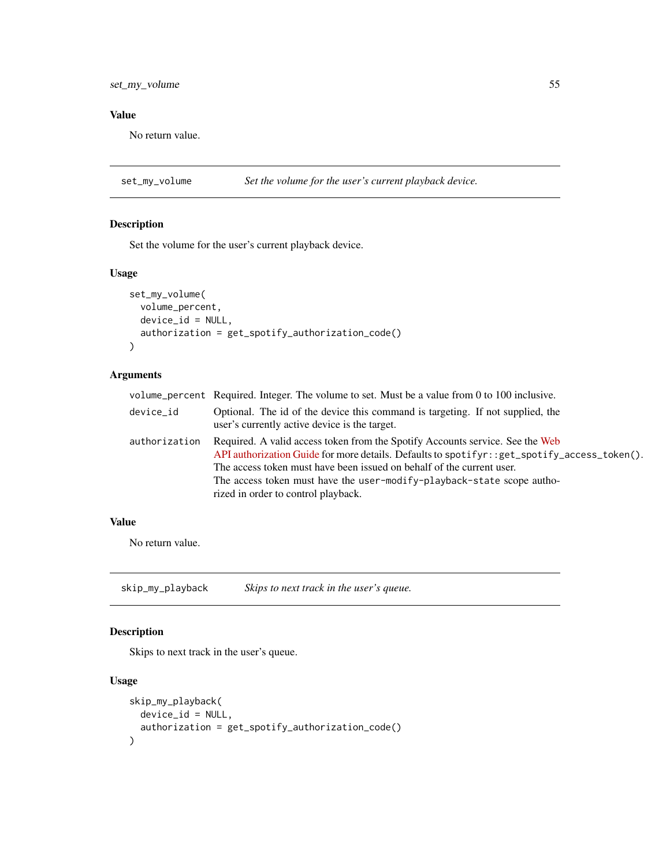<span id="page-54-0"></span>No return value.

set\_my\_volume *Set the volume for the user's current playback device.*

# Description

Set the volume for the user's current playback device.

#### Usage

```
set_my_volume(
  volume_percent,
  device_id = NULL,
 authorization = get_spotify_authorization_code()
)
```
# Arguments

|               | volume_percent Required. Integer. The volume to set. Must be a value from 0 to 100 inclusive.                                                                                                                                                                                                                                                                            |
|---------------|--------------------------------------------------------------------------------------------------------------------------------------------------------------------------------------------------------------------------------------------------------------------------------------------------------------------------------------------------------------------------|
| device_id     | Optional. The id of the device this command is targeting. If not supplied, the<br>user's currently active device is the target.                                                                                                                                                                                                                                          |
| authorization | Required. A valid access token from the Spotify Accounts service. See the Web<br>API authorization Guide for more details. Defaults to spotifyr: : get_spotify_access_token().<br>The access token must have been issued on behalf of the current user.<br>The access token must have the user-modify-playback-state scope autho-<br>rized in order to control playback. |

#### Value

No return value.

skip\_my\_playback *Skips to next track in the user's queue.*

# Description

Skips to next track in the user's queue.

# Usage

```
skip_my_playback(
 device_id = NULL,
 authorization = get_spotify_authorization_code()
)
```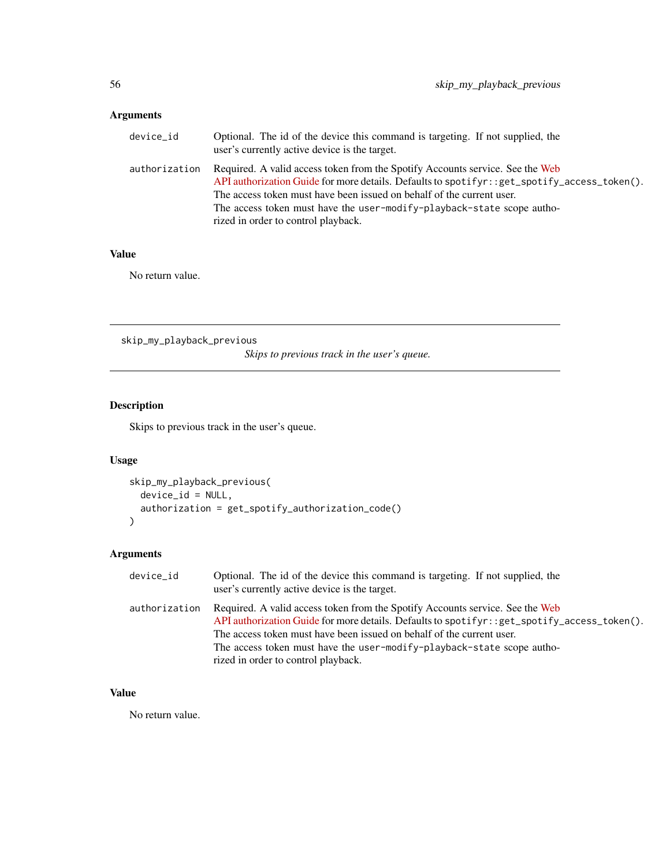# <span id="page-55-0"></span>Arguments

| device_id     | Optional. The id of the device this command is targeting. If not supplied, the<br>user's currently active device is the target.                                                                                                                                                                                                                                          |
|---------------|--------------------------------------------------------------------------------------------------------------------------------------------------------------------------------------------------------------------------------------------------------------------------------------------------------------------------------------------------------------------------|
| authorization | Required. A valid access token from the Spotify Accounts service. See the Web<br>API authorization Guide for more details. Defaults to spotifyr: : get_spotify_access_token().<br>The access token must have been issued on behalf of the current user.<br>The access token must have the user-modify-playback-state scope autho-<br>rized in order to control playback. |

# Value

No return value.

skip\_my\_playback\_previous

*Skips to previous track in the user's queue.*

# Description

Skips to previous track in the user's queue.

# Usage

```
skip_my_playback_previous(
  device_id = NULL,
  authorization = get_spotify_authorization_code()
\mathcal{L}
```
# Arguments

| device_id     | Optional. The id of the device this command is targeting. If not supplied, the<br>user's currently active device is the target.                                                                                                                                                                                                                                          |
|---------------|--------------------------------------------------------------------------------------------------------------------------------------------------------------------------------------------------------------------------------------------------------------------------------------------------------------------------------------------------------------------------|
| authorization | Required. A valid access token from the Spotify Accounts service. See the Web<br>API authorization Guide for more details. Defaults to spotifyr: : get_spotify_access_token().<br>The access token must have been issued on behalf of the current user.<br>The access token must have the user-modify-playback-state scope autho-<br>rized in order to control playback. |

# Value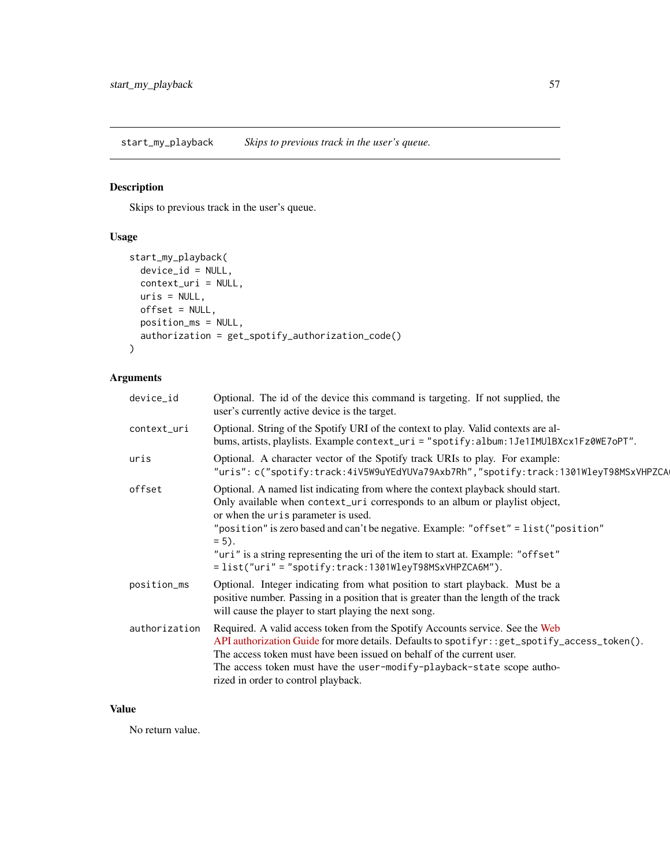<span id="page-56-0"></span>start\_my\_playback *Skips to previous track in the user's queue.*

# Description

Skips to previous track in the user's queue.

# Usage

```
start_my_playback(
 device_id = NULL,
 context_uri = NULL,
 uris = NULL,offset = NULL,
 position_ms = NULL,
 authorization = get_spotify_authorization_code()
)
```
# Arguments

| device_id     | Optional. The id of the device this command is targeting. If not supplied, the<br>user's currently active device is the target.                                                                                                                                                                                                                                                                                                                              |
|---------------|--------------------------------------------------------------------------------------------------------------------------------------------------------------------------------------------------------------------------------------------------------------------------------------------------------------------------------------------------------------------------------------------------------------------------------------------------------------|
| context_uri   | Optional. String of the Spotify URI of the context to play. Valid contexts are al-<br>bums, artists, playlists. Example context_uri = "spotify:album:1Je1IMUlBXcx1Fz0WE7oPT".                                                                                                                                                                                                                                                                                |
| uris          | Optional. A character vector of the Spotify track URIs to play. For example:<br>"uris": c("spotify:track:4iV5W9uYEdYUVa79Axb7Rh","spotify:track:1301WleyT98MSxVHPZCA                                                                                                                                                                                                                                                                                         |
| offset        | Optional. A named list indicating from where the context playback should start.<br>Only available when context_uri corresponds to an album or playlist object,<br>or when the uris parameter is used.<br>"position" is zero based and can't be negative. Example: "offset" = list ("position"<br>$= 5$ .<br>"uri" is a string representing the uri of the item to start at. Example: "offset"<br>$= list("uri" = "spotify: track: 1301WleyT98MSxVHPZCA6M").$ |
| position_ms   | Optional. Integer indicating from what position to start playback. Must be a<br>positive number. Passing in a position that is greater than the length of the track<br>will cause the player to start playing the next song.                                                                                                                                                                                                                                 |
| authorization | Required. A valid access token from the Spotify Accounts service. See the Web<br>API authorization Guide for more details. Defaults to spotifyr: : get_spotify_access_token().<br>The access token must have been issued on behalf of the current user.<br>The access token must have the user-modify-playback-state scope autho-<br>rized in order to control playback.                                                                                     |

# Value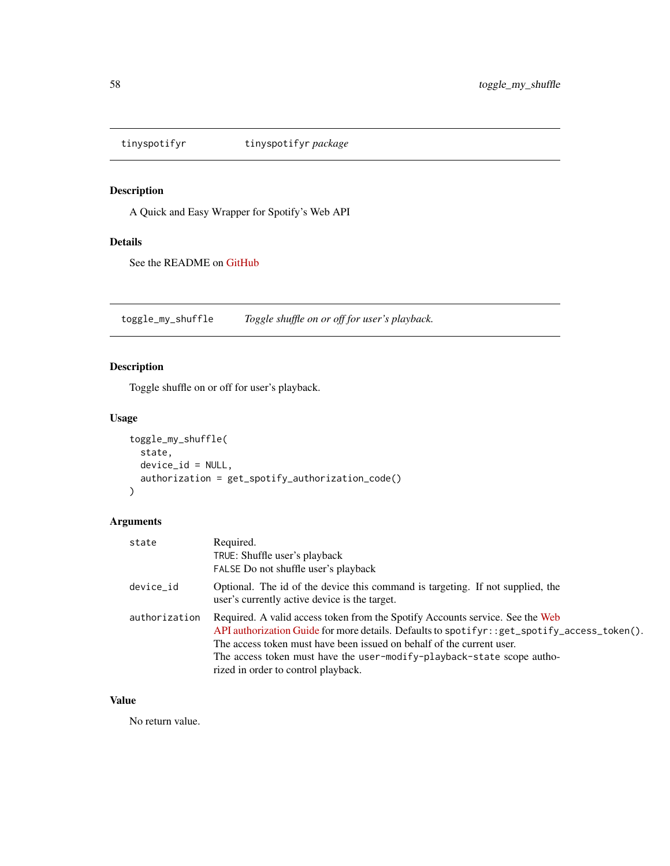<span id="page-57-0"></span>

# Description

A Quick and Easy Wrapper for Spotify's Web API

# Details

See the README on [GitHub](https://github.com/troyhernandez/tinyspotifyr#readme)

toggle\_my\_shuffle *Toggle shuffle on or off for user's playback.*

# Description

Toggle shuffle on or off for user's playback.

# Usage

```
toggle_my_shuffle(
  state,
 device_id = NULL,
  authorization = get_spotify_authorization_code()
)
```
# Arguments

| state         | Required.<br>TRUE: Shuffle user's playback<br>FALSE Do not shuffle user's playback                                                                                                                                                                                                                                                                                       |
|---------------|--------------------------------------------------------------------------------------------------------------------------------------------------------------------------------------------------------------------------------------------------------------------------------------------------------------------------------------------------------------------------|
| device_id     | Optional. The id of the device this command is targeting. If not supplied, the<br>user's currently active device is the target.                                                                                                                                                                                                                                          |
| authorization | Required. A valid access token from the Spotify Accounts service. See the Web<br>API authorization Guide for more details. Defaults to spotifyr: : get_spotify_access_token().<br>The access token must have been issued on behalf of the current user.<br>The access token must have the user-modify-playback-state scope autho-<br>rized in order to control playback. |

# Value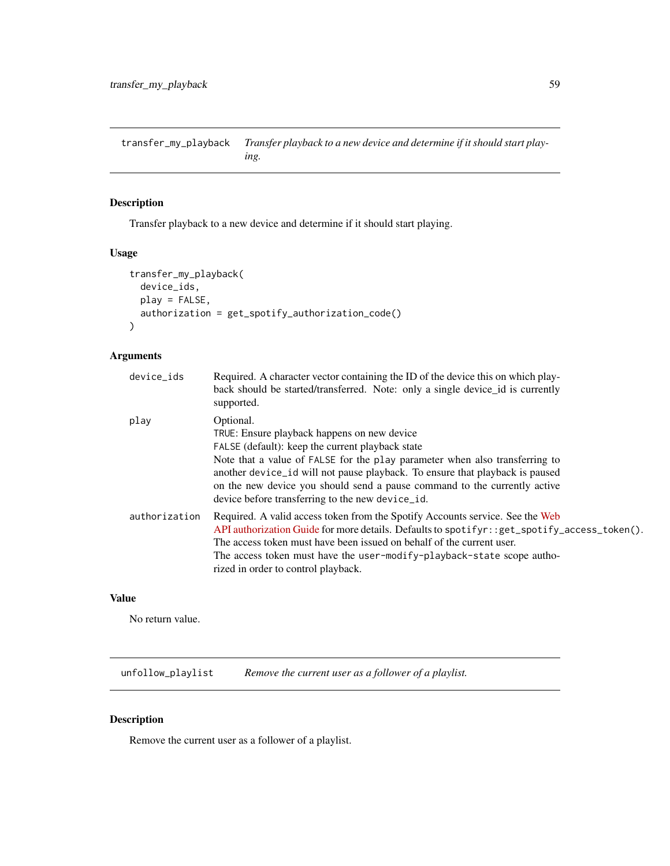<span id="page-58-0"></span>transfer\_my\_playback *Transfer playback to a new device and determine if it should start playing.*

# Description

Transfer playback to a new device and determine if it should start playing.

# Usage

```
transfer_my_playback(
  device_ids,
 play = FALSE,
  authorization = get_spotify_authorization_code()
)
```
# Arguments

| device_ids    | Required. A character vector containing the ID of the device this on which play-<br>back should be started/transferred. Note: only a single device id is currently<br>supported.                                                                                                                                                                                                                             |
|---------------|--------------------------------------------------------------------------------------------------------------------------------------------------------------------------------------------------------------------------------------------------------------------------------------------------------------------------------------------------------------------------------------------------------------|
| play          | Optional.<br>TRUE: Ensure playback happens on new device<br>FALSE (default): keep the current playback state<br>Note that a value of FALSE for the play parameter when also transferring to<br>another device_id will not pause playback. To ensure that playback is paused<br>on the new device you should send a pause command to the currently active<br>device before transferring to the new device_id. |
| authorization | Required. A valid access token from the Spotify Accounts service. See the Web<br>API authorization Guide for more details. Defaults to spotifyr: : get_spotify_access_token().<br>The access token must have been issued on behalf of the current user.<br>The access token must have the user-modify-playback-state scope autho-<br>rized in order to control playback.                                     |

# Value

No return value.

unfollow\_playlist *Remove the current user as a follower of a playlist.*

# Description

Remove the current user as a follower of a playlist.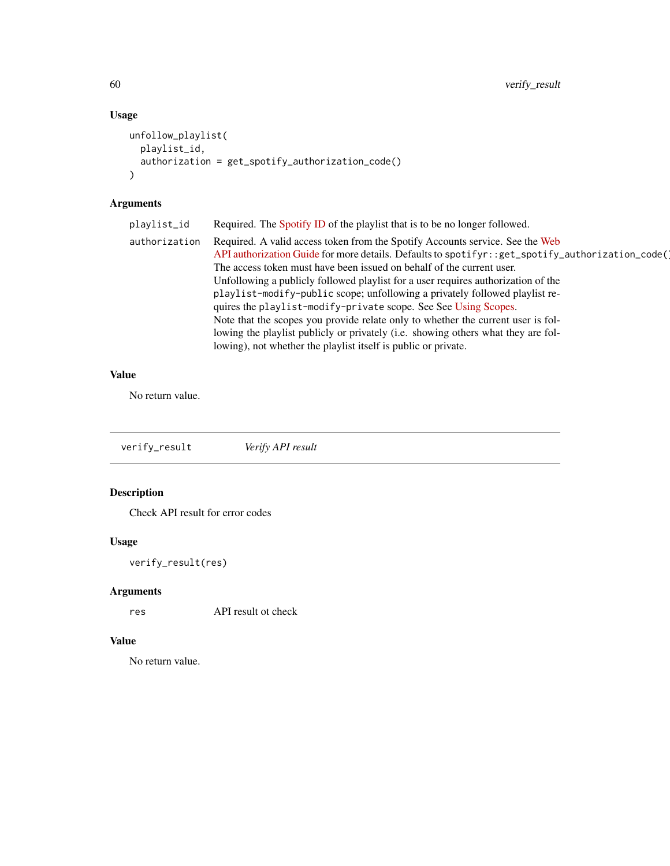<span id="page-59-0"></span>60 verify\_result

# Usage

```
unfollow_playlist(
 playlist_id,
 authorization = get_spotify_authorization_code()
)
```
# Arguments

| playlist_id   | Required. The Spotify ID of the playlist that is to be no longer followed.                                                                                                                                                                                                                                                                                                                                                                                                                                                                                                                                                                                                                                                                     |
|---------------|------------------------------------------------------------------------------------------------------------------------------------------------------------------------------------------------------------------------------------------------------------------------------------------------------------------------------------------------------------------------------------------------------------------------------------------------------------------------------------------------------------------------------------------------------------------------------------------------------------------------------------------------------------------------------------------------------------------------------------------------|
| authorization | Required. A valid access token from the Spotify Accounts service. See the Web<br>API authorization Guide for more details. Defaults to spotifyr: : get_spotify_authorization_code()<br>The access token must have been issued on behalf of the current user.<br>Unfollowing a publicly followed playlist for a user requires authorization of the<br>playlist-modify-public scope; unfollowing a privately followed playlist re-<br>quires the playlist-modify-private scope. See See Using Scopes.<br>Note that the scopes you provide relate only to whether the current user is fol-<br>lowing the playlist publicly or privately (i.e. showing others what they are fol-<br>lowing), not whether the playlist itself is public or private. |
|               |                                                                                                                                                                                                                                                                                                                                                                                                                                                                                                                                                                                                                                                                                                                                                |

# Value

No return value.

verify\_result *Verify API result*

# Description

Check API result for error codes

# Usage

```
verify_result(res)
```
# Arguments

res API result ot check

# Value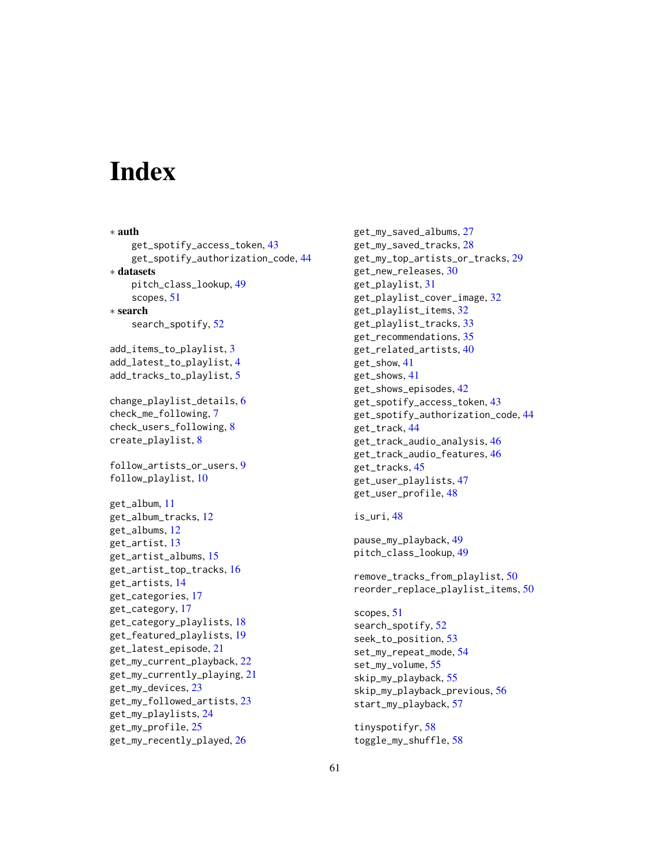# <span id="page-60-0"></span>**Index**

∗ auth get\_spotify\_access\_token, [43](#page-42-0) get\_spotify\_authorization\_code, [44](#page-43-0) ∗ datasets pitch\_class\_lookup, [49](#page-48-0) scopes, [51](#page-50-0) ∗ search search\_spotify, [52](#page-51-0) add\_items\_to\_playlist, [3](#page-2-0) add\_latest\_to\_playlist, [4](#page-3-0) add\_tracks\_to\_playlist, [5](#page-4-0) change\_playlist\_details, [6](#page-5-0) check\_me\_following, [7](#page-6-0) check\_users\_following, [8](#page-7-0) create\_playlist, [8](#page-7-0) follow\_artists\_or\_users, [9](#page-8-0) follow\_playlist, [10](#page-9-0) get\_album, [11](#page-10-0) get\_album\_tracks, [12](#page-11-0) get\_albums, [12](#page-11-0) get\_artist, [13](#page-12-0) get\_artist\_albums, [15](#page-14-0) get\_artist\_top\_tracks, [16](#page-15-0) get\_artists, [14](#page-13-0) get\_categories, [17](#page-16-0) get\_category, [17](#page-16-0) get\_category\_playlists, [18](#page-17-0) get\_featured\_playlists, [19](#page-18-0) get\_latest\_episode, [21](#page-20-0) get\_my\_current\_playback, [22](#page-21-0) get\_my\_currently\_playing, [21](#page-20-0) get\_my\_devices, [23](#page-22-0) get\_my\_followed\_artists, [23](#page-22-0) get\_my\_playlists, [24](#page-23-0) get\_my\_profile, [25](#page-24-0) get\_my\_recently\_played, [26](#page-25-0)

get\_my\_saved\_albums, [27](#page-26-0) get\_my\_saved\_tracks, [28](#page-27-0) get\_my\_top\_artists\_or\_tracks, [29](#page-28-0) get\_new\_releases, [30](#page-29-0) get\_playlist, [31](#page-30-0) get\_playlist\_cover\_image, [32](#page-31-0) get\_playlist\_items, [32](#page-31-0) get\_playlist\_tracks, [33](#page-32-0) get\_recommendations, [35](#page-34-0) get\_related\_artists, [40](#page-39-0) get\_show, [41](#page-40-0) get\_shows, [41](#page-40-0) get\_shows\_episodes, [42](#page-41-0) get\_spotify\_access\_token, [43](#page-42-0) get\_spotify\_authorization\_code, [44](#page-43-0) get\_track, [44](#page-43-0) get\_track\_audio\_analysis, [46](#page-45-0) get\_track\_audio\_features, [46](#page-45-0) get\_tracks, [45](#page-44-0) get\_user\_playlists, [47](#page-46-0) get\_user\_profile, [48](#page-47-0)

is\_uri, [48](#page-47-0)

```
pause_my_playback, 49
pitch_class_lookup, 49
```
remove\_tracks\_from\_playlist, [50](#page-49-0) reorder\_replace\_playlist\_items, [50](#page-49-0)

```
scopes, 51
search_spotify, 52
seek_to_position, 53
set_my_repeat_mode, 54
set_my_volume, 55
skip_my_playback, 55
skip_my_playback_previous, 56
start_my_playback, 57
```
tinyspotifyr, [58](#page-57-0) toggle\_my\_shuffle, [58](#page-57-0)